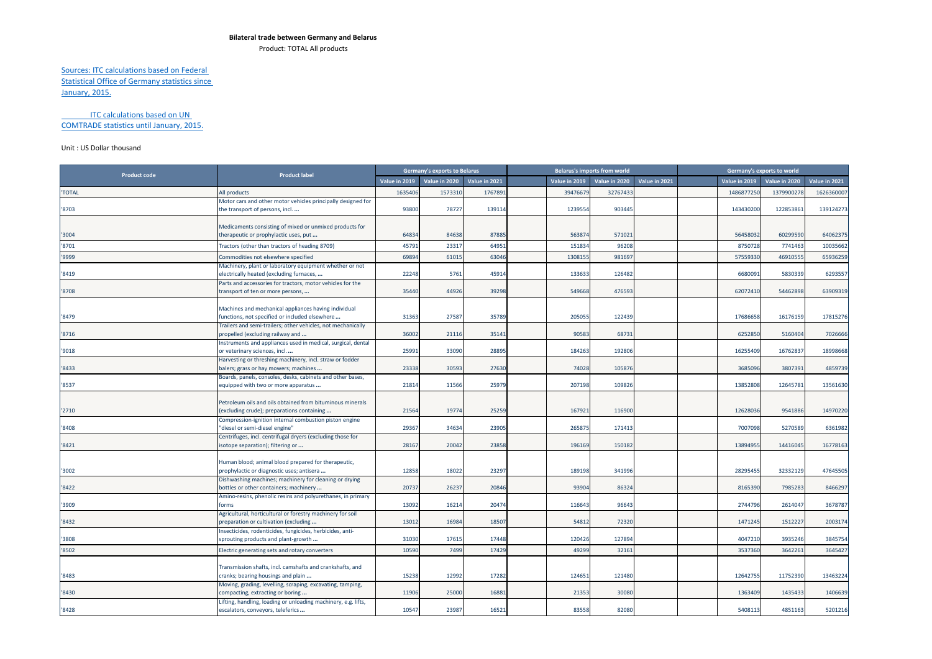## **Bilateral trade between Germany and Belarus**

Product: TOTAL All products

## Sources: ITC calculations based on Federal Statistical Office of Germany statistics since January, 2015.

## ITC calculations based on UN COMTRADE statistics until January, 2015.

## Unit : US Dollar thousand

|                     | <b>Product label</b>                                                                                                                                                   |               | <b>Germany's exports to Belarus</b> |               |               | <b>Belarus's imports from world</b> |               |               | Germany's exports to world |               |
|---------------------|------------------------------------------------------------------------------------------------------------------------------------------------------------------------|---------------|-------------------------------------|---------------|---------------|-------------------------------------|---------------|---------------|----------------------------|---------------|
| <b>Product code</b> |                                                                                                                                                                        | Value in 2019 | Value in 2020                       | Value in 2021 | Value in 2019 | Value in 2020                       | Value in 2021 | Value in 2019 | Value in 2020              | Value in 2021 |
| 'TOTAL              | All products                                                                                                                                                           | 1635406       | 1573310                             | 1767891       | 39476679      | 32767433                            |               | 1486877250    | 1379900278                 | 162636000     |
| '8703               | Motor cars and other motor vehicles principally designed for<br>the transport of persons, incl                                                                         | 93800         | 78727                               | 139114        | 1239554       | 903445                              |               | 143430200     | 122853861                  | 139124273     |
| '3004               | Medicaments consisting of mixed or unmixed products for<br>therapeutic or prophylactic uses, put                                                                       | 64834         | 84638                               | 87885         | 563874        | 571021                              |               | 56458032      | 60299590                   | 6406237       |
| '8701               | Tractors (other than tractors of heading 8709)                                                                                                                         | 45791         | 2331                                | 64951         | 15183         | 96208                               |               | 875072        | 7741463                    | 1003566       |
| '9999               | Commodities not elsewhere specified                                                                                                                                    | 69894         | 6101                                | 63046         | 130815        | 981697                              |               | 57559330      | 46910555                   | 6593625       |
| '8419               | Machinery, plant or laboratory equipment whether or not<br>electrically heated (excluding furnaces,                                                                    | 22248         | 5761                                | 45914         | 133633        | 126482                              |               | 6680091       | 5830339                    | 6293557       |
| '8708               | Parts and accessories for tractors, motor vehicles for the<br>transport of ten or more persons,                                                                        | 35440         | 44926                               | 39298         | 549668        | 476593                              |               | 62072410      | 54462898                   | 63909319      |
| '8479               | Machines and mechanical appliances having individual<br>functions, not specified or included elsewhere<br>Trailers and semi-trailers; other vehicles, not mechanically | 31363         | 27587                               | 35789         | 20505         | 122439                              |               | 17686658      | 16176159                   | 17815276      |
| '8716               | propelled (excluding railway and                                                                                                                                       | 36002         | 2111                                | 35141         | 9058          | 68731                               |               | 6252850       | 5160404                    | 7026666       |
| '9018               | Instruments and appliances used in medical, surgical, dental<br>or veterinary sciences, incl                                                                           | 25991         | 33090                               | 28895         | 18426         | 192806                              |               | 16255409      | 16762837                   | 18998668      |
| '8433               | Harvesting or threshing machinery, incl. straw or fodder<br>balers; grass or hay mowers; machines                                                                      | 23338         | 30593                               | 27630         | 74028         | 105876                              |               | 3685096       | 3807391                    | 4859739       |
| '8537               | Boards, panels, consoles, desks, cabinets and other bases,<br>equipped with two or more apparatus                                                                      | 21814         | 11566                               | 25979         | 207198        | 109826                              |               | 13852808      | 12645781                   | 13561630      |
| '2710               | Petroleum oils and oils obtained from bituminous minerals<br>(excluding crude); preparations containing<br>Compression-ignition internal combustion piston engine      | 21564         | 19774                               | 25259         | 16792:        | 116900                              |               | 12628036      | 9541886                    | 1497022       |
| '8408               | "diesel or semi-diesel engine"                                                                                                                                         | 29367         | 34634                               | 23905         | 26587         | 171413                              |               | 7007098       | 5270589                    | 6361982       |
| '8421               | Centrifuges, incl. centrifugal dryers (excluding those for<br>isotope separation); filtering or                                                                        | 28167         | 20042                               | 23858         | 196169        | 150182                              |               | 13894955      | 14416045                   | 16778163      |
| '3002               | Human blood; animal blood prepared for therapeutic,<br>prophylactic or diagnostic uses; antisera<br>Dishwashing machines; machinery for cleaning or drying             | 12858         | 18022                               | 23297         | 189198        | 341996                              |               | 28295455      | 32332129                   | 47645505      |
| '8422               | bottles or other containers; machinery<br>Amino-resins, phenolic resins and polyurethanes, in primary                                                                  | 20737         | 2623                                | 20846         | 93904         | 86324                               |               | 8165390       | 7985283                    | 8466297       |
| '3909               | forms                                                                                                                                                                  | 13092         | 16214                               | 20474         | 116643        | 96643                               |               | 2744796       | 2614047                    | 3678787       |
| '8432               | Agricultural, horticultural or forestry machinery for soil<br>preparation or cultivation (excluding                                                                    | 13012         | 16984                               | 18507         | 5481          | 72320                               |               | 1471245       | 1512227                    | 200317        |
| '3808               | Insecticides, rodenticides, fungicides, herbicides, anti-<br>sprouting products and plant-growth                                                                       | 31030         | 1761                                | 17448         | 12042         | 127894                              |               | 4047210       | 3935246                    | 3845754       |
| '8502               | Electric generating sets and rotary converters                                                                                                                         | 10590         | 7499                                | 17429         | 49299         | 32161                               |               | 3537360       | 3642261                    | 3645427       |
| '8483               | Transmission shafts, incl. camshafts and crankshafts, and<br>cranks; bearing housings and plain<br>Moving, grading, levelling, scraping, excavating, tamping,          | 15238         | 1299                                | 17282         | 12465         | 121480                              |               | 12642755      | 11752390                   | 13463224      |
| '8430               | compacting, extracting or boring                                                                                                                                       | 11906         | 25000                               | 16881         | 21353         | 30080                               |               | 1363409       | 1435433                    | 1406639       |
| '8428               | Lifting, handling, loading or unloading machinery, e.g. lifts,<br>escalators, conveyors, teleferics                                                                    | 10547         | 23987                               | 16521         | 83558         | 82080                               |               | 5408113       | 4851163                    | 5201216       |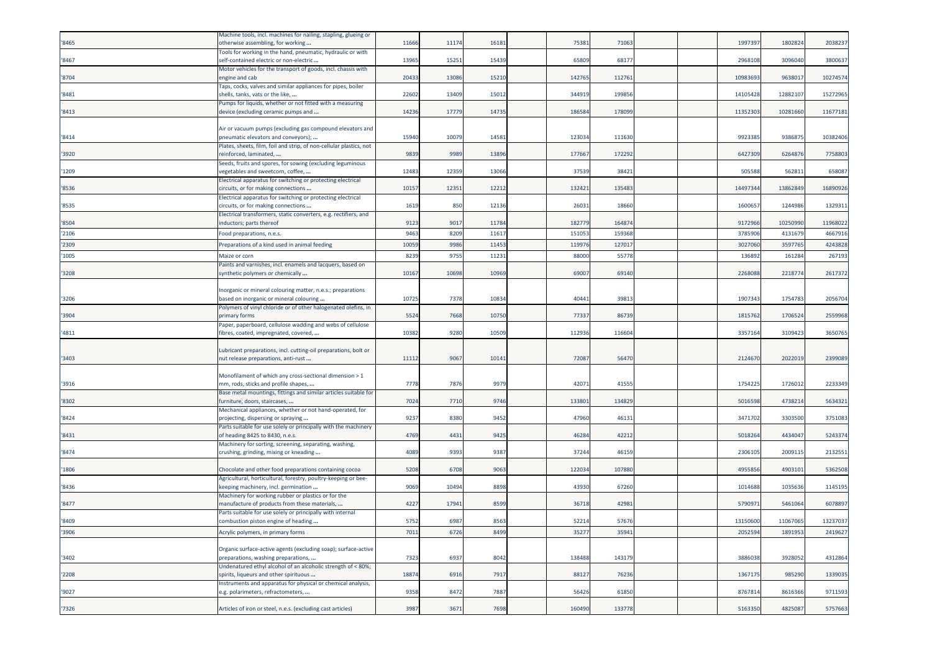| '8465 | Machine tools, incl. machines for nailing, stapling, glueing or<br>otherwise assembling, for working                                                                | 11666 | 11174 | 1618  | 75381  | 71063  |  | 199739   | 180282   | 2038237  |
|-------|---------------------------------------------------------------------------------------------------------------------------------------------------------------------|-------|-------|-------|--------|--------|--|----------|----------|----------|
| '8467 | Fools for working in the hand, pneumatic, hydraulic or with<br>self-contained electric or non-electric                                                              | 13965 | 1525  | 1543  | 65809  | 6817   |  | 296810   | 3096040  | 3800637  |
| '8704 | Motor vehicles for the transport of goods, incl. chassis with<br>engine and cab                                                                                     | 20433 | 13086 | 1521  | 142765 | 11276  |  | 1098369  | 963801   | 10274574 |
| '8481 | Taps, cocks, valves and similar appliances for pipes, boiler<br>shells, tanks, vats or the like,                                                                    | 22602 | 13409 | 15012 | 344919 | 199856 |  | 14105428 | 1288210  | 15272965 |
| '8413 | Pumps for liquids, whether or not fitted with a measuring<br>device (excluding ceramic pumps and                                                                    | 14236 | 17779 | 14735 | 186584 | 178099 |  | 11352303 | 10281660 | 11677181 |
| '8414 | Air or vacuum pumps (excluding gas compound elevators and<br>pneumatic elevators and conveyors);                                                                    | 15940 | 10079 | 1458  | 123034 | 111630 |  | 992338   | 9386875  | 10382406 |
| '3920 | Plates, sheets, film, foil and strip, of non-cellular plastics, not<br>reinforced, laminated,                                                                       | 9839  | 9989  | 1389  | 177667 | 172292 |  | 642730   | 626487   | 7758803  |
| '1209 | Seeds, fruits and spores, for sowing (excluding leguminous<br>vegetables and sweetcorn, coffee,                                                                     | 12483 | 12359 | 13066 | 37539  | 38421  |  | 505588   | 562811   | 658087   |
| '8536 | Electrical apparatus for switching or protecting electrical<br>circuits, or for making connections                                                                  | 10157 | 1235  | 12212 | 13242  | 135483 |  | 1449734  | 1386284  | 16890926 |
| '8535 | Electrical apparatus for switching or protecting electrical<br>circuits, or for making connections                                                                  | 1619  | 850   | 12136 | 2603   | 18660  |  | 160065   | 124498   | 1329311  |
| '8504 | Electrical transformers, static converters, e.g. rectifiers, and<br>inductors; parts thereof                                                                        | 9123  | 9017  | 11784 | 182779 | 164874 |  | 9172966  | 10250990 | 11968022 |
| '2106 | Food preparations, n.e.s.                                                                                                                                           | 9463  | 8209  | 1161  | 15105  | 15936  |  | 378590   | 413167   | 4667916  |
| '2309 | Preparations of a kind used in animal feeding                                                                                                                       | 10059 | 9986  | 1145  | 11997  | 12701  |  | 3027060  | 359776   | 4243828  |
| '1005 | Maize or corn                                                                                                                                                       | 8239  | 975   | 11231 | 88000  | 55778  |  | 13689    | 161284   | 267193   |
|       | Paints and varnishes, incl. enamels and lacquers, based on                                                                                                          |       |       |       |        |        |  |          |          |          |
| '3208 | synthetic polymers or chemically                                                                                                                                    | 10167 | 10698 | 1096  | 69007  | 69140  |  | 226808   | 221877   | 2617372  |
| '3206 | Inorganic or mineral colouring matter, n.e.s.; preparations<br>based on inorganic or mineral colouring                                                              | 10725 | 7378  | 1083  | 4044   | 3981   |  | 190734   | 175478   | 2056704  |
| '3904 | Polymers of vinyl chloride or of other halogenated olefins, in<br>primary forms                                                                                     | 5524  | 7668  | 1075  | 77337  | 86739  |  | 181576   | 1706524  | 2559968  |
| '4811 | Paper, paperboard, cellulose wadding and webs of cellulose<br>ibres, coated, impregnated, covered,                                                                  | 10382 | 9280  | 10509 | 112936 | 116604 |  | 335716   | 3109423  | 3650765  |
| '3403 | Lubricant preparations, incl. cutting-oil preparations, bolt or<br>nut release preparations, anti-rust                                                              | 11112 | 906   | 10141 | 72087  | 56470  |  | 2124670  | 202201   | 2399089  |
| '3916 | Monofilament of which any cross-sectional dimension > 1<br>mm, rods, sticks and profile shapes,<br>Base metal mountings, fittings and similar articles suitable for | 7778  | 7876  | 9979  | 4207   | 41555  |  | 175422   | 1726012  | 2233349  |
| '8302 | furniture, doors, staircases,                                                                                                                                       | 7024  | 7710  | 9746  | 13380  | 134829 |  | 501659   | 473821   | 5634321  |
| '8424 | Mechanical appliances, whether or not hand-operated, for<br>projecting, dispersing or spraying                                                                      | 9237  | 8380  | 9452  | 47960  | 4613   |  | 347170   | 330350   | 3751083  |
| '8431 | Parts suitable for use solely or principally with the machinery<br>of heading 8425 to 8430, n.e.s.                                                                  | 4769  | 4431  | 9425  | 46284  | 42212  |  | 501826   | 4434047  | 5243374  |
| '8474 | Machinery for sorting, screening, separating, washing,<br>crushing, grinding, mixing or kneading                                                                    | 4089  | 9393  | 9387  | 37244  | 46159  |  | 230610   | 200911   | 2132551  |
| '1806 | Chocolate and other food preparations containing cocoa                                                                                                              | 5208  | 6708  | 906   | 12203  | 107880 |  | 495585   | 490310   | 5362508  |
| '8436 | Agricultural, horticultural, forestry, poultry-keeping or bee-<br>keeping machinery, incl. germination                                                              | 9069  | 10494 | 8898  | 43930  | 67260  |  | 1014688  | 1035636  | 1145195  |
| '8477 | Machinery for working rubber or plastics or for the<br>manufacture of products from these materials,                                                                | 4227  | 1794: | 8599  | 36718  | 4298   |  | 579097   | 546106   | 6078897  |
| '8409 | Parts suitable for use solely or principally with internal<br>combustion piston engine of heading                                                                   | 5752  | 6987  | 8563  | 52214  | 57676  |  | 13150600 | 11067065 | 13237037 |
| '3906 | Acrylic polymers, in primary forms                                                                                                                                  | 7011  | 6726  | 8499  | 35277  | 35941  |  | 2052594  | 1891953  | 2419627  |
| '3402 | Organic surface-active agents (excluding soap); surface-active<br>preparations, washing preparations,                                                               | 7323  | 6937  | 8042  | 138488 | 143179 |  | 3886038  | 3928052  | 4312864  |
| '2208 | Undenatured ethyl alcohol of an alcoholic strength of < 80%;<br>spirits, liqueurs and other spirituous                                                              | 18874 | 6916  | 7917  | 88127  | 76236  |  | 1367175  | 985290   | 1339035  |
| '9027 | Instruments and apparatus for physical or chemical analysis,<br>e.g. polarimeters, refractometers,                                                                  | 9358  | 8472  | 7887  | 56426  | 61850  |  | 8767814  | 8616366  | 9711593  |
| '7326 | Articles of iron or steel, n.e.s. (excluding cast articles)                                                                                                         | 3987  | 3671  | 7698  | 160490 | 133778 |  | 5163350  | 4825087  | 5757663  |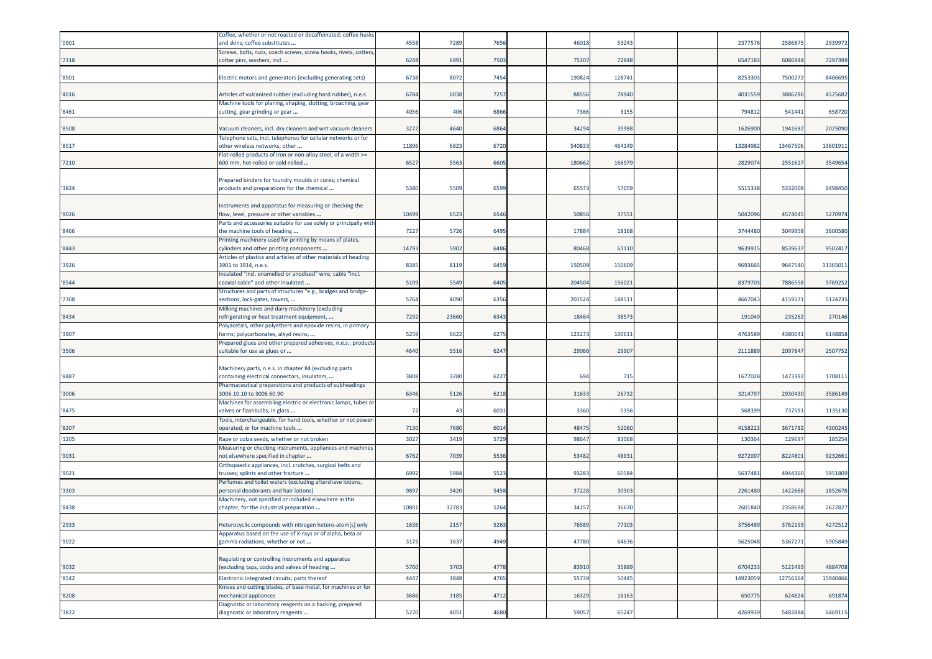|       | Coffee, whether or not roasted or decaffeinated; coffee husks                                            |       |       |      |        |        |  |          |          |          |
|-------|----------------------------------------------------------------------------------------------------------|-------|-------|------|--------|--------|--|----------|----------|----------|
| '0901 | and skins; coffee substitutes                                                                            | 4558  | 7289  | 7656 | 46018  | 53243  |  | 237757   | 258687   | 2939972  |
|       | Screws, bolts, nuts, coach screws, screw hooks, rivets, cotters                                          |       |       |      |        |        |  |          |          |          |
| '7318 | cotter pins, washers, incl                                                                               | 6248  | 6491  | 7503 | 75307  | 72948  |  | 6547183  | 6086944  | 7297399  |
| '8501 | Electric motors and generators (excluding generating sets)                                               | 6738  | 8072  | 7454 | 190824 | 128741 |  | 825330   | 7500272  | 8486695  |
| '4016 | Articles of vulcanised rubber (excluding hard rubber), n.e.s.                                            | 6784  | 6038  | 7257 | 88556  | 78940  |  | 4031559  | 3886286  | 4525682  |
| '8461 | Machine tools for planing, shaping, slotting, broaching, gear<br>cutting, gear grinding or gear          | 4056  | 406   | 6866 | 7366   | 3155   |  | 79481    | 541441   | 658720   |
| '8508 | Jacuum cleaners, incl. dry cleaners and wet vacuum cleaners                                              | 3272  | 4640  | 6864 | 34294  | 39988  |  | 1626900  | 1941682  | 2025090  |
| '8517 | Telephone sets, incl. telephones for cellular networks or for<br>other wireless networks; other          | 11896 | 6823  | 6720 | 540833 | 464149 |  | 1328498  | 1346750  | 13601911 |
| '7210 | Flat-rolled products of iron or non-alloy steel, of a width >=<br>600 mm, hot-rolled or cold-rolled      | 6527  | 5563  | 6605 | 180662 | 16697  |  | 282907   | 255162   | 3549654  |
|       |                                                                                                          |       |       |      |        |        |  |          |          |          |
| '3824 | Prepared binders for foundry moulds or cores; chemical<br>products and preparations for the chemical     | 5380  | 5509  | 6599 | 65573  | 57059  |  | 551533   | 5332008  | 6498450  |
|       |                                                                                                          |       |       |      |        |        |  |          |          |          |
| '9026 | Instruments and apparatus for measuring or checking the<br>low, level, pressure or other variables       | 10499 | 6523  | 6546 | 50856  | 37551  |  | 5042096  | 4574045  | 5270974  |
|       | Parts and accessories suitable for use solely or principally with                                        |       |       |      |        |        |  |          |          |          |
| '8466 | the machine tools of heading                                                                             | 7227  | 5726  | 6495 | 17884  | 18168  |  | 3744480  | 3049958  | 3600580  |
| '8443 | Printing machinery used for printing by means of plates,<br>ylinders and other printing components       | 14793 | 5902  | 6486 | 80468  | 61110  |  | 963991   | 853963   | 9502417  |
| '3926 | Articles of plastics and articles of other materials of heading<br>3901 to 3914, n.e.s.                  | 8395  | 8119  | 6459 | 150509 | 150609 |  | 969366   | 9647540  | 11365011 |
| '8544 | Insulated "incl. enamelled or anodised" wire, cable "incl.<br>coaxial cable" and other insulated:        | 5109  | 5549  | 6405 | 204504 | 156021 |  | 837970   | 788655   | 9769252  |
| '7308 | Structures and parts of structures "e.g., bridges and bridge-<br>sections, lock-gates, towers,           | 5764  | 4090  | 6356 | 201524 | 14851  |  | 4667043  | 415957   | 5124235  |
| '8434 | Milking machines and dairy machinery (excluding<br>refrigerating or heat treatment equipment,            | 7292  | 23660 | 6343 | 18464  | 38573  |  | 191049   | 235262   | 270146   |
| '3907 | Polyacetals, other polyethers and epoxide resins, in primary<br>forms; polycarbonates, alkyd resins,     | 5259  | 6622  | 6275 | 12327  | 10061  |  | 476358   | 438004   | 6148858  |
| '3506 | Prepared glues and other prepared adhesives, n.e.s.; products<br>suitable for use as glues or            | 4640  | 5516  | 6247 | 29066  | 29907  |  | 2111889  | 209784   | 2507752  |
|       |                                                                                                          |       |       |      |        |        |  |          |          |          |
|       | Machinery parts, n.e.s. in chapter 84 (excluding parts                                                   |       |       |      |        |        |  |          |          |          |
| '8487 | containing electrical connectors, insulators,<br>Pharmaceutical preparations and products of subheadings | 3808  | 3280  | 6227 | 694    | 715    |  | 1677028  | 1473392  | 1708111  |
| '3006 | 3006.10.10 to 3006.60.90                                                                                 | 6346  | 5126  | 6218 | 31633  | 26732  |  | 321479   | 2930430  | 3586149  |
| '8475 | Machines for assembling electric or electronic lamps, tubes or<br>valves or flashbulbs, in glass         | 72    | 43    | 6031 | 3360   | 5356   |  | 568399   | 73759    | 1135130  |
| '8207 | Tools, interchangeable, for hand tools, whether or not power-<br>operated, or for machine tools          | 7130  | 7680  | 6014 | 4847   | 52060  |  | 415822   | 3671782  | 4300245  |
| '1205 | Rape or colza seeds, whether or not broken                                                               | 3027  | 3419  | 5729 | 98647  | 83068  |  | 13036    | 129697   | 185254   |
|       | Measuring or checking instruments, appliances and machines                                               |       |       |      |        |        |  |          |          |          |
| '9031 | not elsewhere specified in chapter<br>Orthopaedic appliances, incl. crutches, surgical belts and         | 6762  | 7039  | 5536 | 53482  | 4893   |  | 927200   | 8224801  | 9232661  |
| '9021 | trusses; splints and other fracture<br>Perfumes and toilet waters (excluding aftershave lotions,         | 6992  | 5984  | 5523 | 93283  | 60584  |  | 5637481  | 4944360  | 5951809  |
| '3303 | personal deodorants and hair lotions)<br>Machinery, not specified or included elsewhere in this          | 9897  | 3420  | 5458 | 37228  | 30303  |  | 2261480  | 142266   | 1852678  |
| '8438 | chapter, for the industrial preparation                                                                  | 10801 | 12783 | 5264 | 3415   | 36630  |  | 260184   | 235869   | 2622827  |
| '2933 | Heterocyclic compounds with nitrogen hetero-atom[s] only                                                 | 1636  | 2157  | 5263 | 76589  | 77103  |  | 3756489  | 3762193  | 4272512  |
| '9022 | Apparatus based on the use of X-rays or of alpha, beta or<br>gamma radiations, whether or not            | 3175  | 1637  | 4949 | 47780  | 64636  |  | 5625048  | 5367271  | 5905849  |
|       | Regulating or controlling instruments and apparatus                                                      |       |       |      |        |        |  |          |          |          |
| '9032 | excluding taps, cocks and valves of heading                                                              | 5760  | 3703  | 4778 | 83910  | 35889  |  | 6704233  | 5121493  | 4884708  |
| '8542 | Electronic integrated circuits; parts thereof                                                            | 4447  | 3848  | 4765 | 55739  | 50445  |  | 14923059 | 12756164 | 15940466 |
| '8208 | Knives and cutting blades, of base metal, for machines or for<br>mechanical appliances                   | 3686  | 3185  | 4712 | 16329  | 16163  |  | 650775   | 624824   | 691874   |
|       | Diagnostic or laboratory reagents on a backing, prepared                                                 |       |       |      |        |        |  |          |          |          |
| '3822 | diagnostic or laboratory reagents                                                                        | 5270  | 4051  | 4680 | 59057  | 65247  |  | 4269939  | 5482884  | 6469115  |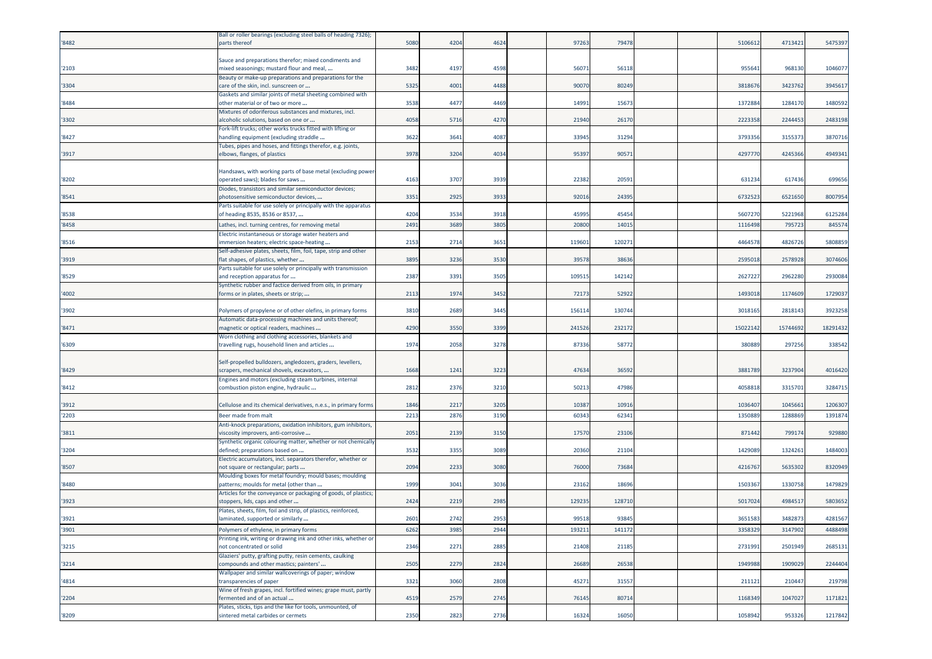|       | Ball or roller bearings (excluding steel balls of heading 7326); |      |      |      |        |        |  |          |          |          |
|-------|------------------------------------------------------------------|------|------|------|--------|--------|--|----------|----------|----------|
| '8482 | parts thereof                                                    | 5080 | 4204 | 4624 | 97263  | 79478  |  | 510661   | 4713421  | 5475397  |
|       |                                                                  |      |      |      |        |        |  |          |          |          |
|       | Sauce and preparations therefor; mixed condiments and            |      |      |      |        |        |  |          |          |          |
| '2103 | mixed seasonings; mustard flour and meal,                        | 3482 | 4197 | 4598 | 5607   | 56118  |  | 95564    | 968130   | 1046077  |
|       | Beauty or make-up preparations and preparations for the          |      |      |      |        |        |  |          |          |          |
| '3304 | care of the skin, incl. sunscreen or                             | 5325 | 4001 | 4488 | 90070  | 80249  |  | 381867   | 342376   | 3945617  |
|       | Gaskets and similar joints of metal sheeting combined with       |      |      |      |        |        |  |          |          |          |
| '8484 | other material or of two or more                                 | 3538 | 4477 | 4469 | 14991  | 15673  |  | 137288   | 1284170  | 1480592  |
|       | Mixtures of odoriferous substances and mixtures, incl.           |      |      |      |        |        |  |          |          |          |
| '3302 | alcoholic solutions, based on one or                             | 4058 | 5716 | 4270 | 21940  | 26170  |  | 222335   | 2244453  | 2483198  |
|       | Fork-lift trucks; other works trucks fitted with lifting or      |      |      |      |        |        |  |          |          |          |
| '8427 | nandling equipment (excluding straddle                           | 3622 | 3641 | 4087 | 33945  | 31294  |  | 379335   | 315537   | 3870716  |
|       | Tubes, pipes and hoses, and fittings therefor, e.g. joints,      |      |      |      |        |        |  |          |          |          |
| '3917 | elbows, flanges, of plastics                                     | 3978 | 3204 | 4034 | 95397  | 90571  |  | 429777   | 4245366  | 4949341  |
|       |                                                                  |      |      |      |        |        |  |          |          |          |
|       | Handsaws, with working parts of base metal (excluding power-     |      |      |      |        |        |  |          |          |          |
| '8202 | operated saws); blades for saws                                  | 4163 | 3707 | 3939 | 22382  | 20591  |  | 63123    | 617436   | 699656   |
|       | Diodes, transistors and similar semiconductor devices;           |      |      |      |        |        |  |          |          |          |
| '8541 | photosensitive semiconductor devices,                            | 3351 | 2925 | 3933 | 92016  | 24395  |  | 6732523  | 6521650  | 8007954  |
|       | Parts suitable for use solely or principally with the apparatus  |      |      |      |        |        |  |          |          |          |
| '8538 | of heading 8535, 8536 or 8537,                                   | 4204 | 3534 | 3918 | 45995  | 45454  |  | 5607270  | 5221968  | 6125284  |
| '8458 | Lathes, incl. turning centres, for removing metal                | 2491 | 3689 | 380  | 2080   | 1401   |  | 111649   | 79572    | 845574   |
|       | Electric instantaneous or storage water heaters and              |      |      |      |        |        |  |          |          |          |
| '8516 | mmersion heaters; electric space-heating                         | 2153 | 2714 | 3651 | 119601 | 12027  |  | 446457   | 4826726  | 5808859  |
|       | Self-adhesive plates, sheets, film, foil, tape, strip and other  |      |      |      |        |        |  |          |          |          |
| '3919 | flat shapes, of plastics, whether                                | 3895 | 3236 | 3530 | 39578  | 38636  |  | 259501   | 257892   | 3074606  |
|       | Parts suitable for use solely or principally with transmission   |      |      |      |        |        |  |          |          |          |
| '8529 | and reception apparatus for                                      | 2387 | 3391 | 3505 | 109515 | 142142 |  | 262722   | 2962280  | 2930084  |
|       | Synthetic rubber and factice derived from oils, in primary       |      |      |      |        |        |  |          |          |          |
| '4002 | forms or in plates, sheets or strip;                             | 2113 | 1974 | 3452 | 72173  | 52922  |  | 1493018  | 1174609  | 1729037  |
|       |                                                                  |      |      |      |        |        |  |          |          |          |
| '3902 | Polymers of propylene or of other olefins, in primary forms      | 3810 | 2689 | 3445 | 15611  | 130744 |  | 3018165  | 281814   | 3923258  |
|       | Automatic data-processing machines and units thereof;            |      |      |      |        |        |  |          |          |          |
| '8471 | magnetic or optical readers, machines                            | 4290 | 3550 | 3399 | 241526 | 232172 |  | 15022142 | 15744692 | 18291432 |
|       |                                                                  |      |      |      |        |        |  |          |          |          |
| '6309 | Worn clothing and clothing accessories, blankets and             | 1974 | 2058 | 3278 | 87336  | 5877   |  | 380889   | 297256   | 338542   |
|       | travelling rugs, household linen and articles                    |      |      |      |        |        |  |          |          |          |
|       |                                                                  |      |      |      |        |        |  |          |          |          |
|       | Self-propelled bulldozers, angledozers, graders, levellers,      |      |      |      |        |        |  |          |          |          |
| '8429 | scrapers, mechanical shovels, excavators,                        | 1668 | 1241 | 3223 | 47634  | 36592  |  | 3881789  | 3237904  | 4016420  |
|       | Engines and motors (excluding steam turbines, internal           | 2812 | 2376 | 3210 | 5021   | 47986  |  | 405881   | 331570   | 3284715  |
| '8412 | combustion piston engine, hydraulic                              |      |      |      |        |        |  |          |          |          |
| '3912 | Cellulose and its chemical derivatives, n.e.s., in primary forms | 1846 | 2217 | 3205 | 10387  | 10916  |  | 103640   | 104566   | 1206307  |
|       |                                                                  |      |      |      |        |        |  |          |          |          |
| '2203 | Beer made from malt                                              | 2213 | 2876 | 3190 | 60343  | 62341  |  | 135088   | 128886   | 1391874  |
|       | Anti-knock preparations, oxidation inhibitors, gum inhibitors,   |      |      |      |        |        |  |          |          |          |
| '3811 | viscosity improvers, anti-corrosive                              | 2051 | 2139 | 3150 | 17570  | 23106  |  | 871442   | 799174   | 929880   |
|       | Synthetic organic colouring matter, whether or not chemically    |      |      |      |        |        |  |          |          |          |
| '3204 | defined; preparations based on                                   | 3532 | 3355 | 3089 | 20360  | 21104  |  | 1429089  | 1324261  | 1484003  |
|       | Electric accumulators, incl. separators therefor, whether or     |      |      |      |        |        |  |          |          |          |
| '8507 | not square or rectangular; parts                                 | 2094 | 2233 | 3080 | 76000  | 73684  |  | 421676   | 563530   | 8320949  |
|       | Moulding boxes for metal foundry; mould bases; moulding          |      |      |      |        |        |  |          |          |          |
| '8480 | patterns; moulds for metal (other than                           | 1999 | 3041 | 3036 | 23162  | 18696  |  | 150336   | 133075   | 1479829  |
|       | Articles for the conveyance or packaging of goods, of plastics;  |      |      |      |        |        |  |          |          |          |
| '3923 | stoppers, lids, caps and other                                   | 2424 | 2219 | 2985 | 129235 | 128710 |  | 501702   | 498451   | 5803652  |
|       | Plates, sheets, film, foil and strip, of plastics, reinforced,   |      |      |      |        |        |  |          |          |          |
| '3921 | laminated, supported or similarly                                | 2601 | 2742 | 2953 | 99518  | 93845  |  | 3651583  | 3482873  | 4281567  |
| '3901 | Polymers of ethylene, in primary forms                           | 6262 | 3985 | 2944 | 193211 | 141172 |  | 3358329  | 3147902  | 4488498  |
|       | Printing ink, writing or drawing ink and other inks, whether or  |      |      |      |        |        |  |          |          |          |
| '3215 | not concentrated or solid                                        | 2346 | 2271 | 2885 | 21408  | 21185  |  | 2731991  | 2501949  | 2685131  |
|       | Glaziers' putty, grafting putty, resin cements, caulking         |      |      |      |        |        |  |          |          |          |
| '3214 | compounds and other mastics; painters'                           | 2505 | 2279 | 2824 | 26689  | 26538  |  | 1949988  | 1909029  | 2244404  |
|       | Wallpaper and similar wallcoverings of paper; window             |      |      |      |        |        |  |          |          |          |
| '4814 | transparencies of paper                                          | 3321 | 3060 | 2808 | 45271  | 31557  |  | 211121   | 210447   | 219798   |
|       | Wine of fresh grapes, incl. fortified wines; grape must, partly  |      |      |      |        |        |  |          |          |          |
| '2204 | fermented and of an actual                                       | 4519 | 2579 | 2745 | 76145  | 80714  |  | 1168349  | 1047027  | 1171821  |
|       | Plates, sticks, tips and the like for tools, unmounted, of       |      |      |      |        |        |  |          |          |          |
| '8209 | sintered metal carbides or cermets                               | 2350 | 2823 | 2736 | 16324  | 16050  |  | 1058942  | 953326   | 1217842  |
|       |                                                                  |      |      |      |        |        |  |          |          |          |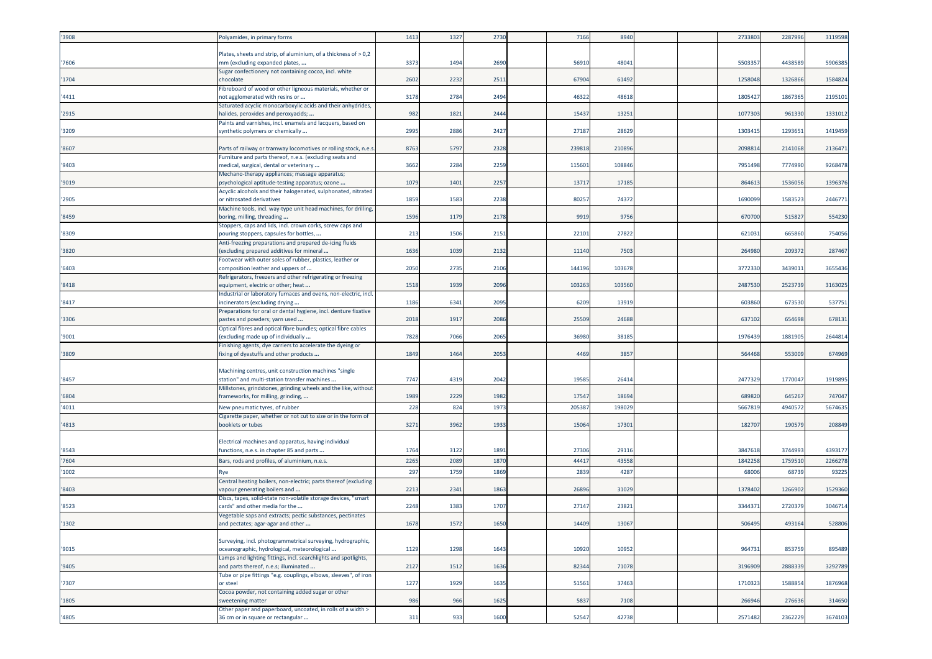| '3908 | Polyamides, in primary forms                                                                             | 1413 | 1327 | 2730 | 7166   | 8940   |  | 2733803 | 2287996 | 3119598 |
|-------|----------------------------------------------------------------------------------------------------------|------|------|------|--------|--------|--|---------|---------|---------|
|       |                                                                                                          |      |      |      |        |        |  |         |         |         |
| '7606 | Plates, sheets and strip, of aluminium, of a thickness of > 0,2<br>mm (excluding expanded plates,        | 3373 | 1494 | 2690 | 56910  | 48041  |  | 550335  | 4438589 | 5906385 |
|       | Sugar confectionery not containing cocoa, incl. white                                                    |      |      |      |        |        |  |         |         |         |
| '1704 | chocolate                                                                                                | 2602 | 2232 | 2511 | 67904  | 61492  |  | 1258048 | 132686  | 1584824 |
|       | Fibreboard of wood or other ligneous materials, whether or                                               |      |      |      |        |        |  |         |         |         |
| '4411 | not agglomerated with resins or                                                                          | 3178 | 2784 | 2494 | 46322  | 48618  |  | 180542  | 1867365 | 2195101 |
|       | Saturated acyclic monocarboxylic acids and their anhydrides,                                             |      |      |      |        |        |  |         |         |         |
| '2915 | halides, peroxides and peroxyacids;<br>Paints and varnishes, incl. enamels and lacquers, based on        | 982  | 1821 | 2444 | 15437  | 13251  |  | 1077303 | 961330  | 1331012 |
| '3209 | synthetic polymers or chemically                                                                         | 2995 | 2886 | 2427 | 27187  | 2862   |  | 130341  | 1293651 | 1419459 |
|       |                                                                                                          |      |      |      |        |        |  |         |         |         |
| '8607 | Parts of railway or tramway locomotives or rolling stock, n.e.s.                                         | 8763 | 5797 | 2328 | 239818 | 210896 |  | 209881  | 2141068 | 2136471 |
|       | Furniture and parts thereof, n.e.s. (excluding seats and                                                 |      |      |      |        |        |  |         |         |         |
| '9403 | medical, surgical, dental or veterinary                                                                  | 3662 | 2284 | 2259 | 11560  | 108846 |  | 795149  | 7774990 | 9268478 |
| '9019 | Mechano-therapy appliances; massage apparatus;<br>osychological aptitude-testing apparatus; ozone        | 1079 | 1401 | 2257 | 13717  | 17185  |  | 86461   | 153605  | 1396376 |
|       | Acyclic alcohols and their halogenated, sulphonated, nitrated                                            |      |      |      |        |        |  |         |         |         |
| '2905 | or nitrosated derivatives                                                                                | 1859 | 1583 | 2238 | 80257  | 74372  |  | 169009  | 1583523 | 2446771 |
|       | Machine tools, incl. way-type unit head machines, for drilling,                                          |      |      |      |        |        |  |         |         |         |
| '8459 | boring, milling, threading                                                                               | 1596 | 1179 | 2178 | 9919   | 9756   |  | 67070   | 51582   | 554230  |
| '8309 | Stoppers, caps and lids, incl. crown corks, screw caps and<br>pouring stoppers, capsules for bottles,    | 213  | 1506 | 2151 | 22101  | 27822  |  | 621031  | 665860  | 754056  |
|       | Anti-freezing preparations and prepared de-icing fluids                                                  |      |      |      |        |        |  |         |         |         |
| '3820 | excluding prepared additives for mineral                                                                 | 1636 | 1039 | 2132 | 11140  | 7503   |  | 264980  | 209372  | 287467  |
|       | Footwear with outer soles of rubber, plastics, leather or                                                |      |      |      |        |        |  |         |         |         |
| '6403 | composition leather and uppers of                                                                        | 2050 | 2735 | 2106 | 144196 | 10367  |  | 377233  | 343901  | 3655436 |
|       | Refrigerators, freezers and other refrigerating or freezing                                              |      |      |      |        |        |  |         |         |         |
| '8418 | equipment, electric or other; heat<br>Industrial or laboratory furnaces and ovens, non-electric, incl.   | 1518 | 1939 | 2096 | 10326  | 103560 |  | 2487530 | 252373  | 3163025 |
| '8417 | incinerators (excluding drying                                                                           | 1186 | 6341 | 2095 | 6209   | 13919  |  | 60386   | 673530  | 537751  |
|       | Preparations for oral or dental hygiene, incl. denture fixative                                          |      |      |      |        |        |  |         |         |         |
| '3306 | pastes and powders; yarn used                                                                            | 2018 | 1917 | 2086 | 25509  | 24688  |  | 637102  | 654698  | 678131  |
|       | Optical fibres and optical fibre bundles; optical fibre cables                                           |      |      |      |        |        |  |         |         |         |
| '9001 | excluding made up of individually                                                                        | 7828 | 7066 | 2065 | 36980  | 38185  |  | 1976439 | 1881905 | 2644814 |
| '3809 | Finishing agents, dye carriers to accelerate the dyeing or<br>fixing of dyestuffs and other products     | 1849 | 1464 | 2053 | 4469   | 3857   |  | 564468  | 553009  | 674969  |
|       |                                                                                                          |      |      |      |        |        |  |         |         |         |
|       | Machining centres, unit construction machines "single                                                    |      |      |      |        |        |  |         |         |         |
| '8457 | station" and multi-station transfer machines                                                             | 7747 | 4319 | 2042 | 19585  | 2641   |  | 2477329 | 177004  | 1919895 |
|       | Millstones, grindstones, grinding wheels and the like, without                                           |      |      |      |        |        |  |         |         |         |
| '6804 | frameworks, for milling, grinding,                                                                       | 1989 | 2229 | 1982 | 17547  | 18694  |  | 689820  | 645267  | 747047  |
| '4011 | New pneumatic tyres, of rubber                                                                           | 228  | 824  | 1973 | 205387 | 198029 |  | 566781  | 494057  | 5674635 |
| '4813 | Cigarette paper, whether or not cut to size or in the form of<br>pooklets or tubes                       | 3271 | 3962 | 1933 | 15064  | 1730   |  | 182707  | 190579  | 208849  |
|       |                                                                                                          |      |      |      |        |        |  |         |         |         |
|       | Electrical machines and apparatus, having individual                                                     |      |      |      |        |        |  |         |         |         |
| '8543 | functions, n.e.s. in chapter 85 and parts                                                                | 1764 | 3122 | 1891 | 27306  | 29116  |  | 384761  | 3744993 | 4393177 |
| '7604 | Bars, rods and profiles, of aluminium, n.e.s.                                                            | 2265 | 2089 | 1870 | 4441   | 4355   |  | 184225  | 175951  | 2266278 |
| '1002 | Rye                                                                                                      | 297  | 1759 | 1869 | 2839   | 4287   |  | 6800    | 6873    | 93225   |
|       | Central heating boilers, non-electric; parts thereof (excluding                                          |      |      |      |        |        |  |         |         |         |
| '8403 | vapour generating boilers and                                                                            | 2213 | 2341 | 1863 | 26896  | 31029  |  | 1378402 | 1266902 | 1529360 |
| '8523 | Discs, tapes, solid-state non-volatile storage devices, "smart<br>cards" and other media for the         | 2248 | 1383 | 1707 | 27147  | 23821  |  | 334437  | 272037  | 3046714 |
|       | Vegetable saps and extracts; pectic substances, pectinates                                               |      |      |      |        |        |  |         |         |         |
| '1302 | and pectates; agar-agar and other                                                                        | 1678 | 1572 | 1650 | 14409  | 13067  |  | 506495  | 493164  | 528806  |
|       |                                                                                                          |      |      |      |        |        |  |         |         |         |
|       | Surveying, incl. photogrammetrical surveying, hydrographic,                                              |      |      |      |        |        |  |         |         |         |
| '9015 | oceanographic, hydrological, meteorological                                                              | 1129 | 1298 | 1643 | 10920  | 10952  |  | 964731  | 853759  | 895489  |
| '9405 | Lamps and lighting fittings, incl. searchlights and spotlights,<br>and parts thereof, n.e.s; illuminated | 2127 | 1512 | 1636 | 82344  | 71078  |  | 3196909 | 2888339 | 3292789 |
|       | Tube or pipe fittings "e.g. couplings, elbows, sleeves", of iron                                         |      |      |      |        |        |  |         |         |         |
| '7307 | or steel                                                                                                 | 1277 | 1929 | 1635 | 51561  | 37463  |  | 1710323 | 1588854 | 1876968 |
|       | Cocoa powder, not containing added sugar or other                                                        |      |      |      |        |        |  |         |         |         |
| '1805 | weetening matter                                                                                         | 986  | 966  | 1625 | 5837   | 7108   |  | 266946  | 276636  | 314650  |
| '4805 | Other paper and paperboard, uncoated, in rolls of a width ><br>36 cm or in square or rectangular         | 311  | 933  | 1600 | 52547  | 42738  |  | 2571482 | 2362229 | 3674103 |
|       |                                                                                                          |      |      |      |        |        |  |         |         |         |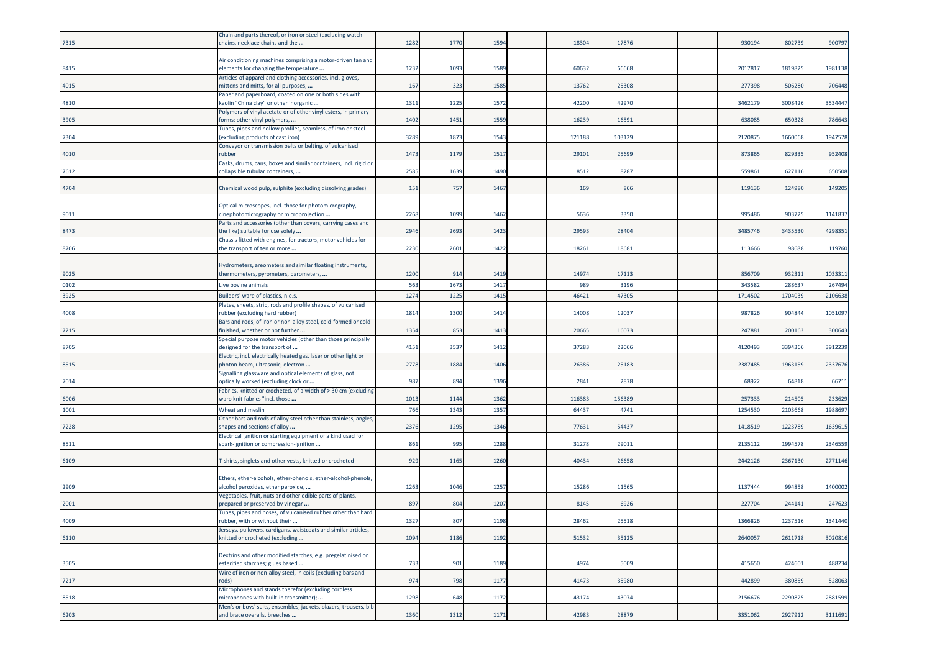|       | Chain and parts thereof, or iron or steel (excluding watch                                          |      |      |      |        |        |  |         |         |         |
|-------|-----------------------------------------------------------------------------------------------------|------|------|------|--------|--------|--|---------|---------|---------|
| '7315 | chains, necklace chains and the                                                                     | 1282 | 1770 | 1594 | 18304  | 17876  |  | 930194  | 802739  | 900797  |
|       | Air conditioning machines comprising a motor-driven fan and                                         |      |      |      |        |        |  |         |         |         |
| '8415 | elements for changing the temperature                                                               | 1232 | 1093 | 1589 | 60632  | 66668  |  | 201781  | 1819825 | 1981138 |
|       | Articles of apparel and clothing accessories, incl. gloves,                                         |      |      |      |        |        |  |         |         |         |
| '4015 | mittens and mitts, for all purposes,                                                                | 167  | 323  | 1585 | 13762  | 25308  |  | 27739   | 506280  | 706448  |
|       | Paper and paperboard, coated on one or both sides with                                              |      |      |      |        |        |  |         |         |         |
| '4810 | «aolin "China clay" or other inorganic                                                              | 1311 | 1225 | 1572 | 42200  | 42970  |  | 346217  | 3008426 | 3534447 |
| '3905 | Polymers of vinyl acetate or of other vinyl esters, in primary<br>forms; other vinyl polymers,      | 1402 | 1451 | 1559 | 16239  | 16591  |  | 638085  | 650328  | 786643  |
|       | Tubes, pipes and hollow profiles, seamless, of iron or steel                                        |      |      |      |        |        |  |         |         |         |
| '7304 | (excluding products of cast iron)                                                                   | 3289 | 187  | 1543 | 121188 | 103129 |  | 212087  | 1660068 | 1947578 |
|       | Conveyor or transmission belts or belting, of vulcanised                                            |      |      |      |        |        |  |         |         |         |
| '4010 | rubber                                                                                              | 1473 | 1179 | 1517 | 29101  | 25699  |  | 873865  | 829335  | 952408  |
| 7612  | Casks, drums, cans, boxes and similar containers, incl. rigid or<br>collapsible tubular containers, | 2585 | 1639 | 1490 | 8512   | 8287   |  | 55986   | 627116  | 650508  |
|       |                                                                                                     |      |      |      |        |        |  |         |         |         |
| '4704 | Chemical wood pulp, sulphite (excluding dissolving grades)                                          | 151  | 757  | 1467 | 169    | 866    |  | 119136  | 124980  | 149205  |
|       |                                                                                                     |      |      |      |        |        |  |         |         |         |
|       | Optical microscopes, incl. those for photomicrography,                                              |      |      |      |        |        |  |         |         |         |
| '9011 | cinephotomicrography or microprojection                                                             | 2268 | 1099 | 1462 | 5636   | 3350   |  | 995486  | 903725  | 1141837 |
| '8473 | Parts and accessories (other than covers, carrying cases and<br>the like) suitable for use solely   | 2946 | 2693 | 1423 | 29593  | 2840   |  | 3485746 | 343553  | 4298351 |
|       | Chassis fitted with engines, for tractors, motor vehicles for                                       |      |      |      |        |        |  |         |         |         |
| '8706 | the transport of ten or more                                                                        | 2230 | 2601 | 1422 | 18261  | 18681  |  | 11366   | 98688   | 119760  |
|       |                                                                                                     |      |      |      |        |        |  |         |         |         |
|       | Hydrometers, areometers and similar floating instruments,                                           |      |      |      |        |        |  |         |         |         |
| '9025 | thermometers, pyrometers, barometers,                                                               | 1200 | 914  | 1419 | 14974  | 17113  |  | 85670   | 93231   | 1033311 |
| '0102 | Live bovine animals                                                                                 | 563  | 167  | 1417 | 989    | 3196   |  | 34358   | 28863   | 267494  |
| '3925 | Builders' ware of plastics, n.e.s.                                                                  | 1274 | 1225 | 1415 | 46421  | 47305  |  | 171450  | 170403  | 2106638 |
|       | Plates, sheets, strip, rods and profile shapes, of vulcanised                                       |      |      |      | 14008  |        |  | 987826  | 904844  |         |
| '4008 | rubber (excluding hard rubber)<br>Bars and rods, of iron or non-alloy steel, cold-formed or cold-   | 1814 | 1300 | 1414 |        | 12037  |  |         |         | 1051097 |
| '7215 | finished, whether or not further                                                                    | 1354 | 853  | 1413 | 20665  | 16073  |  | 247881  | 200163  | 300643  |
|       | Special purpose motor vehicles (other than those principally                                        |      |      |      |        |        |  |         |         |         |
| '8705 | designed for the transport of                                                                       | 4151 | 3537 | 1412 | 37283  | 22066  |  | 412049  | 3394366 | 3912239 |
|       | Electric, incl. electrically heated gas, laser or other light or                                    |      |      |      |        |        |  |         |         |         |
| '8515 | ohoton beam, ultrasonic, electron<br>Signalling glassware and optical elements of glass, not        | 2778 | 1884 | 1406 | 26386  | 25183  |  | 2387485 | 196315  | 2337676 |
| '7014 | optically worked (excluding clock or                                                                | 987  | 894  | 1396 | 2841   | 2878   |  | 68922   | 64818   | 66711   |
|       | Fabrics, knitted or crocheted, of a width of > 30 cm (excluding                                     |      |      |      |        |        |  |         |         |         |
| '6006 | warp knit fabrics "incl. those                                                                      | 1013 | 1144 | 1362 | 116383 | 156389 |  | 257333  | 214505  | 233629  |
| '1001 | Wheat and meslin                                                                                    | 766  | 1343 | 1357 | 64437  | 4741   |  | 1254530 | 2103668 | 1988697 |
|       | Other bars and rods of alloy steel other than stainless, angles,                                    |      |      |      |        |        |  |         |         |         |
| '7228 | shapes and sections of alloy                                                                        | 2376 | 1295 | 1346 | 77631  | 54437  |  | 1418519 | 1223789 | 1639615 |
| '8511 | Electrical ignition or starting equipment of a kind used for                                        | 861  | 995  | 1288 | 31278  | 2901   |  | 213511  | 199457  | 2346559 |
|       | spark-ignition or compression-ignition                                                              |      |      |      |        |        |  |         |         |         |
| '6109 | T-shirts, singlets and other vests, knitted or crocheted                                            | 929  | 1165 | 1260 | 40434  | 26658  |  | 2442126 | 2367130 | 2771146 |
|       |                                                                                                     |      |      |      |        |        |  |         |         |         |
|       | Ethers, ether-alcohols, ether-phenols, ether-alcohol-phenols,                                       |      |      |      |        |        |  |         |         |         |
| '2909 | alcohol peroxides, ether peroxide,                                                                  | 1263 | 1046 | 1257 | 15286  | 11565  |  | 113744  | 994858  | 1400002 |
| '2001 | Vegetables, fruit, nuts and other edible parts of plants,<br>orepared or preserved by vinegar       | 897  | 804  | 1207 | 8145   | 6926   |  | 22770   | 244141  | 247623  |
|       | Tubes, pipes and hoses, of vulcanised rubber other than hard                                        |      |      |      |        |        |  |         |         |         |
| '4009 | rubber, with or without their                                                                       | 1327 | 807  | 1198 | 28462  | 25518  |  | 1366826 | 1237516 | 1341440 |
|       | Jerseys, pullovers, cardigans, waistcoats and similar articles,                                     |      |      |      |        |        |  |         |         |         |
| '6110 | knitted or crocheted (excluding                                                                     | 1094 | 1186 | 1192 | 51532  | 35125  |  | 2640057 | 2611718 | 3020816 |
|       | Dextrins and other modified starches, e.g. pregelatinised or                                        |      |      |      |        |        |  |         |         |         |
| '3505 | esterified starches; glues based                                                                    | 733  | 901  | 1189 | 4974   | 5009   |  | 415650  | 424601  | 488234  |
|       | Wire of iron or non-alloy steel, in coils (excluding bars and                                       |      |      |      |        |        |  |         |         |         |
| '7217 | rods)                                                                                               | 974  | 798  | 1177 | 41473  | 35980  |  | 442899  | 380859  | 528063  |
|       | Microphones and stands therefor (excluding cordless                                                 |      |      |      |        |        |  |         |         |         |
| '8518 | microphones with built-in transmitter);                                                             | 1298 | 648  | 1172 | 43174  | 43074  |  | 2156676 | 2290825 | 2881599 |
| '6203 | Men's or boys' suits, ensembles, jackets, blazers, trousers, bib<br>and brace overalls, breeches    | 1360 | 1312 | 1171 | 42983  | 28879  |  | 3351062 | 2927912 | 3111691 |
|       |                                                                                                     |      |      |      |        |        |  |         |         |         |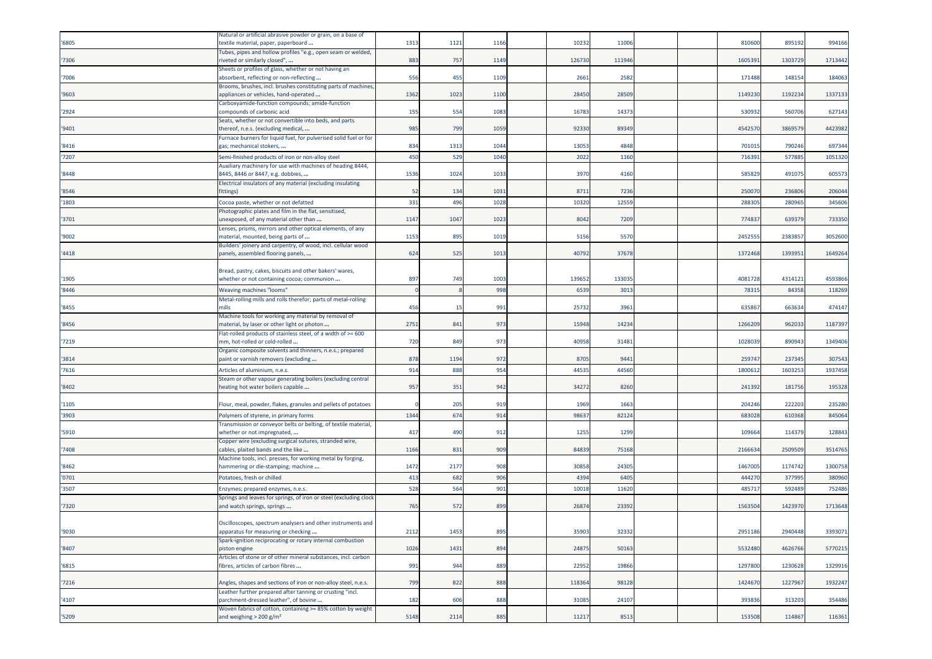| '6805 | Natural or artificial abrasive powder or grain, on a base of<br>textile material, paper, paperboard             | 1313         | 1121 | 1166 | 10232  | 11006  |  | 810600  | 895192  | 994166  |
|-------|-----------------------------------------------------------------------------------------------------------------|--------------|------|------|--------|--------|--|---------|---------|---------|
| '7306 | Tubes, pipes and hollow profiles "e.g., open seam or welded,<br>iveted or similarly closed",                    | 883          | 757  | 1149 | 126730 | 111946 |  | 160539  | 1303729 | 1713442 |
| '7006 | Sheets or profiles of glass, whether or not having an<br>absorbent, reflecting or non-reflecting                | 556          | 455  | 1109 | 2661   | 2582   |  | 171488  | 148154  | 184063  |
| '9603 | Brooms, brushes, incl. brushes constituting parts of machines,<br>appliances or vehicles, hand-operated         | 1362         | 1023 | 1100 | 28450  | 28509  |  | 1149230 | 119223  | 1337133 |
| '2924 | Carboxyamide-function compounds; amide-function<br>compounds of carbonic acid                                   | 155          | 554  | 1083 | 16783  | 14373  |  | 53093   | 560706  | 627143  |
|       | Seats, whether or not convertible into beds, and parts                                                          |              |      |      |        |        |  |         |         |         |
| '9401 | thereof, n.e.s. (excluding medical,<br>Furnace burners for liquid fuel, for pulverised solid fuel or for        | 985          | 799  | 1059 | 92330  | 89349  |  | 454257  | 386957  | 4423982 |
| '8416 | gas; mechanical stokers,                                                                                        | 834          | 1313 | 1044 | 13053  | 4848   |  | 70101   | 790246  | 697344  |
| '7207 | Semi-finished products of iron or non-alloy steel<br>Auxiliary machinery for use with machines of heading 8444, | 450          | 529  | 1040 | 2022   | 1160   |  | 716391  | 577885  | 1051320 |
| '8448 | 8445, 8446 or 8447, e.g. dobbies,                                                                               | 1536         | 1024 | 1033 | 3970   | 4160   |  | 585829  | 491075  | 605573  |
| '8546 | Electrical insulators of any material (excluding insulating<br>fittings)                                        | 52           | 134  | 1031 | 8711   | 7236   |  | 25007   | 236806  | 206044  |
| '1803 | Cocoa paste, whether or not defatted                                                                            | 331          | 496  | 1028 | 10320  | 1255   |  | 28830   | 28096   | 345606  |
| '3701 | Photographic plates and film in the flat, sensitised,<br>unexposed, of any material other than                  | 1147         | 1047 | 1023 | 8042   | 7209   |  | 77483   | 63937   | 733350  |
| '9002 | Lenses, prisms, mirrors and other optical elements, of any<br>material, mounted, being parts of                 | 1153         | 895  | 1019 | 5156   | 5570   |  | 245255  | 238385  | 3052600 |
| '4418 | Builders' joinery and carpentry, of wood, incl. cellular wood<br>panels, assembled flooring panels,             | 624          | 525  | 1013 | 40792  | 37678  |  | 1372468 | 1393951 | 1649264 |
|       |                                                                                                                 |              |      |      |        |        |  |         |         |         |
| '1905 | Bread, pastry, cakes, biscuits and other bakers' wares,<br>whether or not containing cocoa; communion           | 897          | 749  | 1003 | 139652 | 133035 |  | 4081728 | 4314121 | 4593866 |
| '8446 | <b>Weaving machines "looms"</b>                                                                                 | $\mathsf{C}$ |      | 998  | 6539   | 301    |  | 7831    | 84358   | 118269  |
|       | Metal-rolling mills and rolls therefor; parts of metal-rolling                                                  |              |      |      |        |        |  |         |         |         |
| '8455 | nills                                                                                                           | 456          | 15   | 991  | 25732  | 3961   |  | 63586   | 663634  | 474147  |
| '8456 | Machine tools for working any material by removal of<br>material, by laser or other light or photon             | 2751         | 841  | 973  | 15948  | 14234  |  | 126620  | 962033  | 1187397 |
| '7219 | Flat-rolled products of stainless steel, of a width of >= 600<br>nm, hot-rolled or cold-rolled                  | 720          | 849  | 973  | 40958  | 31481  |  | 102803  | 890943  | 1349406 |
|       | Organic composite solvents and thinners, n.e.s.; prepared                                                       |              |      |      |        |        |  |         |         |         |
| '3814 | paint or varnish removers (excluding                                                                            | 878          | 1194 | 972  | 8705   | 9441   |  | 25974   | 237345  | 307543  |
| '7616 | Articles of aluminium, n.e.s.<br>Steam or other vapour generating boilers (excluding central                    | 914          | 888  | 954  | 44535  | 44560  |  | 180061  | 160325  | 1937458 |
| '8402 | heating hot water boilers capable                                                                               | 957          | 351  | 942  | 34272  | 8260   |  | 241392  | 181756  | 195328  |
| '1105 | Flour, meal, powder, flakes, granules and pellets of potatoes                                                   |              | 205  | 919  | 1969   | 1663   |  | 204246  | 22220   | 235280  |
| '3903 | Polymers of styrene, in primary forms                                                                           | 1344         | 674  | 914  | 98637  | 82124  |  | 683028  | 610368  | 845064  |
| '5910 | Transmission or conveyor belts or belting, of textile material,                                                 | 417          | 490  | 912  | 1255   | 1299   |  | 10966   | 114379  | 128843  |
|       | whether or not impregnated,<br>Copper wire (excluding surgical sutures, stranded wire,                          |              |      |      |        |        |  |         |         |         |
| '7408 | cables, plaited bands and the like<br>Machine tools, incl. presses, for working metal by forging,               | 1166         | 831  | 909  | 84839  | 75168  |  | 2166634 | 2509509 | 3514765 |
| '8462 | hammering or die-stamping; machine                                                                              | 1472         | 2177 | 908  | 30858  | 24305  |  | 1467005 | 1174742 | 1300758 |
| '0701 | Potatoes, fresh or chilled                                                                                      | 413          | 682  | 906  | 4394   | 640    |  | 44427   | 37799   | 380960  |
| '3507 | Enzymes; prepared enzymes, n.e.s.                                                                               | 528          | 564  | 901  | 10018  | 11620  |  | 48571   | 59248   | 752486  |
| '7320 | Springs and leaves for springs, of iron or steel (excluding clock<br>and watch springs, springs                 | 765          | 572  | 899  | 26874  | 23392  |  | 1563504 | 1423970 | 1713648 |
|       |                                                                                                                 |              |      |      |        |        |  |         |         |         |
| '9030 | Oscilloscopes, spectrum analysers and other instruments and<br>apparatus for measuring or checking              | 2112         | 1453 | 895  | 35903  | 32332  |  | 2951186 | 2940448 | 3393071 |
| '8407 | Spark-ignition reciprocating or rotary internal combustion<br>piston engine                                     | 1026         | 1431 | 894  | 24875  | 50163  |  | 5532480 | 4626766 | 5770215 |
| '6815 | Articles of stone or of other mineral substances, incl. carbon<br>fibres, articles of carbon fibres             | 991          | 944  | 889  | 22952  | 19866  |  | 1297800 | 1230628 | 1329916 |
| '7216 | Angles, shapes and sections of iron or non-alloy steel, n.e.s.                                                  | 799          | 822  | 888  | 118364 | 98128  |  | 1424670 | 1227967 | 1932247 |
| '4107 | Leather further prepared after tanning or crusting "incl.<br>parchment-dressed leather", of bovine              | 182          | 606  | 888  | 31085  | 24107  |  | 393836  | 313203  | 354486  |
|       | Woven fabrics of cotton, containing >= 85% cotton by weight                                                     |              |      |      |        |        |  |         |         |         |
| '5209 | and weighing $>$ 200 g/m <sup>2</sup>                                                                           | 5148         | 2114 | 885  | 11217  | 8513   |  | 153508  | 114867  | 116361  |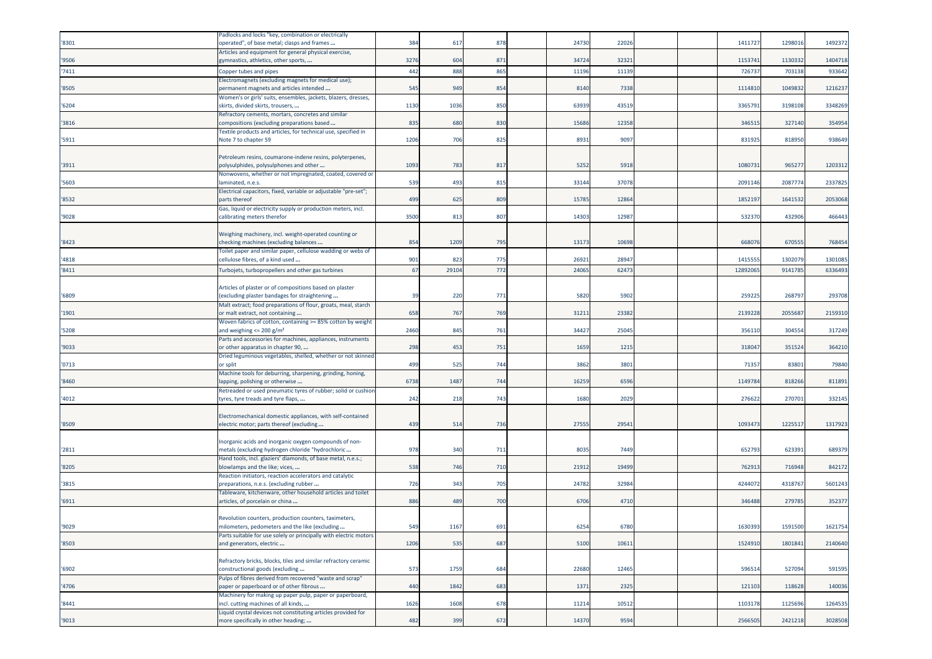|       | Padlocks and locks "key, combination or electrically                                                        |      |       |     |       |       |  |          |         |         |
|-------|-------------------------------------------------------------------------------------------------------------|------|-------|-----|-------|-------|--|----------|---------|---------|
| '8301 | operated", of base metal; clasps and frames                                                                 | 384  | 617   | 878 | 24730 | 22026 |  | 141172   | 1298016 | 1492372 |
|       | Articles and equipment for general physical exercise,                                                       |      |       |     |       |       |  |          |         |         |
| '9506 | gymnastics, athletics, other sports,                                                                        | 3276 | 604   | 871 | 34724 | 32321 |  | 115374   | 1130332 | 1404718 |
| '7411 | Copper tubes and pipes                                                                                      | 442  | 888   | 865 | 11196 | 11139 |  | 72673    | 703138  | 933642  |
|       | Electromagnets (excluding magnets for medical use);                                                         |      |       |     |       |       |  |          |         |         |
| '8505 | oermanent magnets and articles intended                                                                     | 545  | 949   | 854 | 8140  | 7338  |  | 111481   | 104983  | 1216237 |
| '6204 | Women's or girls' suits, ensembles, jackets, blazers, dresses,<br>skirts, divided skirts, trousers,         | 1130 | 1036  | 850 | 63939 | 43519 |  | 336579   | 319810  | 3348269 |
|       | Refractory cements, mortars, concretes and similar                                                          |      |       |     |       |       |  |          |         |         |
| '3816 | compositions (excluding preparations based                                                                  | 835  | 680   | 830 | 15686 | 12358 |  | 34651    | 327140  | 354954  |
|       | Textile products and articles, for technical use, specified in                                              |      |       |     |       |       |  |          |         |         |
| '5911 | Note 7 to chapter 59                                                                                        | 1206 | 706   | 825 | 8931  | 9097  |  | 83192    | 818950  | 938649  |
|       |                                                                                                             |      |       |     |       |       |  |          |         |         |
|       | Petroleum resins, coumarone-indene resins, polyterpenes,                                                    |      |       |     |       |       |  |          |         |         |
| '3911 | polysulphides, polysulphones and other                                                                      | 1093 | 783   | 817 | 5252  | 5918  |  | 108073   | 96527   | 1203312 |
| '5603 | Nonwovens, whether or not impregnated, coated, covered or<br>laminated, n.e.s.                              | 539  | 493   | 815 | 33144 | 37078 |  | 2091146  | 208777  | 2337825 |
|       | Electrical capacitors, fixed, variable or adjustable "pre-set";                                             |      |       |     |       |       |  |          |         |         |
| '8532 | parts thereof                                                                                               | 499  | 625   | 809 | 15785 | 12864 |  | 185219   | 1641532 | 2053068 |
|       | Gas, liquid or electricity supply or production meters, incl.                                               |      |       |     |       |       |  |          |         |         |
| '9028 | calibrating meters therefor                                                                                 | 3500 | 813   | 807 | 14303 | 12987 |  | 532370   | 432906  | 466443  |
|       |                                                                                                             |      |       |     |       |       |  |          |         |         |
|       | Weighing machinery, incl. weight-operated counting or                                                       |      |       |     |       |       |  |          |         |         |
| '8423 | checking machines (excluding balances                                                                       | 854  | 1209  | 795 | 13173 | 10698 |  | 668076   | 670555  | 768454  |
|       | Toilet paper and similar paper, cellulose wadding or webs of                                                |      |       |     | 26921 |       |  | 141555   |         |         |
| '4818 | cellulose fibres, of a kind used                                                                            | 901  | 823   | 775 |       | 28947 |  |          | 130207  | 1301085 |
| '8411 | Turbojets, turbopropellers and other gas turbines                                                           | 67   | 29104 | 772 | 24065 | 62473 |  | 12892065 | 9141785 | 6336493 |
|       | Articles of plaster or of compositions based on plaster                                                     |      |       |     |       |       |  |          |         |         |
| '6809 | excluding plaster bandages for straightening                                                                | 39   | 220   | 771 | 5820  | 5902  |  | 259225   | 26879   | 293708  |
|       | Malt extract; food preparations of flour, groats, meal, starch                                              |      |       |     |       |       |  |          |         |         |
| '1901 | or malt extract, not containing                                                                             | 658  | 767   | 769 | 31211 | 23382 |  | 2139228  | 205568  | 2159310 |
|       | Woven fabrics of cotton, containing >= 85% cotton by weight                                                 |      |       |     |       |       |  |          |         |         |
| '5208 | and weighing $\leq$ 200 g/m <sup>2</sup>                                                                    | 2460 | 845   | 761 | 34427 | 25045 |  | 356110   | 304554  | 317249  |
|       | Parts and accessories for machines, appliances, instruments                                                 |      |       |     |       |       |  |          |         |         |
| '9033 | or other apparatus in chapter 90,                                                                           | 298  | 453   | 751 | 1659  | 1215  |  | 318047   | 351524  | 364210  |
|       | Dried leguminous vegetables, shelled, whether or not skinned                                                | 499  | 525   | 744 | 3862  | 3801  |  | 7135     | 8380    | 79840   |
| '0713 | or split<br>Machine tools for deburring, sharpening, grinding, honing,                                      |      |       |     |       |       |  |          |         |         |
| '8460 | lapping, polishing or otherwise                                                                             | 6738 | 1487  | 744 | 16259 | 6596  |  | 114978   | 818266  | 811891  |
|       | Retreaded or used pneumatic tyres of rubber; solid or cushior                                               |      |       |     |       |       |  |          |         |         |
| '4012 | tyres, tyre treads and tyre flaps,                                                                          | 242  | 218   | 743 | 1680  | 2029  |  | 276622   | 270701  | 332145  |
|       |                                                                                                             |      |       |     |       |       |  |          |         |         |
|       | Electromechanical domestic appliances, with self-contained                                                  |      |       |     |       |       |  |          |         |         |
| '8509 | electric motor; parts thereof (excluding                                                                    | 439  | 514   | 736 | 27555 | 29541 |  | 1093473  | 122551  | 1317923 |
|       |                                                                                                             |      |       |     |       |       |  |          |         |         |
| '2811 | Inorganic acids and inorganic oxygen compounds of non-<br>metals (excluding hydrogen chloride "hydrochloric | 978  | 340   | 711 | 8035  | 7449  |  | 65279    | 623391  | 689379  |
|       | Hand tools, incl. glaziers' diamonds, of base metal, n.e.s.;                                                |      |       |     |       |       |  |          |         |         |
| '8205 | blowlamps and the like; vices,                                                                              | 538  | 746   | 710 | 21912 | 19499 |  | 76291    | 716948  | 842172  |
|       | Reaction initiators, reaction accelerators and catalytic                                                    |      |       |     |       |       |  |          |         |         |
| '3815 | oreparations, n.e.s. (excluding rubber                                                                      | 726  | 343   | 705 | 24782 | 32984 |  | 424407   | 431876  | 5601243 |
|       | Tableware, kitchenware, other household articles and toilet                                                 |      |       |     |       |       |  |          |         |         |
| '6911 | articles, of porcelain or china                                                                             | 886  | 489   | 700 | 6706  | 4710  |  | 346488   | 279785  | 352377  |
|       | Revolution counters, production counters, taximeters,                                                       |      |       |     |       |       |  |          |         |         |
| 9029  | nilometers, pedometers and the like (excluding                                                              | 549  | 1167  | 691 | 6254  | 6780  |  | 1630393  | 1591500 | 1621754 |
|       | Parts suitable for use solely or principally with electric motors                                           |      |       |     |       |       |  |          |         |         |
| '8503 | and generators, electric                                                                                    | 1206 | 535   | 687 | 5100  | 10611 |  | 1524910  | 1801841 | 2140640 |
|       |                                                                                                             |      |       |     |       |       |  |          |         |         |
|       | Refractory bricks, blocks, tiles and similar refractory ceramic                                             |      |       |     |       |       |  |          |         |         |
| '6902 | constructional goods (excluding                                                                             | 573  | 1759  | 684 | 22680 | 12465 |  | 596514   | 527094  | 591595  |
|       | Pulps of fibres derived from recovered "waste and scrap"                                                    | 440  |       |     |       |       |  |          |         |         |
| '4706 | paper or paperboard or of other fibrous                                                                     |      | 1842  | 683 | 1371  | 2325  |  | 121103   | 118628  | 140036  |
|       |                                                                                                             |      |       |     |       |       |  |          |         |         |
| '8441 | Machinery for making up paper pulp, paper or paperboard,                                                    | 1626 | 1608  | 678 | 11214 | 10512 |  | 1103178  | 1125696 | 1264535 |
|       | incl. cutting machines of all kinds,<br>Liquid crystal devices not constituting articles provided for       |      |       |     |       |       |  |          |         |         |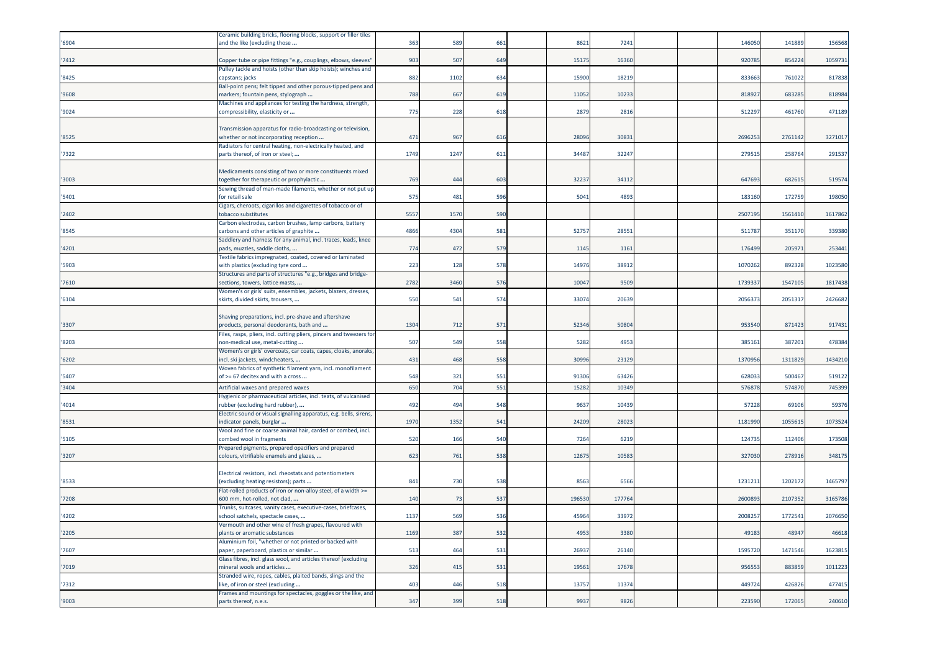|       | Ceramic building bricks, flooring blocks, support or filler tiles                                         |      |      |     |        |       |  |         |         |         |
|-------|-----------------------------------------------------------------------------------------------------------|------|------|-----|--------|-------|--|---------|---------|---------|
| '6904 | and the like (excluding those                                                                             | 363  | 589  | 661 | 862    | 7241  |  | 146050  | 141889  | 156568  |
|       |                                                                                                           |      |      |     |        |       |  |         |         |         |
| 7412  | Copper tube or pipe fittings "e.g., couplings, elbows, sleeves'                                           | 903  | 507  | 649 | 15175  | 16360 |  | 92078   | 854224  | 1059731 |
| 8425  | Pulley tackle and hoists (other than skip hoists); winches and<br>capstans; jacks                         | 882  | 1102 | 634 | 1590   | 1821  |  | 833663  | 761022  | 817838  |
|       | Ball-point pens; felt tipped and other porous-tipped pens and                                             |      |      |     |        |       |  |         |         |         |
| '9608 | markers; fountain pens, stylograph                                                                        | 788  | 667  | 61  | 1105   | 1023  |  | 81892   | 68328   | 818984  |
|       | Machines and appliances for testing the hardness, strength,                                               |      |      |     |        |       |  |         |         |         |
| '9024 | compressibility, elasticity or                                                                            | 775  | 228  | 618 | 2879   | 2816  |  | 51229   | 46176   | 471189  |
|       |                                                                                                           |      |      |     |        |       |  |         |         |         |
| '8525 | Fransmission apparatus for radio-broadcasting or television,<br>whether or not incorporating reception    | 471  | 967  | 616 | 2809   | 3083  |  | 2696253 | 2761142 | 3271017 |
|       | Radiators for central heating, non-electrically heated, and                                               |      |      |     |        |       |  |         |         |         |
| '7322 | parts thereof, of iron or steel;                                                                          | 1749 | 1247 | 611 | 3448   | 32247 |  | 27951   | 25876   | 291537  |
|       |                                                                                                           |      |      |     |        |       |  |         |         |         |
|       | Medicaments consisting of two or more constituents mixed                                                  |      |      |     |        |       |  |         |         |         |
| 3003  | together for therapeutic or prophylactic                                                                  | 769  | 444  | 603 | 3223   | 34112 |  | 647693  | 682615  | 519574  |
| 5401  | Sewing thread of man-made filaments, whether or not put up<br>for retail sale                             | 575  | 481  | 596 | 504    | 489   |  | 183160  | 17275   | 198050  |
|       | Cigars, cheroots, cigarillos and cigarettes of tobacco or of                                              |      |      |     |        |       |  |         |         |         |
| 2402  | tobacco substitutes                                                                                       | 5557 | 1570 | 590 |        |       |  | 250719  | 156141  | 1617862 |
|       | Carbon electrodes, carbon brushes, lamp carbons, battery                                                  |      |      |     |        |       |  |         |         |         |
| '8545 | carbons and other articles of graphite                                                                    | 4866 | 4304 | 581 | 5275   | 28551 |  | 51178   | 351170  | 339380  |
| 4201  | Saddlery and harness for any animal, incl. traces, leads, knee                                            | 774  | 472  | 579 | 1145   | 116   |  |         | 20597   | 253441  |
|       | pads, muzzles, saddle cloths,<br>Textile fabrics impregnated, coated, covered or laminated                |      |      |     |        |       |  | 176499  |         |         |
| 5903  | with plastics (excluding tyre cord                                                                        | 223  | 128  | 578 | 1497   | 38912 |  | 1070262 | 89232   | 1023580 |
|       | Structures and parts of structures "e.g., bridges and bridge-                                             |      |      |     |        |       |  |         |         |         |
| 7610  | sections, towers, lattice masts,                                                                          | 2782 | 3460 | 576 | 1004   | 9509  |  | 1739337 | 1547105 | 1817438 |
|       | Women's or girls' suits, ensembles, jackets, blazers, dresses,                                            |      |      |     |        |       |  |         |         |         |
| 6104  | skirts, divided skirts, trousers,                                                                         | 550  | 541  | 574 | 33074  | 20639 |  | 205637  | 2051317 | 2426682 |
|       | Shaving preparations, incl. pre-shave and aftershave                                                      |      |      |     |        |       |  |         |         |         |
| 3307  | products, personal deodorants, bath and                                                                   | 1304 | 712  | 571 | 52346  | 50804 |  | 953540  | 871423  | 917431  |
|       | Files, rasps, pliers, incl. cutting pliers, pincers and tweezers for                                      |      |      |     |        |       |  |         |         |         |
| 8203  | non-medical use, metal-cutting.                                                                           | 507  | 549  | 558 | 5282   | 4953  |  | 38516   | 387201  | 478384  |
|       | Women's or girls' overcoats, car coats, capes, cloaks, anoraks,                                           |      |      |     |        |       |  |         |         |         |
| 6202  | incl. ski jackets, windcheaters,<br>Woven fabrics of synthetic filament yarn, incl. monofilament          | 431  | 468  | 558 | 30996  | 23129 |  | 1370956 | 1311829 | 1434210 |
| 5407  | of >= 67 decitex and with a cross                                                                         | 548  | 321  | 551 | 9130   | 63426 |  | 62803   | 500467  | 519122  |
| 3404  | Artificial waxes and prepared waxes                                                                       | 650  | 704  | 551 | 1528   | 1034  |  | 57687   | 57487   | 745399  |
|       | Hygienic or pharmaceutical articles, incl. teats, of vulcanised                                           |      |      |     |        |       |  |         |         |         |
| '4014 | rubber (excluding hard rubber),                                                                           | 492  | 494  | 548 | 963    | 10439 |  | 57228   | 69106   | 59376   |
|       | Electric sound or visual signalling apparatus, e.g. bells, sirens,                                        |      |      |     |        |       |  |         |         |         |
| '8531 | indicator panels, burglar                                                                                 | 1970 | 1352 | 541 | 24209  | 28023 |  | 1181990 | 105561  | 1073524 |
| 5105  | Wool and fine or coarse animal hair, carded or combed, incl.<br>combed wool in fragments                  | 520  | 166  | 540 | 7264   | 6219  |  | 12473   | 112406  | 173508  |
|       | Prepared pigments, prepared opacifiers and prepared                                                       |      |      |     |        |       |  |         |         |         |
| '3207 | colours, vitrifiable enamels and glazes,                                                                  | 623  | 761  | 538 | 1267   | 1058  |  | 327030  | 278916  | 348175  |
|       |                                                                                                           |      |      |     |        |       |  |         |         |         |
|       | Electrical resistors, incl. rheostats and potentiometers                                                  |      |      |     |        |       |  |         |         |         |
| '8533 | (excluding heating resistors); parts                                                                      | 841  | 730  | 538 | 856    | 6566  |  | 123121  | 120217  | 1465797 |
| 7208  | Flat-rolled products of iron or non-alloy steel, of a width >=<br>600 mm, hot-rolled, not clad,           | 140  | 73   | 537 | 196530 | 17776 |  | 260089  | 2107352 | 3165786 |
|       | Frunks, suitcases, vanity cases, executive-cases, briefcases,                                             |      |      |     |        |       |  |         |         |         |
| 4202  | school satchels, spectacle cases,                                                                         | 1137 | 569  | 536 | 45964  | 33972 |  | 200825  | 177254  | 2076650 |
|       | Vermouth and other wine of fresh grapes, flavoured with                                                   |      |      |     |        |       |  |         |         |         |
| '2205 | plants or aromatic substances                                                                             | 1169 | 387  | 532 | 4953   | 3380  |  | 49183   | 48947   | 46618   |
| 7607  | Aluminium foil, "whether or not printed or backed with                                                    |      | 464  | 531 | 2693   | 26140 |  | 1595720 | 1471546 | 1623815 |
|       | paper, paperboard, plastics or similar<br>Glass fibres, incl. glass wool, and articles thereof (excluding | 513  |      |     |        |       |  |         |         |         |
| 7019  | mineral wools and articles                                                                                | 326  | 415  | 531 | 1956   | 1767  |  | 956553  | 88385   | 1011223 |
|       | Stranded wire, ropes, cables, plaited bands, slings and the                                               |      |      |     |        |       |  |         |         |         |
| 7312  | like, of iron or steel (excluding                                                                         | 403  | 446  | 518 | 1375   | 1137  |  | 44972   | 42682   | 477415  |
|       | Frames and mountings for spectacles, goggles or the like, and                                             |      |      |     |        |       |  |         |         |         |
| '9003 | parts thereof, n.e.s.                                                                                     | 347  | 399  | 518 | 9937   | 9826  |  | 223590  | 172065  | 240610  |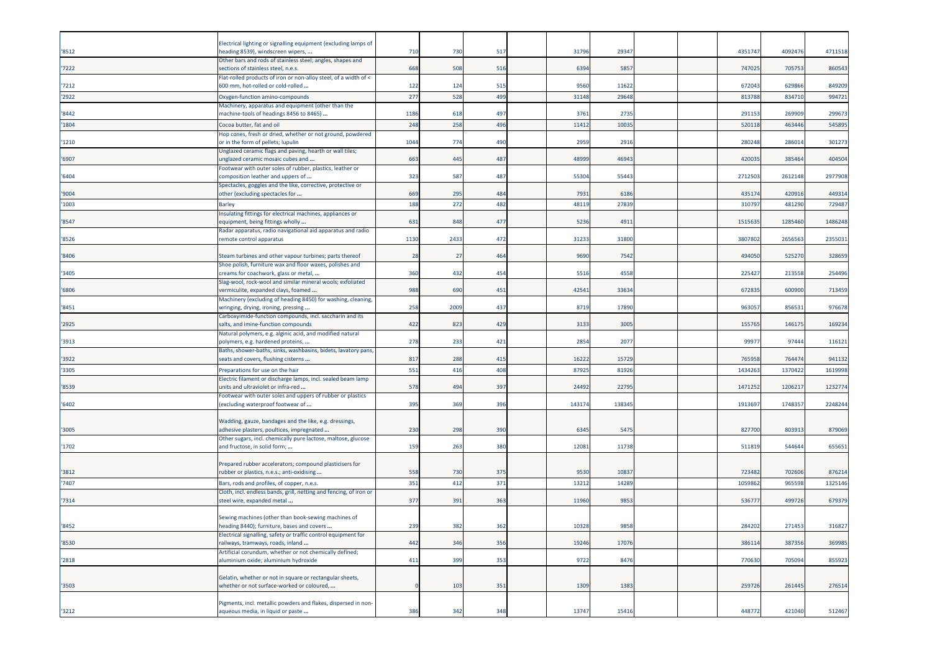|       | Electrical lighting or signalling equipment (excluding lamps of                                       |      |      |     |        |        |  |         |         |         |
|-------|-------------------------------------------------------------------------------------------------------|------|------|-----|--------|--------|--|---------|---------|---------|
| '8512 | heading 8539), windscreen wipers,                                                                     | 710  | 730  | 517 | 31796  | 29347  |  | 4351747 | 4092476 | 4711518 |
|       | Other bars and rods of stainless steel; angles, shapes and                                            |      |      |     |        |        |  |         |         |         |
| 7222  | sections of stainless steel, n.e.s.                                                                   | 668  | 508  | 516 | 6394   | 5857   |  | 747025  | 705753  | 860543  |
| '7212 | Flat-rolled products of iron or non-alloy steel, of a width of <<br>600 mm, hot-rolled or cold-rolled | 122  | 124  | 515 | 9560   | 11622  |  | 672043  | 629866  | 849209  |
|       |                                                                                                       |      |      |     |        |        |  |         |         |         |
| '2922 | Oxygen-function amino-compounds                                                                       | 277  | 528  | 499 | 31148  | 29648  |  | 81378   | 83471   | 994721  |
| '8442 | Machinery, apparatus and equipment (other than the<br>machine-tools of headings 8456 to 8465)         | 1186 | 618  | 497 | 3761   | 2735   |  | 29115   | 26990   | 299673  |
|       |                                                                                                       |      |      |     |        |        |  |         |         |         |
| '1804 | Cocoa butter, fat and oil                                                                             | 248  | 258  | 496 | 11412  | 1003   |  | 52011   | 463446  | 545895  |
| '1210 | Hop cones, fresh or dried, whether or not ground, powdered<br>or in the form of pellets; lupulin      | 1044 | 774  | 490 | 2959   | 2916   |  | 280248  | 286014  | 301273  |
|       | Unglazed ceramic flags and paving, hearth or wall tiles;                                              |      |      |     |        |        |  |         |         |         |
| '6907 | unglazed ceramic mosaic cubes and                                                                     | 663  | 445  | 487 | 48999  | 46943  |  | 420035  | 385464  | 404504  |
|       | Footwear with outer soles of rubber, plastics, leather or                                             |      |      |     |        |        |  |         |         |         |
| '6404 | composition leather and uppers of                                                                     | 323  | 587  | 487 | 55304  | 55443  |  | 271250  | 2612148 | 2977908 |
|       | Spectacles, goggles and the like, corrective, protective or                                           |      |      |     |        |        |  |         |         |         |
| '9004 | other (excluding spectacles for                                                                       | 669  | 295  | 484 | 7931   | 6186   |  | 435174  | 420916  | 449314  |
| '1003 | <b>Barley</b>                                                                                         | 188  | 272  | 482 | 48119  | 2783   |  | 31079   | 481290  | 729487  |
|       | nsulating fittings for electrical machines, appliances or                                             |      |      |     |        |        |  |         |         |         |
| '8547 | equipment, being fittings wholly                                                                      | 631  | 848  | 477 | 5236   | 4911   |  | 1515635 | 1285460 | 1486248 |
|       | Radar apparatus, radio navigational aid apparatus and radio                                           |      |      |     |        |        |  |         |         |         |
| '8526 | remote control apparatus                                                                              | 1130 | 2433 | 472 | 31233  | 31800  |  | 380780  | 2656563 | 2355031 |
| '8406 | Steam turbines and other vapour turbines; parts thereof                                               | 28   | 27   | 464 | 9690   | 7542   |  | 494050  | 52527   | 328659  |
|       | Shoe polish, furniture wax and floor waxes, polishes and                                              |      |      |     |        |        |  |         |         |         |
| '3405 | creams for coachwork, glass or metal,                                                                 | 360  | 432  | 454 | 5516   | 4558   |  | 22542   | 213558  | 254496  |
|       | Slag-wool, rock-wool and similar mineral wools; exfoliated                                            |      |      |     |        |        |  |         |         |         |
| '6806 | vermiculite, expanded clays, foamed                                                                   | 988  | 690  | 451 | 42541  | 33634  |  | 672835  | 600900  | 713459  |
|       | Machinery (excluding of heading 8450) for washing, cleaning,                                          |      |      |     |        |        |  |         |         |         |
| '8451 | wringing, drying, ironing, pressing                                                                   | 258  | 2009 | 437 | 8719   | 17890  |  | 96305   | 856531  | 976678  |
|       | Carboxyimide-function compounds, incl. saccharin and its                                              |      |      |     |        |        |  |         |         |         |
| '2925 | salts, and imine-function compounds                                                                   | 422  | 823  | 429 | 3133   | 3005   |  | 155765  | 146175  | 169234  |
|       | Natural polymers, e.g. alginic acid, and modified natural                                             |      |      |     |        |        |  |         |         |         |
| '3913 | polymers, e.g. hardened proteins,                                                                     | 278  | 233  | 421 | 2854   | 2077   |  | 9997    | 97444   | 116121  |
| '3922 | Baths, shower-baths, sinks, washbasins, bidets, lavatory pans,<br>seats and covers, flushing cisterns | 817  | 288  | 415 | 16222  | 15729  |  | 76595   | 76447   | 941132  |
| '3305 |                                                                                                       | 551  | 416  | 408 | 87925  | 81926  |  | 1434263 | 1370422 | 1619998 |
|       | Preparations for use on the hair<br>Electric filament or discharge lamps, incl. sealed beam lamp      |      |      |     |        |        |  |         |         |         |
| '8539 | units and ultraviolet or infra-red                                                                    | 578  | 494  | 397 | 24492  | 2279   |  | 1471252 | 120621  | 1232774 |
|       | Footwear with outer soles and uppers of rubber or plastics                                            |      |      |     |        |        |  |         |         |         |
| '6402 | excluding waterproof footwear of                                                                      | 395  | 369  | 396 | 143174 | 138345 |  | 1913697 | 1748357 | 2248244 |
|       |                                                                                                       |      |      |     |        |        |  |         |         |         |
|       | Wadding, gauze, bandages and the like, e.g. dressings,                                                |      |      |     |        |        |  |         |         |         |
| '3005 | adhesive plasters, poultices, impregnated                                                             | 230  | 298  | 390 | 6345   | 5475   |  | 827700  | 803913  | 879069  |
|       | Other sugars, incl. chemically pure lactose, maltose, glucose                                         |      |      |     |        |        |  |         |         |         |
| '1702 | and fructose, in solid form;                                                                          | 159  | 263  | 380 | 12081  | 11738  |  | 511819  | 544644  | 655651  |
|       | Prepared rubber accelerators; compound plasticisers for                                               |      |      |     |        |        |  |         |         |         |
| '3812 | rubber or plastics, n.e.s.; anti-oxidising                                                            | 558  | 730  | 375 | 9530   | 10837  |  | 723482  | 702606  | 876214  |
| '7407 | Bars, rods and profiles, of copper, n.e.s.                                                            | 351  | 412  | 371 | 13212  | 14289  |  | 105986  | 965598  | 1325146 |
|       | Cloth, incl. endless bands, grill, netting and fencing, of iron or                                    |      |      |     |        |        |  |         |         |         |
| '7314 | steel wire, expanded metal                                                                            | 377  | 391  | 363 | 11960  | 9853   |  | 53677   | 499726  | 679379  |
|       |                                                                                                       |      |      |     |        |        |  |         |         |         |
|       | Sewing machines (other than book-sewing machines of                                                   |      |      |     |        |        |  |         |         |         |
| '8452 | heading 8440); furniture, bases and covers                                                            | 239  | 382  | 362 | 10328  | 9858   |  | 284202  | 271453  | 316827  |
|       | Electrical signalling, safety or traffic control equipment for                                        |      |      |     |        |        |  |         |         |         |
| '8530 | railways, tramways, roads, inland                                                                     | 442  | 346  | 356 | 19246  | 17076  |  | 386114  | 387356  | 369985  |
|       | Artificial corundum, whether or not chemically defined;                                               |      |      |     |        |        |  |         |         |         |
| '2818 | aluminium oxide; aluminium hydroxide                                                                  | 411  | 399  | 353 | 9722   | 8476   |  | 770630  | 705094  | 855923  |
|       | Gelatin, whether or not in square or rectangular sheets,                                              |      |      |     |        |        |  |         |         |         |
| '3503 | whether or not surface-worked or coloured,                                                            |      | 103  | 351 | 1309   | 1383   |  | 259726  | 261445  | 276514  |
|       |                                                                                                       |      |      |     |        |        |  |         |         |         |
|       | Pigments, incl. metallic powders and flakes, dispersed in non-                                        |      |      |     |        |        |  |         |         |         |
| '3212 | aqueous media, in liquid or paste                                                                     | 386  | 342  | 348 | 13747  | 15416  |  | 448772  | 421040  | 512467  |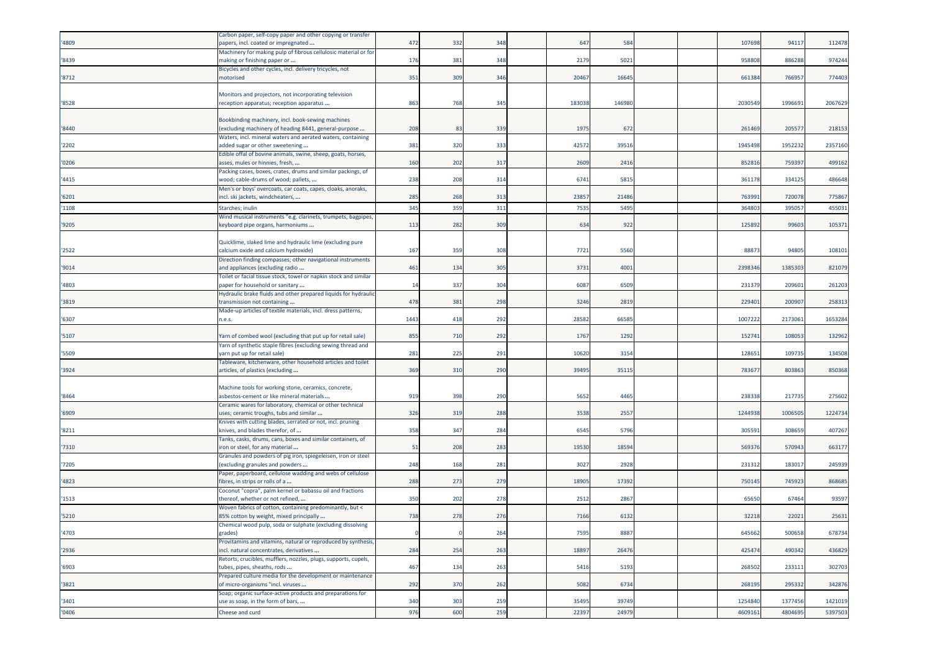| '4809  | Carbon paper, self-copy paper and other copying or transfer<br>papers, incl. coated or impregnated                             | 472      | 332 | 348 | 647    | 584    |  | 107698  | 94117   | 112478  |
|--------|--------------------------------------------------------------------------------------------------------------------------------|----------|-----|-----|--------|--------|--|---------|---------|---------|
| '8439  | Machinery for making pulp of fibrous cellulosic material or for<br>making or finishing paper or                                | 176      | 381 | 348 | 2179   | 5021   |  | 95880   | 886288  | 974244  |
| '8712  | Bicycles and other cycles, incl. delivery tricycles, not<br>motorised                                                          | 351      | 309 | 346 | 20467  | 16645  |  | 661384  | 76695   | 774403  |
| '8528  | Monitors and projectors, not incorporating television<br>reception apparatus; reception apparatus                              | 863      | 768 | 345 | 183038 | 146980 |  | 2030549 | 199669  | 2067629 |
| '8440  | Bookbinding machinery, incl. book-sewing machines<br>(excluding machinery of heading 8441, general-purpose                     | 208      | 83  | 339 | 1975   | 672    |  | 261469  | 20557   | 218153  |
| '2202  | Waters, incl. mineral waters and aerated waters, containing<br>added sugar or other sweetening                                 | 381      | 320 | 333 | 42572  | 39516  |  | 1945498 | 1952232 | 2357160 |
| '0206  | Edible offal of bovine animals, swine, sheep, goats, horses,<br>asses, mules or hinnies, fresh,                                | 160      | 202 | 317 | 2609   | 2416   |  | 85281   | 759397  | 499162  |
| '4415  | Packing cases, boxes, crates, drums and similar packings, of<br>wood; cable-drums of wood; pallets,                            | 238      | 208 | 314 | 6741   | 5815   |  | 36117   | 33412   | 486648  |
| '6201  | Men's or boys' overcoats, car coats, capes, cloaks, anoraks,<br>incl. ski jackets, windcheaters,                               | 285      | 268 | 313 | 23857  | 21486  |  | 76399   | 720078  | 775867  |
| '1108  | Starches; inulin                                                                                                               | 345      | 359 | 311 | 7535   | 5495   |  | 36480   | 39505   | 455031  |
| '9205  | Wind musical instruments "e.g. clarinets, trumpets, bagpipes,<br>keyboard pipe organs, harmoniums                              | 113      | 282 | 309 | 634    | 922    |  | 125892  | 99603   | 105371  |
| '2522  | Quicklime, slaked lime and hydraulic lime (excluding pure<br>calcium oxide and calcium hydroxide)                              | 167      | 359 | 308 | 7721   | 5560   |  | 8887    | 94805   | 108101  |
| '9014  | Direction finding compasses; other navigational instruments<br>and appliances (excluding radio                                 | 461      | 134 | 305 | 3731   | 4001   |  | 2398346 | 1385303 | 821079  |
| '4803  | Foilet or facial tissue stock, towel or napkin stock and similar<br>paper for household or sanitary                            | 14       | 337 | 304 | 6087   | 6509   |  | 23137   | 20960   | 261203  |
| '3819  | Hydraulic brake fluids and other prepared liquids for hydraulic<br>transmission not containing                                 | 478      | 381 | 298 | 3246   | 2819   |  | 22940   | 200907  | 258313  |
| '6307  | Made-up articles of textile materials, incl. dress patterns,<br>n.e.s.                                                         | 1443     | 418 | 292 | 28582  | 66585  |  | 100722  | 217306  | 1653284 |
| '5107  | Yarn of combed wool (excluding that put up for retail sale)                                                                    | 855      | 710 | 292 | 1767   | 1292   |  | 15274   | 108053  | 132962  |
| '5509  | Yarn of synthetic staple fibres (excluding sewing thread and<br>yarn put up for retail sale)                                   | 281      | 225 | 291 | 10620  | 3154   |  | 12865   | 109735  | 134508  |
| '3924  | Fableware, kitchenware, other household articles and toilet<br>articles, of plastics (excluding                                | 369      | 310 | 290 | 39495  | 35115  |  | 783677  | 803863  | 850368  |
| '8464  | Machine tools for working stone, ceramics, concrete,<br>asbestos-cement or like mineral materials                              | 919      | 398 | 290 | 5652   | 4465   |  | 23833   | 217735  | 275602  |
| '6909' | Ceramic wares for laboratory, chemical or other technical<br>uses; ceramic troughs, tubs and similar                           | 326      | 319 | 288 | 3538   | 2557   |  | 1244938 | 1006505 | 1224734 |
| '8211  | <nives blades,="" cutting="" incl.="" not,="" or="" pruning<br="" serrated="" with="">knives, and blades therefor, of </nives> | 358      | 347 | 284 | 6545   | 5796   |  | 30559   | 30865   | 407267  |
| '7310  | Tanks, casks, drums, cans, boxes and similar containers, of<br>iron or steel, for any material.                                | 51       | 208 | 283 | 19530  | 18594  |  | 56937   | 570943  | 663177  |
| '7205  | Granules and powders of pig iron, spiegeleisen, iron or steel<br>(excluding granules and powders                               | 248      | 168 | 281 | 3027   | 2928   |  | 23131   | 18301   | 245939  |
| '4823  | Paper, paperboard, cellulose wadding and webs of cellulose<br>ibres, in strips or rolls of a                                   | 288      | 273 | 279 | 18905  | 17392  |  | 75014   | 74592   | 868685  |
| '1513  | Coconut "copra", palm kernel or babassu oil and fractions<br>thereof, whether or not refined,                                  | 350      | 202 | 278 | 2512   | 2867   |  | 65650   | 67464   | 93597   |
| '5210  | Woven fabrics of cotton, containing predominantly, but <<br>85% cotton by weight, mixed principally                            | 738      | 278 | 276 | 7166   | 6132   |  | 32218   | 22021   | 25631   |
| '4703  | Chemical wood pulp, soda or sulphate (excluding dissolving<br>grades)                                                          | $\Omega$ |     | 264 | 7595   | 8887   |  | 645662  | 500658  | 678734  |
| '2936  | Provitamins and vitamins, natural or reproduced by synthesis,<br>incl. natural concentrates, derivatives                       | 284      | 254 | 263 | 18897  | 26476  |  | 425474  | 490342  | 436829  |
| '6903  | Retorts, crucibles, mufflers, nozzles, plugs, supports, cupels,<br>tubes, pipes, sheaths, rods                                 | 467      | 134 | 263 | 5416   | 5193   |  | 268502  | 233111  | 302703  |
| '3821  | Prepared culture media for the development or maintenance<br>of micro-organisms "incl. viruses                                 | 292      | 370 | 262 | 5082   | 6734   |  | 268195  | 295332  | 342876  |
| '3401  | Soap; organic surface-active products and preparations for<br>use as soap, in the form of bars,                                | 340      | 303 | 259 | 35495  | 39749  |  | 1254840 | 1377456 | 1421019 |
| '0406  | Cheese and curd                                                                                                                | 976      | 600 | 259 | 22397  | 24979  |  | 4609161 | 4804695 | 5397503 |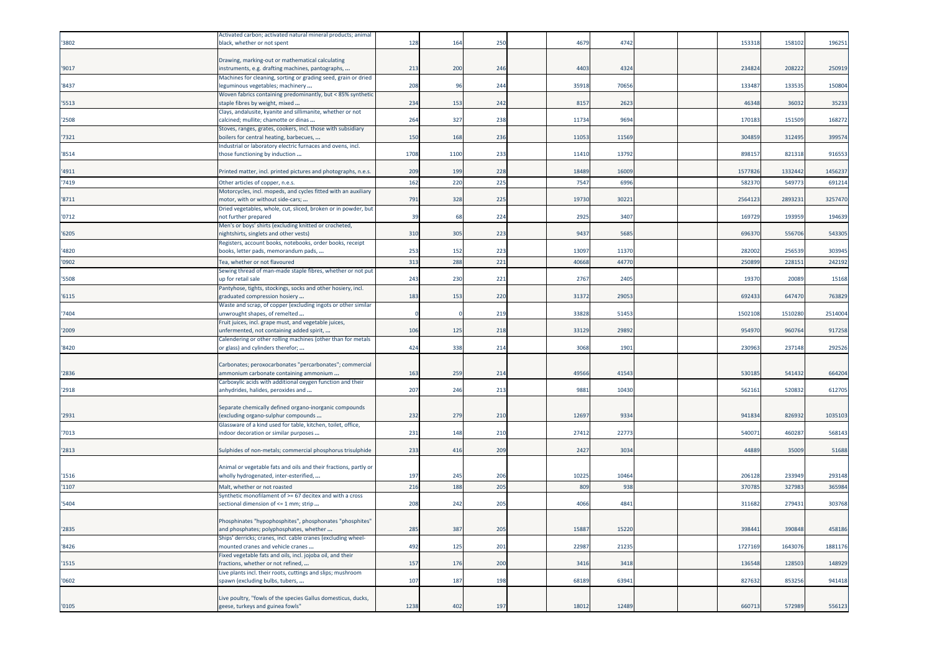|       | Activated carbon; activated natural mineral products; animal                                   |      |      |     |       |       |  |         |         |         |
|-------|------------------------------------------------------------------------------------------------|------|------|-----|-------|-------|--|---------|---------|---------|
| 3802  | black, whether or not spent                                                                    | 128  | 164  | 250 | 4679  | 4742  |  | 153318  | 158102  | 196251  |
|       |                                                                                                |      |      |     |       |       |  |         |         |         |
|       | Drawing, marking-out or mathematical calculating                                               |      |      |     |       |       |  |         |         |         |
| '9017 | instruments, e.g. drafting machines, pantographs,                                              | 213  | 200  | 246 | 4403  | 4324  |  | 234824  | 208222  | 250919  |
|       |                                                                                                |      |      |     |       |       |  |         |         |         |
|       | Machines for cleaning, sorting or grading seed, grain or dried                                 |      |      |     |       |       |  |         |         |         |
| '8437 | leguminous vegetables; machinery                                                               | 208  | 96   | 244 | 35918 | 7065  |  | 133487  | 13353   | 150804  |
|       | Woven fabrics containing predominantly, but < 85% synthetic                                    |      |      |     |       |       |  |         |         |         |
| '5513 | staple fibres by weight, mixed                                                                 | 234  | 153  | 242 | 8157  | 2623  |  | 46348   | 36032   | 35233   |
|       | Clays, andalusite, kyanite and sillimanite, whether or not                                     |      |      |     |       |       |  |         |         |         |
| '2508 | calcined; mullite; chamotte or dinas                                                           | 264  | 327  | 238 | 11734 | 9694  |  | 170183  | 151509  | 168272  |
|       | Stoves, ranges, grates, cookers, incl. those with subsidiary                                   |      |      |     |       |       |  |         |         |         |
| 7321  | boilers for central heating, barbecues,                                                        | 150  | 168  | 236 | 11053 | 11569 |  | 304859  | 312495  | 399574  |
|       | Industrial or laboratory electric furnaces and ovens, incl.                                    |      |      |     |       |       |  |         |         |         |
| '8514 | those functioning by induction                                                                 | 1708 | 1100 | 233 | 11410 | 13792 |  | 898157  | 821318  | 916553  |
|       |                                                                                                |      |      |     |       |       |  |         |         |         |
| '4911 | Printed matter, incl. printed pictures and photographs, n.e.s.                                 | 209  | 199  | 228 | 18489 | 16009 |  | 157782  | 1332442 | 1456237 |
|       |                                                                                                |      |      |     |       |       |  |         |         |         |
| 7419  | Other articles of copper, n.e.s.                                                               | 162  | 22C  | 225 | 7547  | 699   |  | 58237   | 54977   | 691214  |
|       | Motorcycles, incl. mopeds, and cycles fitted with an auxiliary                                 |      |      |     |       |       |  |         |         |         |
| 8711  | motor, with or without side-cars;                                                              | 791  | 328  | 225 | 19730 | 30221 |  | 2564123 | 289323  | 3257470 |
|       | Dried vegetables, whole, cut, sliced, broken or in powder, but                                 |      |      |     |       |       |  |         |         |         |
| '0712 | not further prepared                                                                           | 39   | 68   | 224 | 2925  | 3407  |  | 169729  | 193959  | 194639  |
|       | Men's or boys' shirts (excluding knitted or crocheted,                                         |      |      |     |       |       |  |         |         |         |
| '6205 | nightshirts, singlets and other vests)                                                         | 310  | 305  | 223 | 9437  | 5685  |  | 69637   | 556706  | 543305  |
|       | Registers, account books, notebooks, order books, receipt                                      |      |      |     |       |       |  |         |         |         |
| '4820 | books, letter pads, memorandum pads,                                                           | 253  | 152  | 223 | 13097 | 11370 |  | 282002  | 256539  | 303945  |
|       |                                                                                                |      |      |     |       |       |  |         |         |         |
| '0902 | Tea, whether or not flavoured                                                                  | 313  | 288  | 221 | 40668 | 4477  |  | 250899  | 228151  | 242192  |
|       | Sewing thread of man-made staple fibres, whether or not put                                    |      |      |     |       |       |  |         |         |         |
| '5508 | up for retail sale                                                                             | 243  | 230  | 221 | 2767  | 2405  |  | 1937    | 20089   | 15168   |
|       | Pantyhose, tights, stockings, socks and other hosiery, incl.                                   |      |      |     |       |       |  |         |         |         |
| '6115 | graduated compression hosiery                                                                  | 183  | 153  | 220 | 31372 | 29053 |  | 692433  | 647470  | 763829  |
|       | Waste and scrap, of copper (excluding ingots or other similar                                  |      |      |     |       |       |  |         |         |         |
| 7404  | unwrought shapes, of remelted                                                                  |      |      | 219 | 33828 | 51453 |  | 1502108 | 1510280 | 2514004 |
|       | Fruit juices, incl. grape must, and vegetable juices,                                          |      |      |     |       |       |  |         |         |         |
| '2009 | unfermented, not containing added spirit,                                                      | 106  | 125  | 218 | 33129 | 29892 |  | 954970  | 960764  | 917258  |
|       | Calendering or other rolling machines (other than for metals                                   |      |      |     |       |       |  |         |         |         |
|       |                                                                                                | 424  | 338  | 214 | 3068  | 1901  |  | 230963  | 237148  | 292526  |
| '8420 | or glass) and cylinders therefor;                                                              |      |      |     |       |       |  |         |         |         |
|       |                                                                                                |      |      |     |       |       |  |         |         |         |
|       | Carbonates; peroxocarbonates "percarbonates"; commercial                                       |      |      |     |       |       |  |         |         |         |
| 2836  | ammonium carbonate containing ammonium                                                         | 163  | 259  | 214 | 49566 | 41543 |  | 530185  | 541432  | 664204  |
|       | Carboxylic acids with additional oxygen function and their                                     |      |      |     |       |       |  |         |         |         |
| '2918 | anhydrides, halides, peroxides and                                                             | 207  | 246  | 213 | 9881  | 10430 |  | 56216   | 520832  | 612705  |
|       |                                                                                                |      |      |     |       |       |  |         |         |         |
|       | Separate chemically defined organo-inorganic compounds                                         |      |      |     |       |       |  |         |         |         |
| 2931  | (excluding organo-sulphur compounds                                                            | 232  | 279  | 210 | 12697 | 9334  |  | 941834  | 826932  | 1035103 |
|       | Glassware of a kind used for table, kitchen, toilet, office,                                   |      |      |     |       |       |  |         |         |         |
| 7013  | indoor decoration or similar purposes                                                          | 231  | 148  | 210 | 27412 | 22773 |  | 540071  | 460287  | 568143  |
|       |                                                                                                |      |      |     |       |       |  |         |         |         |
| '2813 | Sulphides of non-metals; commercial phosphorus trisulphide                                     | 233  | 416  | 209 | 2427  | 3034  |  | 44889   | 35009   | 51688   |
|       |                                                                                                |      |      |     |       |       |  |         |         |         |
|       | Animal or vegetable fats and oils and their fractions, partly or                               |      |      |     |       |       |  |         |         |         |
| '1516 | wholly hydrogenated, inter-esterified,                                                         | 197  | 245  | 206 | 10225 | 1046  |  | 206128  | 233949  | 293148  |
|       |                                                                                                |      |      |     |       |       |  |         |         |         |
| '1107 | Malt, whether or not roasted                                                                   | 216  | 188  | 205 | 809   | 938   |  | 37078   | 32798   | 365984  |
|       | Synthetic monofilament of >= 67 decitex and with a cross                                       |      |      |     |       |       |  |         |         |         |
| 5404  | sectional dimension of <= 1 mm; strip                                                          | 208  | 242  | 205 | 4066  | 4841  |  | 311682  | 279431  | 303768  |
|       |                                                                                                |      |      |     |       |       |  |         |         |         |
|       | Phosphinates "hypophosphites", phosphonates "phosphites"                                       |      |      |     |       |       |  |         |         |         |
| '2835 | and phosphates; polyphosphates, whether                                                        | 285  | 387  | 205 | 15887 | 15220 |  | 398441  | 390848  | 458186  |
|       | Ships' derricks; cranes, incl. cable cranes (excluding wheel-                                  |      |      |     |       |       |  |         |         |         |
| '8426 | mounted cranes and vehicle cranes                                                              | 492  | 125  | 201 | 22987 | 21235 |  | 1727169 | 1643076 | 1881176 |
|       | Fixed vegetable fats and oils, incl. jojoba oil, and their                                     |      |      |     |       |       |  |         |         |         |
| '1515 | fractions, whether or not refined,                                                             | 157  | 176  | 200 | 3416  | 3418  |  | 136548  | 128503  | 148929  |
|       |                                                                                                |      |      |     |       |       |  |         |         |         |
|       | Live plants incl. their roots, cuttings and slips; mushroom<br>spawn (excluding bulbs, tubers, |      |      |     |       |       |  |         |         |         |
| '0602 |                                                                                                | 107  | 187  | 198 | 68189 | 63941 |  | 827632  | 853256  | 941418  |
|       |                                                                                                |      |      |     |       |       |  |         |         |         |
|       | Live poultry, "fowls of the species Gallus domesticus, ducks,                                  |      |      |     |       |       |  |         |         |         |
| '0105 | geese, turkeys and guinea fowls"                                                               | 1238 | 402  | 197 | 18012 | 12489 |  | 660713  | 572989  | 556123  |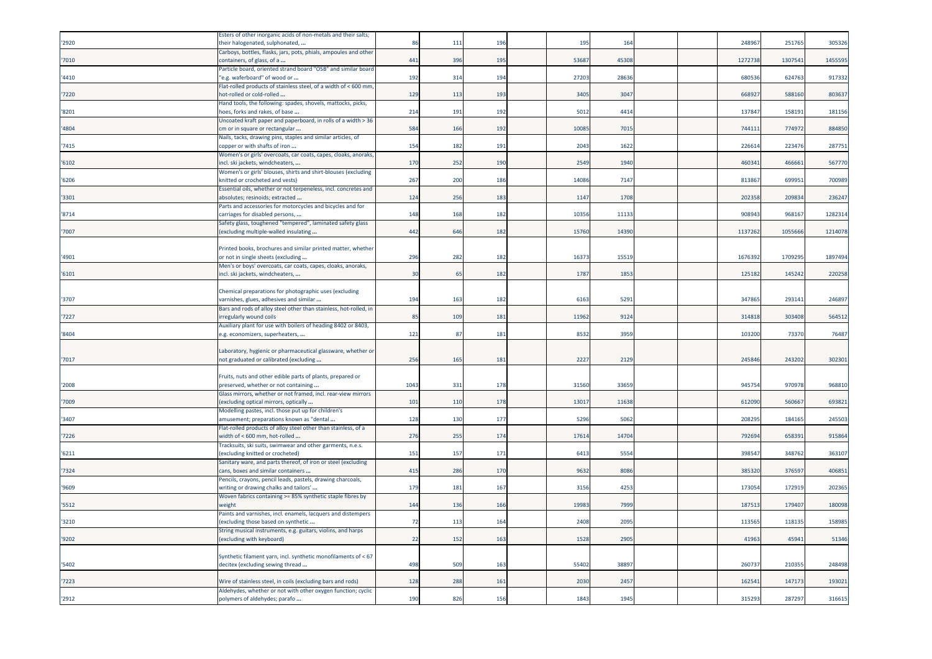|       | Esters of other inorganic acids of non-metals and their salts;                                               |      |     |     |       |       |  |         |        |         |
|-------|--------------------------------------------------------------------------------------------------------------|------|-----|-----|-------|-------|--|---------|--------|---------|
| '2920 | their halogenated, sulphonated,<br>Carboys, bottles, flasks, jars, pots, phials, ampoules and other          | 86   | 111 | 196 | 195   | 164   |  | 24896   | 25176  | 305326  |
| '7010 | containers, of glass, of a                                                                                   | 441  | 396 | 195 | 53687 | 45308 |  | 127273  | 130754 | 1455595 |
| '4410 | Particle board, oriented strand board "OSB" and similar board<br>'e.g. waferboard" of wood or                | 192  | 314 | 194 | 27203 | 28636 |  | 68053   | 624763 | 917332  |
| '7220 | Flat-rolled products of stainless steel, of a width of < 600 mm,<br>not-rolled or cold-rolled                | 129  | 113 | 193 | 3405  | 3047  |  | 66892   | 588160 | 803637  |
| '8201 | Hand tools, the following: spades, shovels, mattocks, picks,<br>hoes, forks and rakes, of base               | 214  | 191 | 192 | 5012  | 4414  |  | 13784   | 158191 | 181156  |
| '4804 | Uncoated kraft paper and paperboard, in rolls of a width > 36<br>cm or in square or rectangular              | 584  | 166 | 192 | 10085 | 7015  |  | 74411   | 774972 | 884850  |
| '7415 | Nails, tacks, drawing pins, staples and similar articles, of<br>copper or with shafts of iron                | 154  | 182 | 191 | 2043  | 1622  |  | 226614  | 223476 | 287751  |
| '6102 | Women's or girls' overcoats, car coats, capes, cloaks, anoraks,<br>ncl. ski jackets, windcheaters,           | 170  | 252 | 190 | 2549  | 1940  |  | 460341  | 466661 | 567770  |
| '6206 | Women's or girls' blouses, shirts and shirt-blouses (excluding<br>knitted or crocheted and vests)            | 267  | 200 | 186 | 14086 | 7147  |  | 813867  | 69995  | 700989  |
| '3301 | Essential oils, whether or not terpeneless, incl. concretes and<br>absolutes; resinoids; extracted           | 124  | 256 | 183 | 1147  | 1708  |  | 202358  | 209834 | 236247  |
| '8714 | Parts and accessories for motorcycles and bicycles and for<br>carriages for disabled persons,                | 148  | 168 | 182 | 10356 | 11133 |  | 90894   | 968167 | 1282314 |
| '7007 | Safety glass, toughened "tempered", laminated safety glass<br>excluding multiple-walled insulating           | 442  | 646 | 182 | 15760 | 14390 |  | 1137262 | 105566 | 1214078 |
| '4901 | Printed books, brochures and similar printed matter, whether<br>or not in single sheets (excluding           | 296  | 282 | 182 | 16373 | 15519 |  | 1676392 | 170929 | 1897494 |
| '6101 | Men's or boys' overcoats, car coats, capes, cloaks, anoraks,<br>incl. ski jackets, windcheaters,             | 30   | 65  | 182 | 1787  | 1853  |  | 125182  | 145242 | 220258  |
|       | Chemical preparations for photographic uses (excluding                                                       |      |     |     |       |       |  |         |        |         |
| '3707 | varnishes, glues, adhesives and similar<br>Bars and rods of alloy steel other than stainless, hot-rolled, in | 194  | 163 | 182 | 6163  | 5291  |  | 34786   | 29314  | 246897  |
| '7227 | rregularly wound coils                                                                                       | 85   | 109 | 181 | 11962 | 9124  |  | 314818  | 303408 | 564512  |
| '8404 | Auxiliary plant for use with boilers of heading 8402 or 8403,<br>e.g. economizers, superheaters,             | 121  | 87  | 181 | 8532  | 3959  |  | 103200  | 73370  | 76487   |
| '7017 | Laboratory, hygienic or pharmaceutical glassware, whether or<br>not graduated or calibrated (excluding       | 256  | 165 | 181 | 2227  | 2129  |  | 245846  | 243202 | 302301  |
| '2008 | Fruits, nuts and other edible parts of plants, prepared or<br>preserved, whether or not containing           | 1043 | 331 | 178 | 31560 | 3365  |  | 94575   | 97097  | 968810  |
| '7009 | Glass mirrors, whether or not framed, incl. rear-view mirrors<br>excluding optical mirrors, optically        | 101  | 110 | 178 | 1301  | 11638 |  | 61209   | 56066  | 693821  |
| '3407 | Modelling pastes, incl. those put up for children's<br>amusement; preparations known as "dental              | 128  | 130 | 177 | 5296  | 5062  |  | 20829   | 184165 | 245503  |
| '7226 | Flat-rolled products of alloy steel other than stainless, of a<br>width of < 600 mm, hot-rolled              | 276  | 255 | 174 | 17614 | 14704 |  | 79269   | 658391 | 915864  |
| 16211 | racksuits, ski suits, swimwear and other garments, n.e.s.<br>(excluding knitted or crocheted)                | 151  | 157 | 171 | 6413  | 5554  |  | 39854   | 348762 | 363107  |
| '7324 | Sanitary ware, and parts thereof, of iron or steel (excluding<br>cans, boxes and similar containers          | 415  | 286 | 170 | 9632  | 8086  |  | 38532   | 376597 | 406851  |
| '9609 | Pencils, crayons, pencil leads, pastels, drawing charcoals,<br>writing or drawing chalks and tailors'        | 179  | 181 | 167 | 3156  | 4253  |  | 17305   | 17291  | 202365  |
| '5512 | Woven fabrics containing >= 85% synthetic staple fibres by<br>weight                                         | 144  | 136 | 166 | 19983 | 7999  |  | 187513  | 179407 | 180098  |
| '3210 | aints and varnishes, incl. enamels, lacquers and distempers<br>excluding those based on synthetic            | 72   | 113 | 164 | 2408  | 2095  |  | 11356   | 118135 | 158985  |
| '9202 | String musical instruments, e.g. guitars, violins, and harps<br>excluding with keyboard)                     | 22   | 152 | 163 | 1528  | 2905  |  | 41963   | 45941  | 51346   |
| '5402 | Synthetic filament yarn, incl. synthetic monofilaments of < 67<br>decitex (excluding sewing thread           | 498  | 509 | 163 | 55402 | 38897 |  | 26073   | 210355 | 248498  |
| '7223 | Wire of stainless steel, in coils (excluding bars and rods)                                                  | 128  | 288 | 161 | 2030  | 2457  |  | 16254   | 147173 | 193021  |
|       | Aldehydes, whether or not with other oxygen function; cyclic                                                 |      |     |     |       |       |  |         |        |         |
| '2912 | polymers of aldehydes; parafo                                                                                | 190  | 826 | 156 | 1843  | 1945  |  | 315293  | 287297 | 316615  |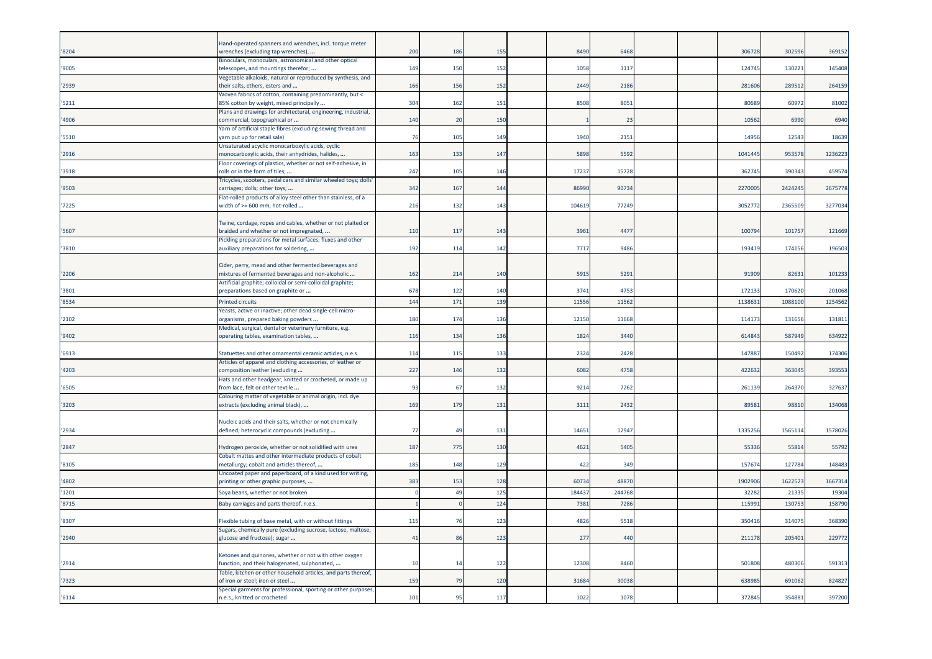| '8204 | Hand-operated spanners and wrenches, incl. torque meter<br>wrenches (excluding tap wrenches),                           | 200 | 186             | 155             | 8490   | 6468   |  | 306728  | 30259   | 369152  |
|-------|-------------------------------------------------------------------------------------------------------------------------|-----|-----------------|-----------------|--------|--------|--|---------|---------|---------|
|       | Binoculars, monoculars, astronomical and other optical                                                                  |     |                 |                 |        |        |  |         |         |         |
| '9005 | telescopes, and mountings therefor;                                                                                     | 149 | 150             | 152             | 1058   | 1117   |  | 124745  | 130221  | 145408  |
| '2939 | Vegetable alkaloids, natural or reproduced by synthesis, and<br>their salts, ethers, esters and                         | 166 | 156             | 152             | 2449   | 2186   |  | 28160   | 28951   | 264159  |
|       | Woven fabrics of cotton, containing predominantly, but <                                                                |     |                 |                 |        |        |  |         |         |         |
| '5211 | 85% cotton by weight, mixed principally                                                                                 | 304 | 162             | 151             | 8508   | 805    |  | 8068    | 60972   | 81002   |
| '4906 | Plans and drawings for architectural, engineering, industrial,<br>commercial, topographical or                          | 140 | 20              | 150             |        | 23     |  | 10562   | 6990    | 6940    |
|       | Yarn of artificial staple fibres (excluding sewing thread and                                                           |     |                 |                 |        |        |  |         |         |         |
| '5510 | arn put up for retail sale)                                                                                             | 76  | 105             | 149             | 1940   | 2151   |  | 14956   | 12543   | 18639   |
| '2916 | Unsaturated acyclic monocarboxylic acids, cyclic<br>monocarboxylic acids, their anhydrides, halides,                    | 163 | 133             | 147             | 5898   | 5592   |  | 1041445 | 95357   | 1236223 |
|       | Floor coverings of plastics, whether or not self-adhesive, in                                                           |     |                 |                 |        |        |  |         |         |         |
| '3918 | rolls or in the form of tiles;                                                                                          | 247 | 105             | 146             | 1723   | 15728  |  | 362745  | 390343  | 459574  |
|       | Tricycles, scooters, pedal cars and similar wheeled toys; dolls'                                                        |     |                 |                 |        |        |  |         |         |         |
| '9503 | carriages; dolls; other toys;<br>Flat-rolled products of alloy steel other than stainless, of a                         | 342 | 167             | 144             | 86990  | 9073   |  | 227000  | 242424  | 2675778 |
| 7225  | width of >= 600 mm, hot-rolled                                                                                          | 216 | 132             | 143             | 104619 | 77249  |  | 305277  | 236550  | 3277034 |
|       |                                                                                                                         |     |                 |                 |        |        |  |         |         |         |
| 5607  | Twine, cordage, ropes and cables, whether or not plaited or<br>braided and whether or not impregnated,                  | 110 | 117             | 143             | 396    | 4477   |  | 10079   | 10175   | 121669  |
|       | Pickling preparations for metal surfaces; fluxes and other                                                              |     |                 |                 |        |        |  |         |         |         |
| '3810 | auxiliary preparations for soldering,                                                                                   | 192 | 114             | 142             | 771    | 9486   |  | 193419  | 17415   | 196503  |
|       |                                                                                                                         |     |                 |                 |        |        |  |         |         |         |
| 2206  | Cider, perry, mead and other fermented beverages and<br>mixtures of fermented beverages and non-alcoholic               | 162 | 214             | 140             | 5915   | 5291   |  | 91909   | 82631   | 101233  |
|       | Artificial graphite; colloidal or semi-colloidal graphite;                                                              |     |                 |                 |        |        |  |         |         |         |
| 3801  | preparations based on graphite or                                                                                       | 678 | 122             | 140             | 3741   | 4753   |  | 172133  | 170620  | 201068  |
| '8534 | <b>Printed circuits</b>                                                                                                 | 144 | 17 <sub>2</sub> | 13!             | 1155   | 1156   |  | 113863  | 108810  | 1254562 |
|       | Yeasts, active or inactive; other dead single-cell micro-                                                               |     |                 |                 |        |        |  |         |         |         |
| '2102 | organisms, prepared baking powders<br>Medical, surgical, dental or veterinary furniture, e.g.                           | 180 | 174             | 136             | 1215   | 11668  |  | 11417   | 13165   | 131811  |
| '9402 | operating tables, examination tables,                                                                                   | 116 | 134             | 136             | 1824   | 3440   |  | 61484   | 587949  | 634922  |
|       |                                                                                                                         |     |                 |                 |        |        |  |         |         |         |
| '6913 | Statuettes and other ornamental ceramic articles, n.e.s.<br>Articles of apparel and clothing accessories, of leather or | 114 | 115             | 133             | 2324   | 2428   |  | 14788   | 150492  | 174306  |
| '4203 | composition leather (excluding                                                                                          | 227 | 146             | 132             | 6082   | 4758   |  | 42263   | 363045  | 393553  |
|       | Hats and other headgear, knitted or crocheted, or made up                                                               |     |                 |                 |        |        |  |         |         |         |
| '6505 | from lace, felt or other textile                                                                                        | 93  | -67             | 13.             | 9214   | 7262   |  | 26113   | 26437   | 327637  |
| 3203  | Colouring matter of vegetable or animal origin, incl. dye<br>extracts (excluding animal black),                         | 169 | 179             | 131             | 311    | 2432   |  | 89581   | 98810   | 134068  |
|       |                                                                                                                         |     |                 |                 |        |        |  |         |         |         |
|       | Nucleic acids and their salts, whether or not chemically                                                                |     |                 |                 |        |        |  |         |         |         |
| 2934  | defined; heterocyclic compounds (excluding                                                                              | -77 | $\overline{4}$  | 131             | 1465   | 12947  |  | 1335256 | 156511  | 1578026 |
| '2847 | Hydrogen peroxide, whether or not solidified with urea                                                                  | 187 | 775             | 130             | 462    | 540    |  | 5533    | 5581    | 55792   |
|       | Cobalt mattes and other intermediate products of cobalt                                                                 |     |                 |                 |        |        |  |         |         |         |
| '8105 | metallurgy; cobalt and articles thereof,                                                                                | 185 | 148             | 12 <sup>c</sup> | 422    | 349    |  | 15767   | 12778   | 148483  |
| '4802 | Uncoated paper and paperboard, of a kind used for writing,<br>printing or other graphic purposes,                       | 383 | 153             | 128             | 60734  | 48870  |  | 1902906 | 1622523 | 1667314 |
| '1201 | Soya beans, whether or not broken                                                                                       |     | 49              | 125             | 18443  | 244768 |  | 32282   | 2133    | 19304   |
| '8715 | Baby carriages and parts thereof, n.e.s.                                                                                |     |                 | 12 <sup>2</sup> | 7381   | 7286   |  | 115991  | 13075   | 158790  |
|       |                                                                                                                         |     |                 |                 |        |        |  |         |         |         |
| '8307 | Flexible tubing of base metal, with or without fittings                                                                 | 115 | 76              | 123             | 4826   | 5518   |  | 35041   | 314075  | 368390  |
| '2940 | Sugars, chemically pure (excluding sucrose, lactose, maltose,<br>glucose and fructose); sugar                           | 41  | 86              | 123             | 277    | 440    |  | 211178  | 205401  | 229772  |
|       |                                                                                                                         |     |                 |                 |        |        |  |         |         |         |
|       | Ketones and quinones, whether or not with other oxygen                                                                  |     |                 |                 |        |        |  |         |         |         |
| 2914  | function, and their halogenated, sulphonated,                                                                           | -10 | 14              | 122             | 12308  | 8460   |  | 50180   | 480306  | 591313  |
| 7323  | Table, kitchen or other household articles, and parts thereof,<br>of iron or steel; iron or steel                       | 159 | 79              | 120             | 31684  | 30038  |  | 63898   | 691062  | 824827  |
|       | Special garments for professional, sporting or other purposes,                                                          |     |                 |                 |        |        |  |         |         |         |
| '6114 | n.e.s., knitted or crocheted                                                                                            | 101 | 95              | 117             | 1022   | 1078   |  | 372845  | 354881  | 397200  |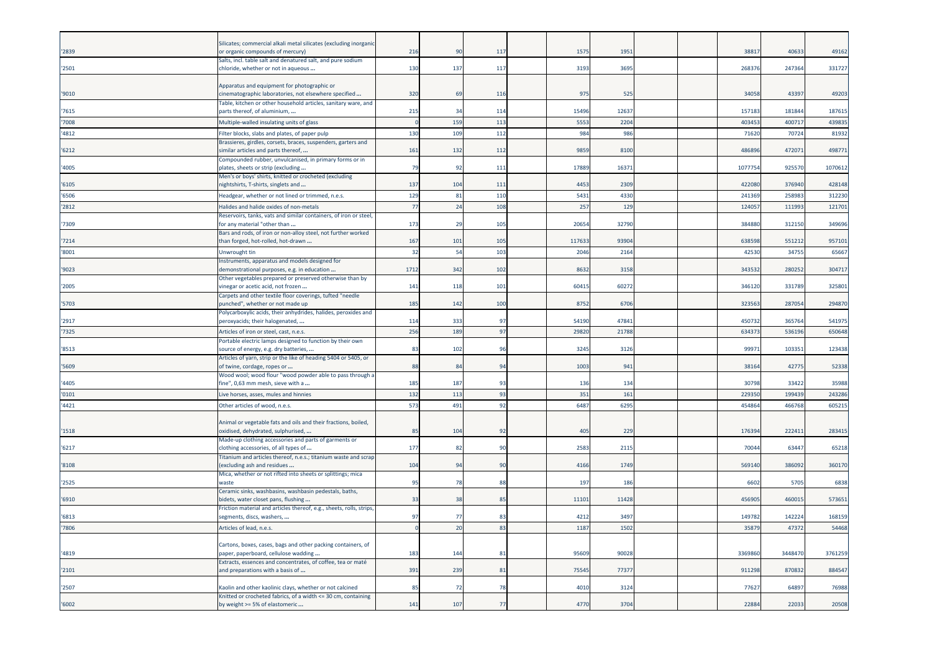| '2839 | Silicates; commercial alkali metal silicates (excluding inorganic<br>or organic compounds of mercury)    | 216          | 90  | 117            | 1575  | 1951  |  | 3881    | 40633   | 49162   |
|-------|----------------------------------------------------------------------------------------------------------|--------------|-----|----------------|-------|-------|--|---------|---------|---------|
|       | Salts, incl. table salt and denatured salt, and pure sodium                                              |              |     |                |       |       |  |         |         |         |
| '2501 | chloride, whether or not in aqueous                                                                      | 130          | 137 | 117            | 3193  | 3695  |  | 26837   | 247364  | 331727  |
|       | Apparatus and equipment for photographic or                                                              |              |     |                |       |       |  |         |         |         |
| '9010 | cinematographic laboratories, not elsewhere specified                                                    | 320          | 69  | 116            | 975   | 525   |  | 34058   | 43397   | 49203   |
|       | Table, kitchen or other household articles, sanitary ware, and                                           |              |     |                |       |       |  |         |         |         |
| '7615 | parts thereof, of aluminium,                                                                             | 215          | 34  | 114            | 15496 | 12637 |  | 157183  | 181844  | 187615  |
| '7008 | Multiple-walled insulating units of glass                                                                | $\mathsf{C}$ | 159 | 113            | 5553  | 2204  |  | 40345   | 40071   | 439835  |
| '4812 | Filter blocks, slabs and plates, of paper pulp                                                           | 130          | 109 | 112            | 984   | 986   |  | 71620   | 70724   | 81932   |
| '6212 | Brassieres, girdles, corsets, braces, suspenders, garters and<br>similar articles and parts thereof,     | 161          | 132 | 112            | 9859  | 8100  |  | 48689   | 472071  | 498771  |
|       | Compounded rubber, unvulcanised, in primary forms or in                                                  |              |     |                |       |       |  |         |         |         |
| '4005 | plates, sheets or strip (excluding                                                                       | 79           | 92  | 111            | 17889 | 1637  |  | 107775  | 92557   | 1070612 |
| '6105 | Men's or boys' shirts, knitted or crocheted (excluding<br>nightshirts, T-shirts, singlets and            | 137          | 104 | 111            | 4453  | 2309  |  | 422080  | 376940  | 428148  |
| '6506 | Headgear, whether or not lined or trimmed, n.e.s.                                                        | 129          | 81  | 110            | 5431  | 4330  |  | 241369  | 25898   | 312230  |
| '2812 | Halides and halide oxides of non-metals                                                                  | 77           | 24  | 108            | 257   | 129   |  | 12405   | 11199   | 121701  |
|       | Reservoirs, tanks, vats and similar containers, of iron or steel,                                        |              |     |                |       |       |  |         |         |         |
| '7309 | for any material "other than                                                                             | 173          | 29  | 105            | 2065  | 32790 |  | 38488   | 312150  | 349696  |
|       | Bars and rods, of iron or non-alloy steel, not further worked                                            |              |     |                |       |       |  |         |         |         |
| '7214 | than forged, hot-rolled, hot-drawn                                                                       | 167          | 101 | 105            | 11763 | 93904 |  | 63859   | 55121   | 957101  |
| '8001 | Unwrought tin                                                                                            | 32           | 54  | 103            | 2046  | 2164  |  | 42530   | 3475    | 65667   |
| '9023 | Instruments, apparatus and models designed for<br>demonstrational purposes, e.g. in education            | 1712         | 342 | 102            | 8632  | 3158  |  | 343532  | 280252  | 304717  |
|       | Other vegetables prepared or preserved otherwise than by                                                 |              |     |                |       |       |  |         |         |         |
| '2005 | inegar or acetic acid, not frozen                                                                        | 141          | 118 | 101            | 6041  | 6027  |  | 34612   | 33178   | 325801  |
| '5703 | Carpets and other textile floor coverings, tufted "needle<br>ounched", whether or not made up            | 185          | 142 | 100            | 8752  | 6706  |  | 32356   | 287054  | 294870  |
|       | Polycarboxylic acids, their anhydrides, halides, peroxides and                                           |              |     |                |       |       |  |         |         |         |
| '2917 | oeroxyacids; their halogenated,                                                                          | 114          | 333 | 97             | 54190 | 47841 |  | 45073   | 365764  | 541975  |
| '7325 | Articles of iron or steel, cast, n.e.s.                                                                  | 256          | 189 | 97             | 29820 | 21788 |  | 63437   | 536196  | 650648  |
|       | ortable electric lamps designed to function by their own                                                 |              |     |                |       |       |  |         |         |         |
| '8513 | source of energy, e.g. dry batteries,<br>Articles of yarn, strip or the like of heading 5404 or 5405, or | 83           | 102 | 96             | 3245  | 3126  |  | 9997    | 103351  | 123438  |
| '5609 | of twine, cordage, ropes or                                                                              | 88           | 84  | 94             | 1003  | 941   |  | 38164   | 42775   | 52338   |
|       | Wood wool; wood flour "wood powder able to pass through a                                                |              |     |                |       |       |  |         |         |         |
| '4405 | ine", 0,63 mm mesh, sieve with a                                                                         | 185          | 187 | 93             | 136   | 134   |  | 3079    | 33422   | 35988   |
| '0101 | Live horses, asses, mules and hinnies                                                                    | 132          | 113 | 93             | 351   | 161   |  | 22935   | 19943   | 243286  |
| '4421 | Other articles of wood, n.e.s.                                                                           | 573          | 491 | 92             | 6487  | 6295  |  | 45486   | 466768  | 605215  |
|       | Animal or vegetable fats and oils and their fractions, boiled,                                           |              |     |                |       |       |  |         |         |         |
| '1518 | oxidised, dehydrated, sulphurised,                                                                       | 85           | 104 | 92             | 405   | 229   |  | 176394  | 222411  | 283415  |
|       | Made-up clothing accessories and parts of garments or                                                    |              |     |                |       |       |  |         |         |         |
| '6217 | clothing accessories, of all types of<br>itanium and articles thereof, n.e.s.; titanium waste and scrap  | 177          | 82  | 90             | 2583  | 2115  |  | 70044   | 63447   | 65218   |
| '8108 | excluding ash and residues                                                                               | 104          | 94  | 90             | 4166  | 1749  |  | 569140  | 386092  | 360170  |
|       | Mica, whether or not rifted into sheets or splittings; mica                                              |              |     |                |       |       |  |         |         |         |
| '2525 | waste                                                                                                    | 95           | 78  | 88             | 197   | 186   |  | 6602    | 5705    | 6838    |
| '6910 | Ceramic sinks, washbasins, washbasin pedestals, baths,<br>bidets, water closet pans, flushing            | 33           | 38  | 85             | 11101 | 11428 |  | 45690   | 46001   | 573651  |
|       | Friction material and articles thereof, e.g., sheets, rolls, strips,                                     |              |     |                |       |       |  |         |         |         |
| '6813 | segments, discs, washers,                                                                                | 97           | 77  | 8 <sup>2</sup> | 4212  | 3497  |  | 14978   | 142224  | 168159  |
| '7806 | Articles of lead, n.e.s.                                                                                 | $\sqrt{ }$   | 20  | 83             | 1187  | 1502  |  | 35879   | 47372   | 54468   |
|       |                                                                                                          |              |     |                |       |       |  |         |         |         |
| '4819 | Cartons, boxes, cases, bags and other packing containers, of<br>aper, paperboard, cellulose wadding      | 183          | 144 | 81             | 95609 | 90028 |  | 3369860 | 3448470 | 3761259 |
|       | Extracts, essences and concentrates, of coffee, tea or maté                                              |              |     |                |       |       |  |         |         |         |
| '2101 | and preparations with a basis of                                                                         | 391          | 239 | 81             | 75545 | 7737  |  | 911298  | 870832  | 884547  |
| '2507 | Kaolin and other kaolinic clays, whether or not calcined                                                 | 85           | 72  | 78             | 4010  | 3124  |  | 7762    | 64897   | 76988   |
|       | Knitted or crocheted fabrics, of a width <= 30 cm, containing                                            |              |     |                |       |       |  |         |         |         |
| '6002 | by weight >= 5% of elastomeric                                                                           | 141          | 107 | 77             | 4770  | 3704  |  | 22884   | 22033   | 20508   |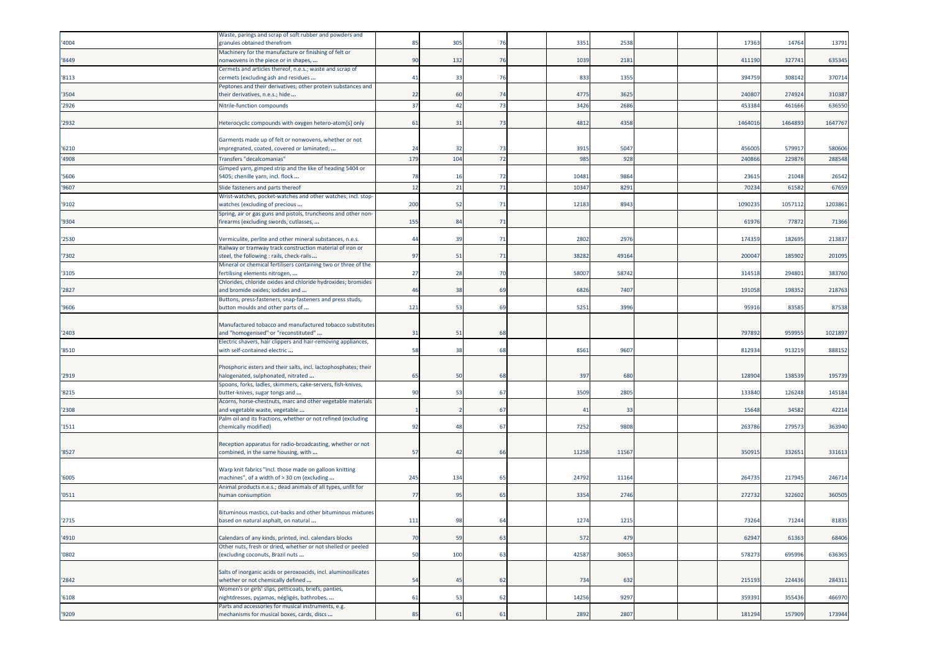| '4004 | Waste, parings and scrap of soft rubber and powders and<br>granules obtained therefrom                      | 85  | 305             | 76  | 3351  | 2538  |  | 17363   | 14764   | 13791   |
|-------|-------------------------------------------------------------------------------------------------------------|-----|-----------------|-----|-------|-------|--|---------|---------|---------|
| '8449 | Machinery for the manufacture or finishing of felt or<br>nonwovens in the piece or in shapes,               | 90  | 132             | 76  | 1039  | 2181  |  | 411190  | 327741  | 635345  |
| '8113 | Cermets and articles thereof, n.e.s.; waste and scrap of<br>cermets (excluding ash and residues             | 41  | 33              | 76  | 833   | 1355  |  | 394759  | 308142  | 370714  |
| '3504 | Peptones and their derivatives; other protein substances and<br>their derivatives, n.e.s.; hide             | 22  | 60              | 74  | 4775  | 3625  |  | 240807  | 274924  | 310387  |
| '2926 | Nitrile-function compounds                                                                                  | 37  | 42              | 73  | 3426  | 2686  |  | 453384  | 461666  | 636550  |
| '2932 | Heterocyclic compounds with oxygen hetero-atom[s] only                                                      | 61  | 31              | 73  | 4812  | 4358  |  | 1464016 | 146489  | 1647767 |
|       | Garments made up of felt or nonwovens, whether or not                                                       |     |                 |     |       |       |  |         |         |         |
| '6210 | mpregnated, coated, covered or laminated;                                                                   | 24  | 32              | -73 | 3915  | 504   |  | 456005  | 57991   | 580606  |
| '4908 | Transfers "decalcomanias"                                                                                   | 179 | 10 <sup>2</sup> | 72  | 985   | 92    |  | 24086   | 22987   | 288548  |
| '5606 | Gimped yarn, gimped strip and the like of heading 5404 or<br>5405; chenille yarn, incl. flock               | 78  | 16              | 72  | 10481 | 986   |  | 2361    | 21048   | 26542   |
| '9607 | Slide fasteners and parts thereof                                                                           | 12  | 21              | 71  | 10347 | 8291  |  | 70234   | 6158    | 67659   |
|       | Wrist-watches, pocket-watches and other watches, incl. stop-                                                | 200 | 52              | 71  | 12183 | 8943  |  | 1090235 | 1057112 | 1203861 |
| '9102 | watches (excluding of precious<br>Spring, air or gas guns and pistols, truncheons and other non-            |     |                 |     |       |       |  |         |         |         |
| '9304 | firearms (excluding swords, cutlasses,                                                                      | 155 | 84              | -71 |       |       |  | 6197    | 77872   | 71366   |
| '2530 | Vermiculite, perlite and other mineral substances, n.e.s.                                                   | 44  | 39              | 71  | 2802  | 297   |  | 17435   | 182695  | 213837  |
| '7302 | Railway or tramway track construction material of iron or<br>steel, the following : rails, check-rails      | 97  | 51              | 71  | 38282 | 4916  |  | 200047  | 185902  | 201095  |
| '3105 | Mineral or chemical fertilisers containing two or three of the<br>fertilising elements nitrogen,            | 27  | 28              | -70 | 58007 | 5874  |  | 31451   | 29480   | 383760  |
| '2827 | Chlorides, chloride oxides and chloride hydroxides; bromides<br>and bromide oxides; iodides and             | 46  | 38              | 69  | 6826  | 7407  |  | 191058  | 198352  | 218763  |
|       | Buttons, press-fasteners, snap-fasteners and press studs,                                                   |     |                 |     |       |       |  |         |         |         |
| '9606 | button moulds and other parts of                                                                            | 121 | 53              | 69  | 5251  | 3996  |  | 95916   | 83585   | 87538   |
|       | Manufactured tobacco and manufactured tobacco substitutes                                                   |     |                 |     |       |       |  |         |         |         |
| '2403 | and "homogenised" or "reconstituted"<br>Electric shavers, hair clippers and hair-removing appliances,       | 31  | 51              | 68  |       |       |  | 797892  | 95995   | 1021897 |
| '8510 | with self-contained electric                                                                                | 58  | 38              | 68  | 8561  | 9607  |  | 812934  | 913219  | 888152  |
|       | Phosphoric esters and their salts, incl. lactophosphates; their                                             |     |                 |     |       |       |  |         |         |         |
| '2919 | nalogenated, sulphonated, nitrated                                                                          | 65  | 50              | 68  | 397   | 680   |  | 128904  | 138539  | 195739  |
| '8215 | Spoons, forks, ladles, skimmers, cake-servers, fish-knives,<br>butter-knives, sugar tongs and               | 90  | 53              | 67  | 3509  | 2805  |  | 133840  | 126248  | 145184  |
| '2308 | Acorns, horse-chestnuts, marc and other vegetable materials<br>and vegetable waste, vegetable               |     |                 | 67  | 41    | 33    |  | 15648   | 34582   | 42214   |
|       | Palm oil and its fractions, whether or not refined (excluding                                               |     |                 |     |       |       |  |         |         |         |
| '1511 | chemically modified)                                                                                        | 92  | 48              | 67  | 7252  | 9808  |  | 26378   | 279573  | 363940  |
|       | Reception apparatus for radio-broadcasting, whether or not                                                  |     |                 |     |       |       |  |         |         |         |
| '8527 | combined, in the same housing, with                                                                         | 57  | 42              | 66  | 11258 | 1156  |  | 35091   | 33265   | 331613  |
|       | Warp knit fabrics "incl. those made on galloon knitting                                                     |     |                 |     |       |       |  |         |         |         |
| '6005 | machines", of a width of > 30 cm (excluding<br>Animal products n.e.s.; dead animals of all types, unfit for | 245 | 134             | 65  | 24792 | 1116  |  | 264735  | 217945  | 246714  |
| '0511 | human consumption                                                                                           | 77  | 95              | 65  | 3354  | 2746  |  | 272732  | 322602  | 360505  |
|       | Bituminous mastics, cut-backs and other bituminous mixtures                                                 |     |                 |     |       |       |  |         |         |         |
| '2715 | based on natural asphalt, on natural                                                                        | 111 | 98              | 64  | 1274  | 1215  |  | 73264   | 71244   | 81835   |
| '4910 | Calendars of any kinds, printed, incl. calendars blocks                                                     | 70  | 59              | 63  | 572   | 479   |  | 62947   | 61363   | 68406   |
| '0802 | Other nuts, fresh or dried, whether or not shelled or peeled<br>(excluding coconuts, Brazil nuts            | 50  | 100             | 63  | 42587 | 30653 |  | 578273  | 695996  | 636365  |
|       |                                                                                                             |     |                 |     |       |       |  |         |         |         |
| '2842 | Salts of inorganic acids or peroxoacids, incl. aluminosilicates<br>whether or not chemically defined        | 54  | 45              | 62  | 734   | 632   |  | 215193  | 224436  | 284311  |
| '6108 | Women's or girls' slips, petticoats, briefs, panties,<br>nightdresses, pyjamas, négligés, bathrobes,        | 61  | 53              | 62  | 14256 | 9297  |  | 359391  | 355436  | 466970  |
|       | Parts and accessories for musical instruments, e.g.                                                         |     |                 |     |       |       |  |         |         |         |
| '9209 | mechanisms for musical boxes, cards, discs                                                                  | 85  | 61              | 61  | 2892  | 2807  |  | 181294  | 157909  | 173944  |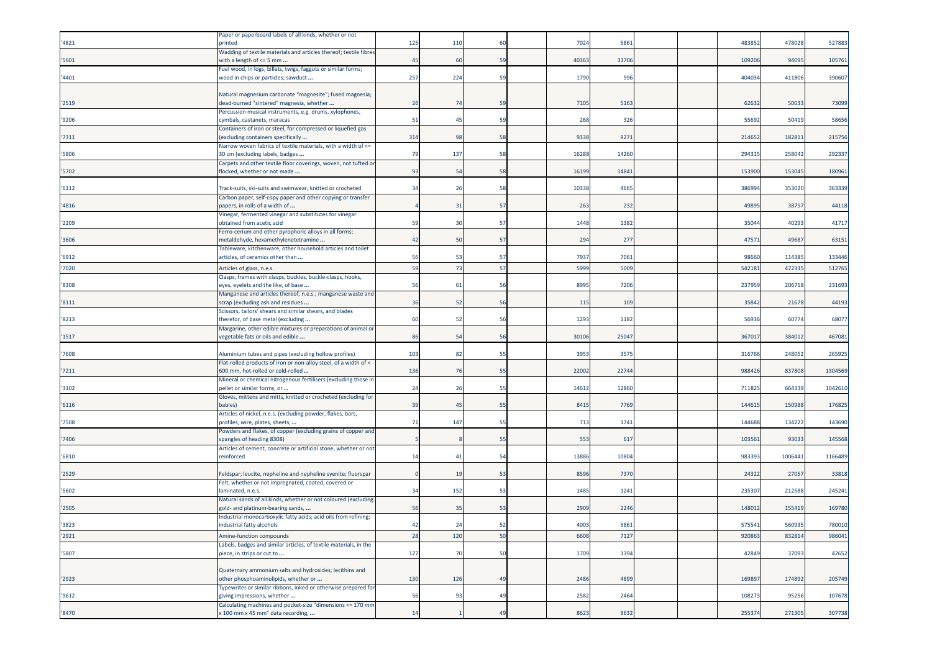| '4821 | Paper or paperboard labels of all kinds, whether or not<br>orinted                                                                                              | 125 | 110            | 60 | 7024  | 586             |  | 48385  | 478028 | 527883  |
|-------|-----------------------------------------------------------------------------------------------------------------------------------------------------------------|-----|----------------|----|-------|-----------------|--|--------|--------|---------|
| '5601 | Wadding of textile materials and articles thereof; textile fibres<br>with a length of <= 5 mm                                                                   | 45  | 60             | 59 | 40363 | 3370            |  | 109206 | 94095  | 105761  |
| '4401 | Fuel wood, in logs, billets, twigs, faggots or similar forms;<br>wood in chips or particles; sawdust                                                            | 257 | 224            | 59 | 1790  | 996             |  | 404034 | 411806 | 390607  |
| '2519 | Natural magnesium carbonate "magnesite"; fused magnesia;<br>dead-burned "sintered" magnesia, whether<br>Percussion musical instruments, e.g. drums, xylophones, | 26  | 7 <sup>i</sup> | 59 | 7105  | 516             |  | 62632  | 5003   | 73099   |
| '9206 | cymbals, castanets, maracas<br>Containers of iron or steel, for compressed or liquefied gas                                                                     | 51  | 45             | 59 | 268   | 326             |  | 55692  | 50419  | 58656   |
| 7311  | excluding containers specifically<br>Narrow woven fabrics of textile materials, with a width of <=                                                              | 314 | 98             | 58 | 9338  | 927             |  | 214652 | 18281  | 215756  |
| '5806 | 30 cm (excluding labels, badges                                                                                                                                 | 79  | 137            | 58 | 16288 | 14260           |  | 29431  | 25804  | 292337  |
| '5702 | Carpets and other textile floor coverings, woven, not tufted or<br>flocked, whether or not made                                                                 | 93  | 54             | 58 | 16199 | 1484            |  | 153900 | 153045 | 180961  |
| '6112 | Track-suits, ski-suits and swimwear, knitted or crocheted                                                                                                       | 34  | 26             | 58 | 10338 | 4665            |  | 38699  | 353020 | 363339  |
| '4816 | Carbon paper, self-copy paper and other copying or transfer<br>papers, in rolls of a width of                                                                   |     | 3              | 57 | 263   | 232             |  | 4989   | 38757  | 44118   |
| '2209 | Vinegar, fermented vinegar and substitutes for vinegar<br>obtained from acetic acid                                                                             | 59  | 30             | 57 | 1448  | 1382            |  | 35044  | 40293  | 41717   |
| '3606 | Ferro-cerium and other pyrophoric alloys in all forms;<br>metaldehyde, hexamethylenetetramine                                                                   | 42  | 50             | 57 | 294   | 277             |  | 47571  | 49687  | 63151   |
| '6912 | Tableware, kitchenware, other household articles and toilet<br>articles, of ceramics other than                                                                 | 56  | 53             | 57 | 7937  | 7061            |  | 98660  | 114385 | 133446  |
| '7020 | Articles of glass, n.e.s.                                                                                                                                       | 59  | 73             | 57 | 5999  | 5009            |  | 54218  | 47233  | 512765  |
| '8308 | Clasps, frames with clasps, buckles, buckle-clasps, hooks,<br>eyes, eyelets and the like, of base                                                               | 56  | 6              | 56 | 8995  | 7206            |  | 23795  | 206718 | 231693  |
| '8111 | Manganese and articles thereof, n.e.s.; manganese waste and<br>scrap (excluding ash and residues                                                                | 36  | 52             | 56 | 115   | 10 <sub>s</sub> |  | 35842  | 21678  | 44193   |
| '8213 | Scissors, tailors' shears and similar shears, and blades<br>therefor, of base metal (excluding                                                                  | 60  | 52             | 56 | 1293  | 1182            |  | 5693   | 60774  | 68077   |
| '1517 | Margarine, other edible mixtures or preparations of animal or<br>vegetable fats or oils and edible                                                              | 86  | 54             | 56 | 30106 | 2504            |  | 367017 | 384012 | 467081  |
| '7608 | Aluminium tubes and pipes (excluding hollow profiles)                                                                                                           | 103 | 82             | 55 | 3953  | 357             |  | 316766 | 248052 | 265925  |
| '7211 | Flat-rolled products of iron or non-alloy steel, of a width of <<br>600 mm, hot-rolled or cold-rolled                                                           | 136 | 76             | 55 | 22002 | 2274            |  | 988426 | 837808 | 1304569 |
| '3102 | Mineral or chemical nitrogenous fertilisers (excluding those in<br>pellet or similar forms, or                                                                  | 24  | 26             | 55 | 14612 | 1286            |  | 711825 | 664339 | 1042610 |
| '6116 | Gloves, mittens and mitts, knitted or crocheted (excluding for<br>babies)                                                                                       | 39  | 45             | 55 | 8415  | 7769            |  | 14461  | 150988 | 176825  |
| '7508 | Articles of nickel, n.e.s. (excluding powder, flakes, bars,<br>profiles, wire, plates, sheets,                                                                  | 71  | 147            | 55 | 713   | 174             |  | 144688 | 134222 | 143690  |
| '7406 | Powders and flakes, of copper (excluding grains of copper and<br>spangles of heading 8308)                                                                      |     |                | 55 | 553   | 617             |  | 103561 | 93033  | 145568  |
| '6810 | Articles of cement, concrete or artificial stone, whether or not<br>reinforced                                                                                  | 14  | 41             | 54 | 13886 | 1080            |  | 983393 | 100644 | 1166489 |
| '2529 | Feldspar; leucite, nepheline and nepheline syenite; fluorspar                                                                                                   |     | 19             | 53 | 8596  | 7370            |  | 24322  | 27057  | 33818   |
| '5602 | Felt, whether or not impregnated, coated, covered or<br>laminated, n.e.s.                                                                                       | 34  | 152            | 53 | 1485  | 124             |  | 235307 | 212588 | 245241  |
| '2505 | Natural sands of all kinds, whether or not coloured (excluding<br>zold- and platinum-bearing sands,                                                             | 56  | 35             | 53 | 2909  | 2246            |  | 14801  | 15541  | 169780  |
| '3823 | ndustrial monocarboxylic fatty acids; acid oils from refining;<br>industrial fatty alcohols                                                                     | 42  | 24             | 52 | 4003  | 5861            |  | 575541 | 560935 | 780010  |
| '2921 | Amine-function compounds                                                                                                                                        | 28  | 120            | 50 | 6608  | 7127            |  | 920863 | 832814 | 986041  |
| '5807 | Labels, badges and similar articles, of textile materials, in the<br>piece, in strips or cut to                                                                 | 127 | 70             | 50 | 1709  | 1394            |  | 42849  | 37093  | 42652   |
|       | Quaternary ammonium salts and hydroxides; lecithins and                                                                                                         |     |                |    |       |                 |  |        |        |         |
| '2923 | other phosphoaminolipids, whether or<br>Typewriter or similar ribbons, inked or otherwise prepared for                                                          | 130 | 126            | 49 | 2486  | 4899            |  | 169897 | 174892 | 205749  |
| '9612 | giving impressions, whether<br>Calculating machines and pocket-size "dimensions <= 170 mm                                                                       | 56  | 93             | 49 | 2582  | 2464            |  | 108273 | 95256  | 107678  |
| '8470 | x 100 mm x 45 mm" data recording,                                                                                                                               | 14  |                | 49 | 8623  | 9632            |  | 255374 | 271305 | 307738  |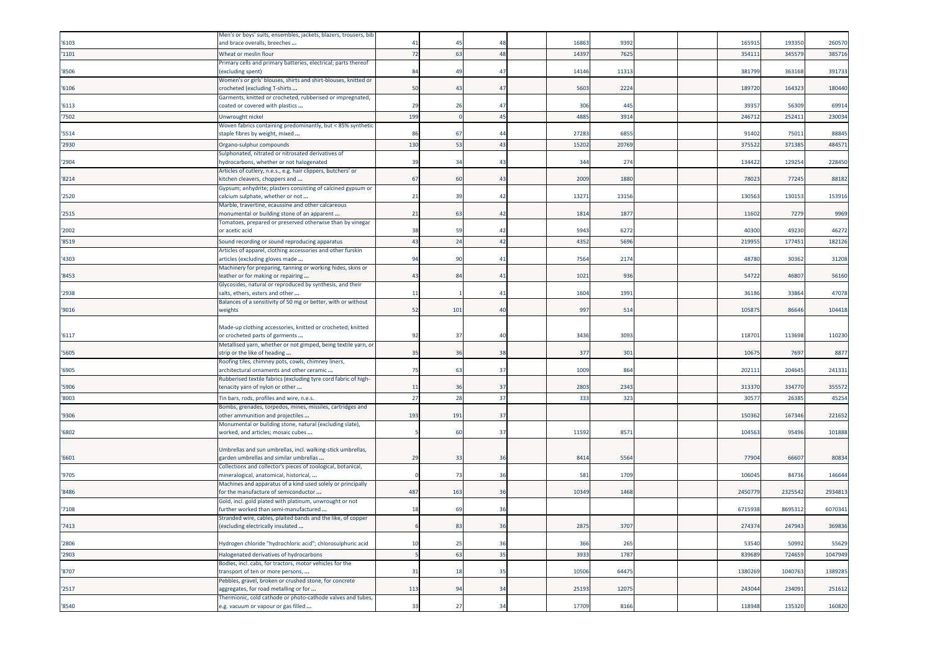|       | Men's or boys' suits, ensembles, jackets, blazers, trousers, bib                                             |                |                |              |       |       |  |         |         |         |
|-------|--------------------------------------------------------------------------------------------------------------|----------------|----------------|--------------|-------|-------|--|---------|---------|---------|
| '6103 | and brace overalls, breeches                                                                                 | 4 <sup>1</sup> | 4              | 48           | 1686  | 9392  |  | 16591   | 193350  | 260570  |
| '1101 | Wheat or meslin flour                                                                                        | 72             | 63             | 48           | 14397 | 7625  |  | 35411   | 34557   | 385716  |
| '8506 | rimary cells and primary batteries, electrical; parts thereof<br>excluding spent)                            | 84             | 4 <sup>0</sup> | 47           | 14146 | 1131  |  | 381799  | 363168  | 391733  |
| '6106 | Women's or girls' blouses, shirts and shirt-blouses, knitted or<br>crocheted (excluding T-shirts             | 50             | 4 <sup>5</sup> | 47           | 5603  | 2224  |  | 189720  | 164323  | 180440  |
| '6113 | Garments, knitted or crocheted, rubberised or impregnated,<br>coated or covered with plastics                | 29             | 26             | 47           | 306   | 445   |  | 39357   | 56309   | 69914   |
| '7502 | Unwrought nickel                                                                                             | 199            |                | 45           | 4885  | 3914  |  | 246712  | 252411  | 230034  |
|       | Woven fabrics containing predominantly, but < 85% synthetic                                                  |                |                |              |       |       |  |         |         |         |
| '5514 | staple fibres by weight, mixed                                                                               | 86             | -67            | 44           | 2728  | 6855  |  | 91402   | 75011   | 88845   |
| '2930 | Organo-sulphur compounds                                                                                     | 130            | 53             | 43           | 1520  | 2076  |  | 37552   | 37138   | 484571  |
|       | Sulphonated, nitrated or nitrosated derivatives of                                                           |                |                |              |       |       |  |         |         |         |
| '2904 | lydrocarbons, whether or not halogenated<br>Articles of cutlery, n.e.s., e.g. hair clippers, butchers' or    | 39             | 34             | 43           | 344   | 274   |  | 134422  | 129254  | 228450  |
| '8214 | kitchen cleavers, choppers and                                                                               | 67             | 60             | 43           | 2009  | 1880  |  | 78023   | 77245   | 88182   |
|       | Gypsum; anhydrite; plasters consisting of calcined gypsum or                                                 |                |                |              |       |       |  |         |         |         |
| '2520 | calcium sulphate, whether or not                                                                             | 21             | -39            | 42           | 1327  | 13156 |  | 130563  | 130153  | 153916  |
|       | Marble, travertine, ecaussine and other calcareous                                                           |                |                |              |       |       |  |         |         |         |
| '2515 | monumental or building stone of an apparent<br>Tomatoes, prepared or preserved otherwise than by vinegar     | 21             | 63             | 42           | 1814  | 1877  |  | 11602   | 7279    | 9969    |
| '2002 | or acetic acid                                                                                               | 38             | 59             | 42           | 5943  | 6272  |  | 40300   | 49230   | 46272   |
| '8519 | Sound recording or sound reproducing apparatus                                                               | 43             | 2 <sup>2</sup> | 42           | 435   | 5696  |  | 21995   | 177451  | 182126  |
|       | Articles of apparel, clothing accessories and other furskin                                                  |                |                |              |       |       |  |         |         |         |
| '4303 | articles (excluding gloves made                                                                              | 94             | 90             | $\mathbf{4}$ | 7564  | 2174  |  | 48780   | 30362   | 31208   |
| '8453 | Machinery for preparing, tanning or working hides, skins or<br>eather or for making or repairing             | 43             | 84             | 41           | 102   | 936   |  | 54722   | 46807   | 56160   |
|       | Glycosides, natural or reproduced by synthesis, and their                                                    |                |                |              |       |       |  |         |         |         |
| '2938 | salts, ethers, esters and other                                                                              | 11             |                | 41           | 1604  | 1991  |  | 36186   | 33864   | 47078   |
|       | Balances of a sensitivity of 50 mg or better, with or without                                                |                |                |              |       |       |  |         |         |         |
| '9016 | weights                                                                                                      | 52             | 101            | 40           | 997   | 514   |  | 10587   | 86646   | 104418  |
|       | Made-up clothing accessories, knitted or crocheted; knitted                                                  |                |                |              |       |       |  |         |         |         |
| '6117 | or crocheted parts of garments                                                                               | 92             | 37             | 40           | 3436  | 3093  |  | 118701  | 113698  | 110230  |
|       | Metallised yarn, whether or not gimped, being textile yarn, or                                               |                |                |              |       |       |  |         |         |         |
| '5605 | strip or the like of heading                                                                                 | 35             | 36             | 38           | 377   | 301   |  | 10675   | 7697    | 8877    |
| '6905 | Roofing tiles, chimney pots, cowls, chimney liners,                                                          | 75             | 63             | 37           | 1009  | 864   |  | 20211:  | 204645  |         |
|       | architectural ornaments and other ceramic<br>Rubberised textile fabrics (excluding tyre cord fabric of high- |                |                |              |       |       |  |         |         | 241331  |
| '5906 | tenacity yarn of nylon or other                                                                              | 11             | 36             | 37           | 2803  | 2343  |  | 313370  | 334770  | 355572  |
| '8003 | Tin bars, rods, profiles and wire, n.e.s.                                                                    | 27             | 28             | 37           | 333   | 323   |  | 3057    | 2638    | 45254   |
|       | Bombs, grenades, torpedos, mines, missiles, cartridges and                                                   |                |                |              |       |       |  |         |         |         |
| '9306 | other ammunition and projectiles                                                                             | 193            | 191            | 37           |       |       |  | 15036   | 16734   | 221652  |
| '6802 | Monumental or building stone, natural (excluding slate),<br>worked, and articles; mosaic cubes               |                | 60             | 37           | 11592 | 8571  |  | 104563  | 95496   | 101888  |
|       |                                                                                                              |                |                |              |       |       |  |         |         |         |
|       | Umbrellas and sun umbrellas, incl. walking-stick umbrellas,                                                  |                |                |              |       |       |  |         |         |         |
| '6601 | garden umbrellas and similar umbrellas                                                                       | 29             | 33             | 36           | 8414  | 5564  |  | 77904   | 66607   | 80834   |
|       | Collections and collector's pieces of zoological, botanical,                                                 |                | 73             | 36           |       |       |  |         |         |         |
| '9705 | mineralogical, anatomical, historical,<br>Machines and apparatus of a kind used solely or principally        |                |                |              | 581   | 1709  |  | 10604   | 84736   | 146644  |
| '8486 | for the manufacture of semiconductor                                                                         | 487            | 163            | 36           | 10349 | 1468  |  | 2450779 | 2325542 | 2934813 |
|       | Gold, incl. gold plated with platinum, unwrought or not                                                      |                |                |              |       |       |  |         |         |         |
| '7108 | further worked than semi-manufactured                                                                        | 18             | 69             | 36           |       |       |  | 671593  | 8695312 | 6070341 |
| '7413 | Stranded wire, cables, plaited bands and the like, of copper                                                 |                | 83             | 36           | 2875  | 3707  |  | 274374  |         |         |
|       | excluding electrically insulated                                                                             |                |                |              |       |       |  |         | 247943  | 369836  |
| '2806 | Hydrogen chloride "hydrochloric acid"; chlorosulphuric acid                                                  | 10             | 25             | 36           | 366   | 265   |  | 53540   | 50992   | 55629   |
| '2903 | Halogenated derivatives of hydrocarbons                                                                      |                | 63             | 35           | 3933  | 1787  |  | 839689  | 724659  | 1047949 |
|       | Bodies, incl. cabs, for tractors, motor vehicles for the                                                     |                |                |              |       |       |  |         |         |         |
| '8707 | transport of ten or more persons,                                                                            | 31             | 18             | 35           | 10506 | 64475 |  | 1380269 | 1040763 | 1389285 |
| '2517 | Pebbles, gravel, broken or crushed stone, for concrete<br>aggregates, for road metalling or for              | 113            | 94             | 34           | 25193 | 12075 |  | 243044  | 234091  | 251612  |
|       | Thermionic, cold cathode or photo-cathode valves and tubes,                                                  |                |                |              |       |       |  |         |         |         |
| '8540 | e.g. vacuum or vapour or gas filled                                                                          | 33             | 27             | 34           | 17709 | 8166  |  | 118948  | 135320  | 160820  |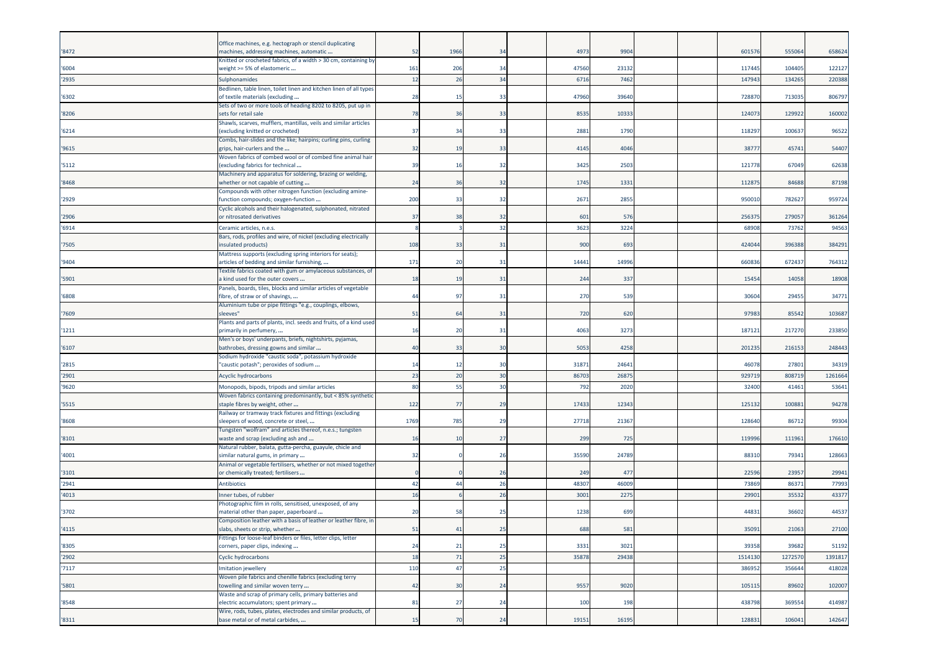| '8472          | Office machines, e.g. hectograph or stencil duplicating<br>machines, addressing machines, automatic      | 52        | 1966      | 34       | 4973          | 9904          |  | 601576          | 555064          | 658624           |
|----------------|----------------------------------------------------------------------------------------------------------|-----------|-----------|----------|---------------|---------------|--|-----------------|-----------------|------------------|
|                | Knitted or crocheted fabrics, of a width > 30 cm, containing by                                          |           |           |          |               |               |  |                 |                 |                  |
| '6004<br>'2935 | weight >= 5% of elastomeric<br>Sulphonamides                                                             | 161<br>12 | 206<br>26 | 34<br>34 | 47560<br>6716 | 23132<br>7462 |  | 117445<br>14794 | 104405<br>13426 | 122127<br>220388 |
|                | Bedlinen, table linen, toilet linen and kitchen linen of all types                                       |           |           |          |               |               |  |                 |                 |                  |
| '6302          | of textile materials (excluding<br>Sets of two or more tools of heading 8202 to 8205, put up in          | 28        | $-15$     | 33       | 47960         | 39640         |  | 72887           | 71303           | 806797           |
| '8206          | sets for retail sale                                                                                     | 78        | 36        | 33       | 8535          | 10333         |  | 12407           | 129922          | 160002           |
| '6214          | Shawls, scarves, mufflers, mantillas, veils and similar articles<br>(excluding knitted or crocheted)     | 37        | 34        | 33       | 2881          | 1790          |  | 11829           | 100637          | 96522            |
| '9615          | Combs, hair-slides and the like; hairpins; curling pins, curling<br>grips, hair-curlers and the          | 32        | 19        | 33       | 4145          | 4046          |  | 3877            | 45741           | 54407            |
| '5112          | Woven fabrics of combed wool or of combed fine animal hair<br>(excluding fabrics for technical           | 39        | 16        | 32       | 3425          | 2503          |  | 12177           | 67049           | 62638            |
| '8468          | Machinery and apparatus for soldering, brazing or welding,<br>whether or not capable of cutting          | 24        | 36        | 32       | 1745          | 1331          |  | 11287           | 84688           | 87198            |
| '2929          | Compounds with other nitrogen function (excluding amine-<br>function compounds; oxygen-function          | 200       | 33        | 32       | 2671          | 2855          |  | 95001           | 78262           | 959724           |
| '2906          | Cyclic alcohols and their halogenated, sulphonated, nitrated<br>or nitrosated derivatives                | 37        | 38        | 32       | 601           | 576           |  | 25637           | 279057          | 361264           |
| '6914          | Ceramic articles, n.e.s.                                                                                 |           |           | 32       | 3623          | 3224          |  | 6890            | 73762           | 94563            |
| '7505          | Bars, rods, profiles and wire, of nickel (excluding electrically<br>insulated products)                  | 108       | 33        | 31       | 900           | 693           |  | 424044          | 396388          | 384291           |
| '9404          | Mattress supports (excluding spring interiors for seats);<br>articles of bedding and similar furnishing, | 171       | 20        | 31       | 14441         | 14996         |  | 66083           | 672437          | 764312           |
| '5901          | Fextile fabrics coated with gum or amylaceous substances, of<br>a kind used for the outer covers         | 18        | 19        | 31       | 244           | 337           |  | 1545            | 14058           | 18908            |
| '6808          | Panels, boards, tiles, blocks and similar articles of vegetable<br>fibre, of straw or of shavings,       | 44        | 97        | -31      | 270           | 539           |  | 3060            | 29455           | 34771            |
| '7609          | Aluminium tube or pipe fittings "e.g., couplings, elbows,<br>sleeves"                                    | 51        | 64        | 31       | 720           | 620           |  | 97983           | 8554            | 103687           |
| '1211          | Plants and parts of plants, incl. seeds and fruits, of a kind used<br>primarily in perfumery,            | 16        | 20        | 31       | 4063          | 3273          |  | 18712           | 217270          | 233850           |
| '6107          | Men's or boys' underpants, briefs, nightshirts, pyjamas,<br>bathrobes, dressing gowns and similar        | 40        | 33        | 30       | 5053          | 4258          |  | 201235          | 216153          | 248443           |
| '2815          | Sodium hydroxide "caustic soda", potassium hydroxide<br>"caustic potash"; peroxides of sodium            | 14        | 12        | 30       | 3187          | 2464          |  | 46078           | 27801           | 34319            |
| '2901          | Acyclic hydrocarbons                                                                                     | 23        | 20        | 30       | 86703         | 2687          |  | 92971           | 808719          | 1261664          |
| '9620          | Monopods, bipods, tripods and similar articles                                                           | 80        | 55        | 30       | 792           | 2020          |  | 3240            | 41461           | 53641            |
| '5515          | Woven fabrics containing predominantly, but < 85% synthetic<br>staple fibres by weight, other            | 122       | 77        | 29       | 17433         | 12343         |  | 12513           | 10088           | 94278            |
| '8608          | Railway or tramway track fixtures and fittings (excluding<br>sleepers of wood, concrete or steel,        | 1769      | 785       | 29       | 27718         | 21367         |  | 128640          | 8671            | 99304            |
|                | Tungsten "wolfram" and articles thereof, n.e.s.; tungsten                                                |           |           |          |               |               |  |                 |                 |                  |
| '8101          | waste and scrap (excluding ash and<br>Natural rubber, balata, gutta-percha, guayule, chicle and          | 16        | 10        | 27       | 299           | 725           |  | 11999           | 11196           | 176610           |
| '4001          | similar natural gums, in primary                                                                         | 32        |           | 26       | 35590         | 24789         |  | 8831            | 79341           | 128663           |
| '3101          | Animal or vegetable fertilisers, whether or not mixed together<br>or chemically treated; fertilisers     |           |           | 26       | 249           | 477           |  | 22596           | 23957           | 29941            |
| '2941          | <b>Antibiotics</b>                                                                                       | 42        | 44        | 26       | 48307         | 46009         |  | 73869           | 8637            | 77993            |
| '4013          | nner tubes, of rubber                                                                                    | 16        |           | 26       | 3001          | 227           |  | 2990            | 3553            | 43377            |
| '3702          | Photographic film in rolls, sensitised, unexposed, of any<br>material other than paper, paperboard       | 20        | 58        | 25       | 1238          | 699           |  | 44831           | 36602           | 44537            |
| '4115          | Composition leather with a basis of leather or leather fibre, in<br>slabs, sheets or strip, whether      | 51        | -41       | 25       | 688           | 581           |  | 35091           | 21063           | 27100            |
| '8305          | Fittings for loose-leaf binders or files, letter clips, letter<br>corners, paper clips, indexing         | 24        | 21        | 25       | 3331          | 3021          |  | 39358           | 39682           | 51192            |
| '2902          | Cyclic hydrocarbons                                                                                      | 18        | 71        | 25       | 35878         | 29438         |  | 1514130         | 1272570         | 1391817          |
| '7117          | mitation jewellery                                                                                       | 110       | 47        | 25       |               |               |  | 38695           | 356644          | 418028           |
| '5801          | Woven pile fabrics and chenille fabrics (excluding terry<br>towelling and similar woven terry            | 42        | 30        | 24       | 9557          | 9020          |  | 105115          | 89602           | 102007           |
| '8548          | Waste and scrap of primary cells, primary batteries and<br>electric accumulators; spent primary          | 81        | 27        | 24       | 100           | 198           |  | 438798          | 369554          | 414987           |
|                | Wire, rods, tubes, plates, electrodes and similar products, of<br>base metal or of metal carbides,       |           |           |          |               |               |  |                 |                 |                  |
| '8311          |                                                                                                          | 15        | 70        | 24       | 19151         | 16195         |  | 128831          | 106041          | 142647           |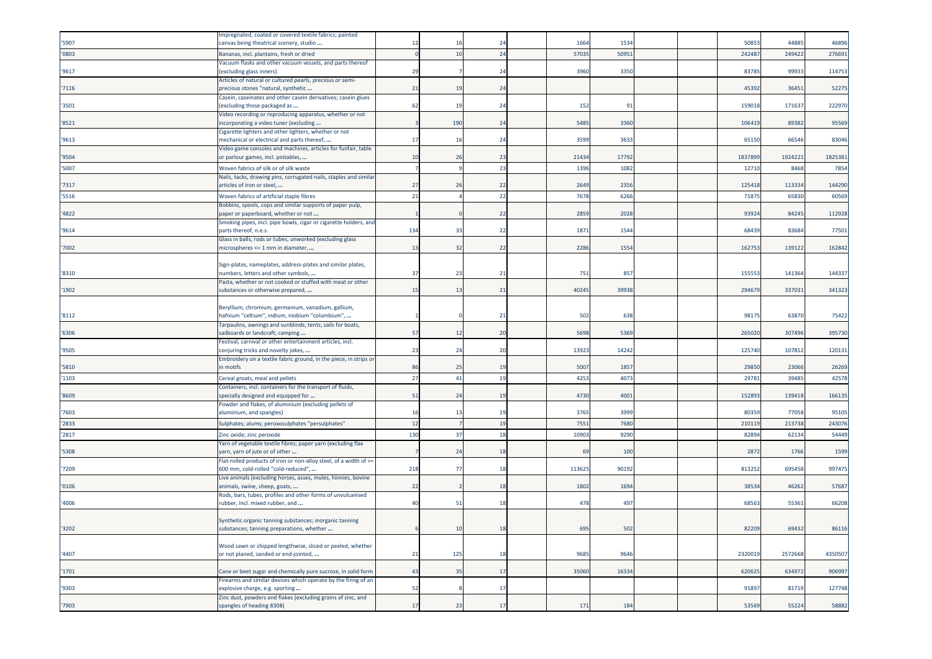|       | mpregnated, coated or covered textile fabrics; painted                                                       |     |     |                |        |       |  |         |         |         |
|-------|--------------------------------------------------------------------------------------------------------------|-----|-----|----------------|--------|-------|--|---------|---------|---------|
| '5907 | canvas being theatrical scenery, studio                                                                      | 12  |     |                | 1664   | 1534  |  | 5085    | 44885   | 46896   |
| '0803 | Bananas, incl. plantains, fresh or dried                                                                     | C   | 10  | 24             | 57035  | 50951 |  | 24248   | 24942   | 276691  |
| '9617 | Vacuum flasks and other vacuum vessels, and parts thereof<br>(excluding glass inners)                        | 29  |     | 24             | 3960   | 3350  |  | 8378    | 99933   | 114753  |
| '7116 | Articles of natural or cultured pearls, precious or semi-<br>precious stones "natural, synthetic             | 21  | 19  | 24             |        |       |  | 4539    | 36451   | 52275   |
| '3501 | Casein, caseinates and other casein derivatives; casein glues<br>(excluding those packaged as                | 62  | 19  | 24             | 152    | 91    |  | 15901   | 171637  | 222970  |
| '8521 | Video recording or reproducing apparatus, whether or not<br>ncorporating a video tuner (excluding            |     | 190 | 24             | 5485   | 3360  |  | 10641   | 89382   | 95569   |
|       | Cigarette lighters and other lighters, whether or not                                                        |     |     |                |        |       |  |         |         |         |
| '9613 | mechanical or electrical and parts thereof,<br>Video game consoles and machines, articles for funfair, table | 17  | 16  | 2 <sup>2</sup> | 3599   | 3633  |  | 65150   | 66546   | 83046   |
| '9504 | or parlour games, incl. pintables,                                                                           | 10  | 26  | 23             | 21434  | 17792 |  | 183789  | 1924221 | 1825381 |
| '5007 | Woven fabrics of silk or of silk waste                                                                       |     |     | 23             | 1396   | 1082  |  | 1271    | 8468    | 7854    |
| '7317 | Nails, tacks, drawing pins, corrugated nails, staples and similar<br>articles of iron or steel,              | 27  | 26  | 22             | 2649   | 2356  |  | 125418  | 11333   | 144290  |
| '5516 | Woven fabrics of artificial staple fibres                                                                    | 21  |     | 22             | 7678   | 6266  |  | 7187    | 65830   | 60569   |
| '4822 | Bobbins, spools, cops and similar supports of paper pulp,<br>paper or paperboard, whether or not             |     |     | 22             | 2859   | 2028  |  | 93924   | 84245   | 112928  |
|       | Smoking pipes, incl. pipe bowls, cigar or cigarette holders, and                                             |     |     |                |        |       |  |         |         |         |
| '9614 | parts thereof, n.e.s.                                                                                        | 134 | 33  | 22             | 1871   | 1544  |  | 6843    | 83684   | 77501   |
| '7002 | Glass in balls, rods or tubes, unworked (excluding glass<br>microspheres <= 1 mm in diameter,                | 13  | 32  | 22             | 2286   | 1554  |  | 162753  | 139122  | 162842  |
|       |                                                                                                              |     |     |                |        |       |  |         |         |         |
| '8310 | Sign-plates, nameplates, address-plates and similar plates,<br>numbers, letters and other symbols,           | 37  | 23  | 21             | 751    | 857   |  | 15555   | 141364  | 144337  |
| '1902 | Pasta, whether or not cooked or stuffed with meat or other<br>substances or otherwise prepared,              | 15  | 13  | 21             | 40245  | 39938 |  | 294679  | 337031  | 341323  |
|       |                                                                                                              |     |     |                |        |       |  |         |         |         |
| '8112 | Beryllium, chromium, germanium, vanadium, gallium,<br>nafnium "celtium", indium, niobium "columbium",        |     |     | 21             | 502    | 638   |  | 9817    | 6387    | 75422   |
|       | Tarpaulins, awnings and sunblinds; tents; sails for boats,                                                   |     |     |                |        |       |  |         |         |         |
| '6306 | sailboards or landcraft; camping<br>Festival, carnival or other entertainment articles, incl.                | 57  | 12  | 20             | 5698   | 5369  |  | 265020  | 307496  | 395730  |
| '9505 | conjuring tricks and novelty jokes,                                                                          | 23  | 24  | 20             | 13923  | 14242 |  | 12574   | 10781   | 120131  |
| '5810 | Embroidery on a textile fabric ground, in the piece, in strips or<br>in motifs                               | 86  | 25  | 19             | 5007   | 1857  |  | 29850   | 23066   | 26269   |
| '1103 | Cereal groats, meal and pellets                                                                              | 27  | 41  | 19             | 4253   | 407   |  | 2978    | 3948    | 42578   |
| '8609 | Containers, incl. containers for the transport of fluids,<br>specially designed and equipped for             | 51  | 24  | 1 <sup>c</sup> | 4730   | 4001  |  | 152893  | 139418  | 166135  |
|       | Powder and flakes, of aluminium (excluding pellets of                                                        |     |     |                |        |       |  |         |         |         |
| '7603 | aluminium, and spangles)                                                                                     | 16  | 13  | -19            | 3765   | 3999  |  | 8035    | 77058   | 95105   |
| '2833 | Sulphates; alums; peroxosulphates "persulphates"                                                             | 12  |     | 19             | 7551   | 7680  |  | 21011   | 21373   | 243076  |
| '2817 | Zinc oxide; zinc peroxide                                                                                    | 130 | 37  | 18             | 1090   | 9290  |  | 8289    | 6213    | 54449   |
| '5308 | Yarn of vegetable textile fibres; paper yarn (excluding flax<br>yarn, yarn of jute or of other               |     | 24  | -18            | 69     | 100   |  | 2872    | 1766    | 1599    |
| '7209 | Flat-rolled products of iron or non-alloy steel, of a width of >=<br>600 mm, cold-rolled "cold-reduced",     | 218 | 77  | 18             | 113625 | 90192 |  | 813252  | 69545   | 997475  |
| '0106 | Live animals (excluding horses, asses, mules, hinnies, bovine<br>animals, swine, sheep, goats,               | 22  |     | 18             | 1802   | 1694  |  | 38534   | 46262   | 57687   |
| '4006 | Rods, bars, tubes, profiles and other forms of unvulcanised<br>rubber, incl. mixed rubber, and               | 40  | 51  | 18             | 478    | 497   |  | 68563   | 55361   | 66208   |
|       |                                                                                                              |     |     |                |        |       |  |         |         |         |
| '3202 | Synthetic organic tanning substances; inorganic tanning<br>substances; tanning preparations, whether         |     | 10  | 18             | 695    | 502   |  | 82209   | 69432   | 86116   |
|       |                                                                                                              |     |     |                |        |       |  |         |         |         |
| '4407 | Wood sawn or chipped lengthwise, sliced or peeled, whether<br>or not planed, sanded or end-jointed,          | 21  | 125 | 18             | 9685   | 9646  |  | 2320019 | 2572668 | 4350507 |
|       |                                                                                                              |     |     |                |        |       |  |         |         |         |
| '1701 | Cane or beet sugar and chemically pure sucrose, in solid form                                                | 43  | 35  | 17             | 35060  | 16334 |  | 620625  | 634972  | 906997  |
| '9303 | Firearms and similar devices which operate by the firing of an<br>explosive charge, e.g. sporting            | 52  |     | 17             |        |       |  | 91897   | 81719   | 127748  |
|       | Zinc dust, powders and flakes (excluding grains of zinc, and                                                 |     |     |                |        |       |  |         |         |         |
| '7903 | spangles of heading 8308)                                                                                    | 17  | 23  | 17             | 171    | 184   |  | 53569   | 55224   | 58882   |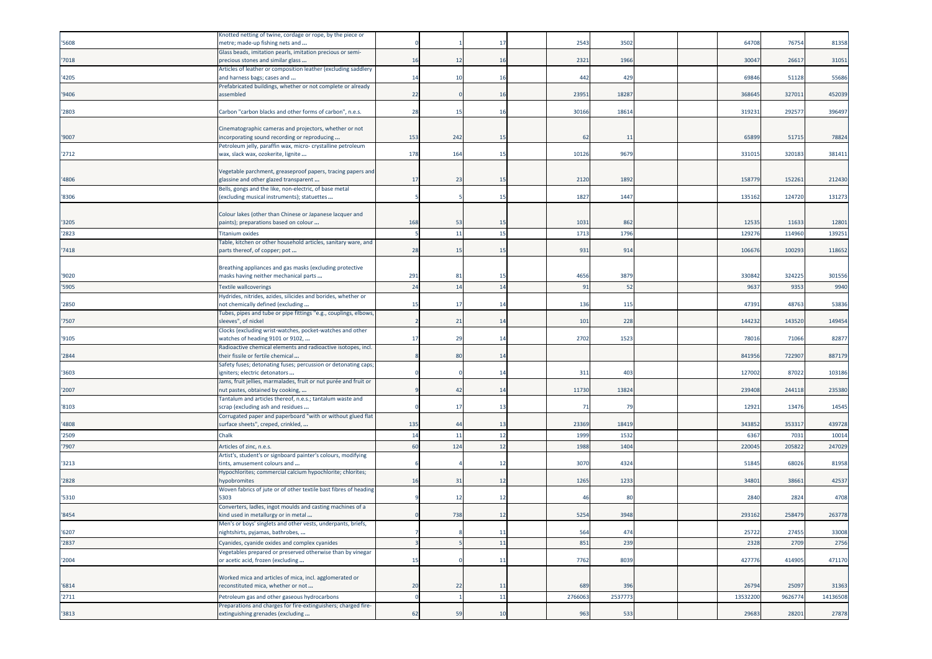|       | Knotted netting of twine, cordage or rope, by the piece or                                      |     |                |     |         |                |  |          |         |          |
|-------|-------------------------------------------------------------------------------------------------|-----|----------------|-----|---------|----------------|--|----------|---------|----------|
| '5608 | metre; made-up fishing nets and                                                                 |     |                | -17 | 2543    | 3502           |  | 64708    | 76754   | 81358    |
|       | Glass beads, imitation pearls, imitation precious or semi-                                      |     |                |     |         |                |  |          |         |          |
| '7018 | precious stones and similar glass                                                               | 16  | 12             | 16  | 2321    | 1966           |  | 30047    | 26617   | 31051    |
|       | Articles of leather or composition leather (excluding saddlery                                  |     |                |     |         |                |  |          |         |          |
| '4205 | and harness bags; cases and                                                                     | 14  | 10             | 16  | 442     | 429            |  | 69846    | 51128   | 55686    |
|       | Prefabricated buildings, whether or not complete or already                                     |     |                |     |         |                |  |          |         |          |
| '9406 | assembled                                                                                       | 22  |                | 16  | 23951   | 18287          |  | 368645   | 32701   | 452039   |
|       |                                                                                                 |     |                |     |         |                |  |          |         |          |
| '2803 | Carbon "carbon blacks and other forms of carbon", n.e.s.                                        | 28  | 15             | 16  | 30166   | 1861           |  | 319231   | 29257   | 396497   |
|       |                                                                                                 |     |                |     |         |                |  |          |         |          |
|       | Cinematographic cameras and projectors, whether or not                                          |     |                |     |         |                |  |          |         |          |
| '9007 | ncorporating sound recording or reproducing                                                     | 153 | 242            | 15  | 62      | 11             |  | 65899    | 51715   | 78824    |
|       | Petroleum jelly, paraffin wax, micro- crystalline petroleum                                     |     |                |     |         |                |  |          |         |          |
| '2712 | wax, slack wax, ozokerite, lignite                                                              | 178 | 164            | 15  | 10126   | 9679           |  | 33101    | 320183  | 381411   |
|       |                                                                                                 |     |                |     |         |                |  |          |         |          |
|       | Vegetable parchment, greaseproof papers, tracing papers and                                     |     |                |     |         |                |  |          |         |          |
| '4806 | glassine and other glazed transparent                                                           | 17  | 23             | 15  | 2120    | 1892           |  | 15877    | 15226   | 212430   |
|       | Bells, gongs and the like, non-electric, of base metal                                          |     |                |     |         |                |  |          |         |          |
| '8306 | (excluding musical instruments); statuettes                                                     |     |                | 15  | 1827    | 1447           |  | 135162   | 124720  | 131273   |
|       |                                                                                                 |     |                |     |         |                |  |          |         |          |
|       | Colour lakes (other than Chinese or Japanese lacquer and                                        |     |                |     |         |                |  |          |         |          |
| '3205 | paints); preparations based on colour                                                           | 168 | 53             | 15  | 1031    | 862            |  | 12535    | 11633   | 12801    |
| '2823 | <b>Titanium oxides</b>                                                                          |     | 11             | 15  | 1713    | 1796           |  | 12927    | 114960  | 139251   |
|       | Fable, kitchen or other household articles, sanitary ware, and                                  |     |                |     |         |                |  |          |         |          |
| '7418 | parts thereof, of copper; pot                                                                   | 28  | 15             | 15  | 931     | 914            |  | 106676   | 100293  | 118652   |
|       |                                                                                                 |     |                |     |         |                |  |          |         |          |
|       | Breathing appliances and gas masks (excluding protective                                        |     |                |     |         |                |  |          |         |          |
| '9020 | masks having neither mechanical parts                                                           | 291 | 81             | -15 | 4656    | 387            |  | 33084    | 32422   | 301556   |
| '5905 | <b>Textile wallcoverings</b>                                                                    | 24  | 14             | 14  | 91      | 52             |  | 9637     | 9353    | 9940     |
|       | Hydrides, nitrides, azides, silicides and borides, whether or                                   |     |                |     |         |                |  |          |         |          |
| '2850 | not chemically defined (excluding                                                               | 15  | 17             | 14  | 136     | 115            |  | 47391    | 48763   | 53836    |
|       | Tubes, pipes and tube or pipe fittings "e.g., couplings, elbows,                                |     |                |     |         |                |  |          |         |          |
| '7507 | sleeves", of nickel                                                                             |     | 21             | 14  | 101     | 228            |  | 144232   | 143520  | 149454   |
|       | Clocks (excluding wrist-watches, pocket-watches and other                                       |     |                |     |         |                |  |          |         |          |
| '9105 | watches of heading 9101 or 9102,                                                                | 17  | 29             | -14 | 2702    | 1523           |  | 7801     | 71066   | 82877    |
|       | Radioactive chemical elements and radioactive isotopes, incl.                                   |     |                |     |         |                |  |          |         |          |
| '2844 | their fissile or fertile chemical                                                               |     | 80             | 14  |         |                |  | 841956   | 72290   | 887179   |
|       | Safety fuses; detonating fuses; percussion or detonating caps;                                  |     |                |     |         |                |  |          |         |          |
| '3603 | igniters; electric detonators                                                                   |     |                | 14  | 311     | 403            |  | 127002   | 87022   | 103186   |
|       | Jams, fruit jellies, marmalades, fruit or nut purée and fruit or                                |     |                |     |         |                |  |          |         |          |
| '2007 | nut pastes, obtained by cooking,                                                                |     | 42             | 14  | 11730   | 13824          |  | 239408   | 244118  | 235380   |
|       | Tantalum and articles thereof, n.e.s.; tantalum waste and                                       |     |                |     |         |                |  |          |         |          |
| '8103 | scrap (excluding ash and residues                                                               |     | 17             | -13 | 71      | <b>79</b>      |  | 12921    | 13476   | 14545    |
|       | Corrugated paper and paperboard "with or without glued flat                                     |     |                |     |         |                |  |          |         |          |
| '4808 | surface sheets", creped, crinkled,                                                              | 135 | $\overline{4}$ | 13  | 23369   | 1841           |  | 343852   | 35331   | 439728   |
| '2509 | Chalk                                                                                           | 14  | 11             | 12  | 1999    | 1532           |  | 6367     | 7031    | 10014    |
| '7907 | Articles of zinc, n.e.s.                                                                        | 60  | 124            | 12  | 1988    | 1404           |  | 22004    | 20582   | 247029   |
|       | Artist's, student's or signboard painter's colours, modifying                                   |     |                |     |         |                |  |          |         |          |
| '3213 | tints, amusement colours and                                                                    |     |                | 12  | 3070    | 432            |  | 51845    | 68026   | 81958    |
|       | Hypochlorites; commercial calcium hypochlorite; chlorites;                                      |     |                |     |         |                |  |          |         |          |
| '2828 | <b>nypobromites</b>                                                                             | 16  | 31             | 12  | 1265    | 1233           |  | 3480     | 38661   | 42537    |
|       | Woven fabrics of jute or of other textile bast fibres of heading                                |     |                |     |         |                |  |          |         |          |
| '5310 | 5303                                                                                            |     | 12             | 12  | 46      | 8 <sup>0</sup> |  | 2840     | 2824    | 4708     |
|       | Converters, ladles, ingot moulds and casting machines of a                                      |     |                |     |         |                |  |          |         |          |
| '8454 | kind used in metallurgy or in metal                                                             |     | 738            | 12  | 5254    | 3948           |  | 293162   | 258479  | 263778   |
|       | Men's or boys' singlets and other vests, underpants, briefs,                                    |     |                |     |         |                |  |          |         |          |
| '6207 | nightshirts, pyjamas, bathrobes,                                                                |     |                | 11  | 564     | 474            |  | 25722    | 27455   | 33008    |
| '2837 | Cyanides, cyanide oxides and complex cyanides                                                   |     |                | 11  | 851     | 239            |  | 2328     | 2709    | 2756     |
|       |                                                                                                 |     |                |     |         |                |  |          |         |          |
| '2004 | Vegetables prepared or preserved otherwise than by vinegar<br>or acetic acid, frozen (excluding | 15  |                | 11  | 7762    | 8039           |  | 427776   | 414905  | 471170   |
|       |                                                                                                 |     |                |     |         |                |  |          |         |          |
|       | Worked mica and articles of mica, incl. agglomerated or                                         |     |                |     |         |                |  |          |         |          |
| '6814 | reconstituted mica, whether or not                                                              | 20  | 22             | 11  | 689     | 396            |  | 26794    | 25097   | 31363    |
|       |                                                                                                 |     |                |     |         |                |  |          |         |          |
| '2711 | Petroleum gas and other gaseous hydrocarbons                                                    |     |                | 11  | 2766063 | 253777         |  | 13532200 | 9626774 | 14136508 |
|       | Preparations and charges for fire-extinguishers; charged fire-                                  |     |                |     |         |                |  |          |         |          |
| '3813 | extinguishing grenades (excluding                                                               | 62  | 59             | 10  | 963     | 533            |  | 29683    | 28201   | 27878    |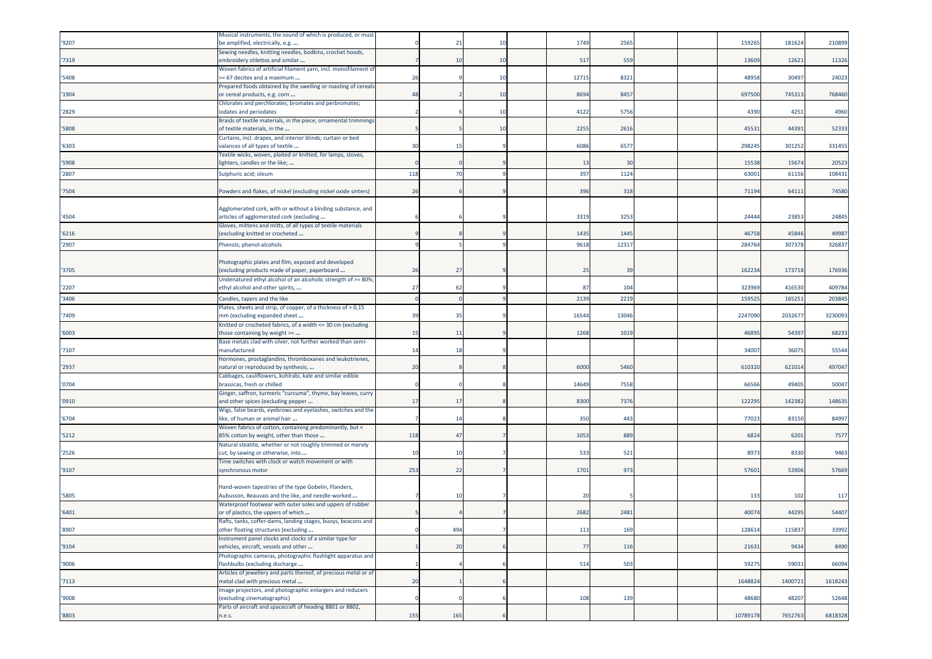| '9207 | Musical instruments, the sound of which is produced, or must<br>be amplified, electrically, e.g.        |     | $\overline{2}$ |     | 1749  | 2565  |  | 15926    | 181624  | 210899  |
|-------|---------------------------------------------------------------------------------------------------------|-----|----------------|-----|-------|-------|--|----------|---------|---------|
| '7319 | Sewing needles, knitting needles, bodkins, crochet hoods,<br>embroidery stilettos and similar           |     | 10             | 10  | 517   | 559   |  | 13609    | 12621   | 11326   |
| '5408 | Woven fabrics of artificial filament yarn, incl. monofilament of<br>-= 67 decitex and a maximum         | 26  |                | -10 | 12715 | 8321  |  | 4895     | 30497   | 24023   |
| '1904 | Prepared foods obtained by the swelling or roasting of cereals<br>or cereal products, e.g. corn         | 48  |                | 10  | 8694  | 8457  |  | 697500   | 745313  | 768460  |
| '2829 | Chlorates and perchlorates; bromates and perbromates;<br>iodates and periodates                         |     |                | 10  | 4122  | 5756  |  | 4390     | 4251    | 4960    |
| '5808 | Braids of textile materials, in the piece; ornamental trimmings<br>of textile materials, in the         |     |                | 10  | 2255  | 2616  |  | 4553     | 44391   | 52333   |
| '6303 | Curtains, incl. drapes, and interior blinds; curtain or bed<br>valances of all types of textile         | 30  | 15             |     | 6086  | 6577  |  | 298245   | 301252  | 331455  |
| '5908 | Fextile wicks, woven, plaited or knitted, for lamps, stoves,<br>ighters, candles or the like;           |     |                |     | 13    | 30    |  | 15538    | 15674   | 20523   |
| '2807 | Sulphuric acid; oleum                                                                                   | 118 | 70             |     | 397   | 1124  |  | 6300     | 61156   | 108431  |
| '7504 | Powders and flakes, of nickel (excluding nickel oxide sinters)                                          | 26  |                |     | 396   | 318   |  | 71194    | 64111   | 74580   |
| '4504 | Agglomerated cork, with or without a binding substance, and<br>articles of agglomerated cork (excluding |     |                |     | 3319  | 3253  |  | 24444    | 23853   | 24845   |
| '6216 | Gloves, mittens and mitts, of all types of textile materials<br>(excluding knitted or crocheted         |     |                |     | 1435  | 1445  |  | 4675     | 45846   | 49987   |
| '2907 | Phenols; phenol-alcohols                                                                                |     |                |     | 9618  | 1231  |  | 28476    | 30737   | 326837  |
|       |                                                                                                         |     |                |     |       |       |  |          |         |         |
| '3705 | Photographic plates and film, exposed and developed<br>(excluding products made of paper, paperboard    | 26  | 27             |     | 25    | 39    |  | 162234   | 17371   | 176936  |
| '2207 | Undenatured ethyl alcohol of an alcoholic strength of >= 80%<br>ethyl alcohol and other spirits,        | 27  | -62            |     | 87    | 104   |  | 323969   | 416530  | 409784  |
| '3406 | Candles, tapers and the like                                                                            |     |                |     | 2139  | 2219  |  | 15952    | 16525   | 203845  |
| '7409 | Plates, sheets and strip, of copper, of a thickness of > 0,15<br>mm (excluding expanded sheet           | 39  | 35             |     | 16544 | 13046 |  | 2247090  | 203267  | 3230093 |
| '6003 | Knitted or crocheted fabrics, of a width <= 30 cm (excluding<br>those containing by weight >=           | 15  | -11            |     | 1268  | 1019  |  | 46895    | 54397   | 68233   |
| '7107 | Base metals clad with silver, not further worked than semi-<br>nanufactured                             | 14  | 18             |     |       |       |  | 3400     | 36075   | 55544   |
| '2937 | Hormones, prostaglandins, thromboxanes and leukotrienes,<br>natural or reproduced by synthesis;         | 20  |                |     | 6000  | 5460  |  | 610320   | 621014  | 497047  |
| '0704 | Cabbages, cauliflowers, kohlrabi, kale and similar edible<br>brassicas, fresh or chilled                |     |                |     | 14649 | 7558  |  | 6656     | 49405   | 50047   |
| '0910 | Ginger, saffron, turmeric "curcuma", thyme, bay leaves, curry<br>and other spices (excluding pepper     | 17  | -17            |     | 8300  | 7376  |  | 122295   | 142382  | 148635  |
| '6704 | Wigs, false beards, eyebrows and eyelashes, switches and the<br>like, of human or animal hair           |     | 14             |     | 350   | 443   |  | 77023    | 83150   | 84997   |
| '5212 | Woven fabrics of cotton, containing predominantly, but <<br>85% cotton by weight, other than those      | 118 | 47             |     | 1053  | 889   |  | 6824     | 6201    | 7577    |
| '2526 | Natural steatite, whether or not roughly trimmed or merely<br>cut, by sawing or otherwise, into         | 10  | 10             |     | 533   | 521   |  | 897      | 8330    | 9463    |
| '9107 | Fime switches with clock or watch movement or with<br>synchronous motor                                 | 253 | 22             |     | 1701  | 973   |  | 5760     | 53906   | 57669   |
|       | Hand-woven tapestries of the type Gobelin, Flanders,                                                    |     |                |     |       |       |  |          |         |         |
| '5805 | Aubusson, Beauvais and the like, and needle-worked                                                      |     | 10             |     | 20    |       |  | 133      | 102     | 117     |
| '6401 | Waterproof footwear with outer soles and uppers of rubber<br>or of plastics, the uppers of which        |     |                |     | 2682  | 2481  |  | 4007     | 44295   | 54407   |
| '8907 | Rafts, tanks, coffer-dams, landing stages, buoys, beacons and<br>other floating structures (excluding   |     | 494            |     | 113   | 169   |  | 128614   | 115837  | 33992   |
| '9104 | Instrument panel clocks and clocks of a similar type for<br>vehicles, aircraft, vessels and other       |     | 20             |     | 77    | 116   |  | 21631    | 9434    | 8490    |
| '9006 | Photographic cameras, photographic flashlight apparatus and<br>flashbulbs (excluding discharge          |     |                |     | 514   | 503   |  | 5927     | 59031   | 66094   |
|       | Articles of jewellery and parts thereof, of precious metal or of                                        |     |                |     |       |       |  |          |         |         |
| '7113 | metal clad with precious metal<br>Image projectors, and photographic enlargers and reducers             | 20  |                |     |       |       |  | 1648824  | 1400721 | 1618243 |
| '9008 | (excluding cinematographic)<br>Parts of aircraft and spacecraft of heading 8801 or 8802,                |     |                |     | 108   | 139   |  | 48680    | 48207   | 52648   |
| '8803 | n.e.s.                                                                                                  | 155 | 165            |     |       |       |  | 10789178 | 7652763 | 6818328 |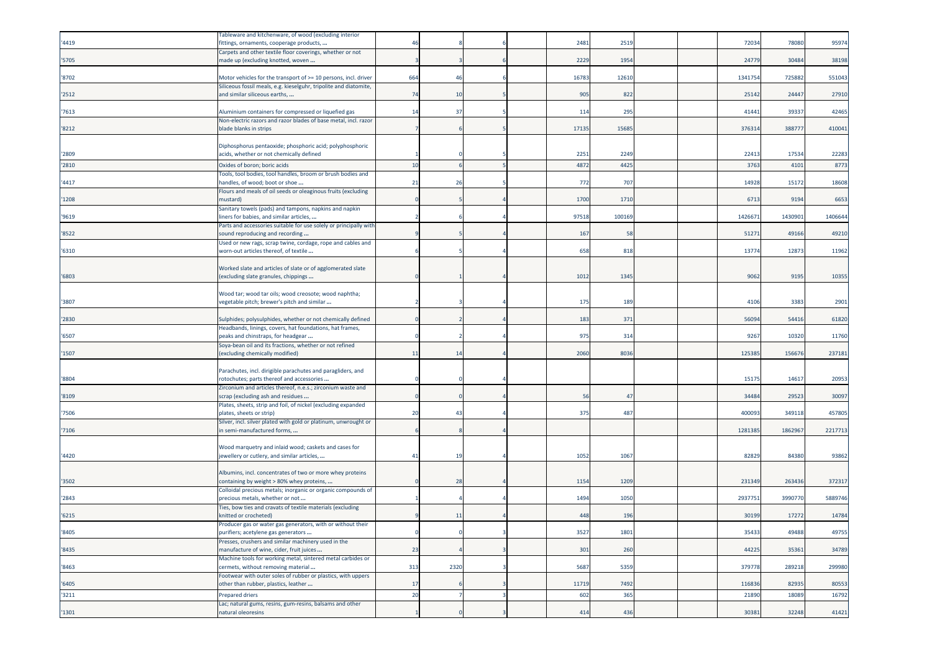|       | Tableware and kitchenware, of wood (excluding interior                                            |          |      |  |       |        |  |         |         |         |
|-------|---------------------------------------------------------------------------------------------------|----------|------|--|-------|--------|--|---------|---------|---------|
| '4419 | ittings, ornaments, cooperage products,                                                           | 46       |      |  | 2481  | 2519   |  | 7203    | 78080   | 95974   |
|       | Carpets and other textile floor coverings, whether or not                                         |          |      |  |       |        |  | 24779   | 30484   |         |
| '5705 | made up (excluding knotted, woven                                                                 |          |      |  | 2229  | 1954   |  |         |         | 38198   |
| '8702 | Motor vehicles for the transport of >= 10 persons, incl. driver                                   | 664      | 46   |  | 16783 | 12610  |  | 134175  | 725882  | 551043  |
|       | Siliceous fossil meals, e.g. kieselguhr, tripolite and diatomite,                                 |          |      |  |       |        |  |         |         |         |
| '2512 | and similar siliceous earths,                                                                     | 74       | 10   |  | 905   | 822    |  | 25142   | 24447   | 27910   |
|       |                                                                                                   |          |      |  |       |        |  |         |         |         |
| '7613 | Aluminium containers for compressed or liquefied gas                                              | 14       | 37   |  | 114   | 295    |  | 41441   | 39337   | 42465   |
| '8212 | Non-electric razors and razor blades of base metal, incl. razor<br>blade blanks in strips         |          |      |  | 17135 | 1568   |  | 37631   | 38877   | 410041  |
|       |                                                                                                   |          |      |  |       |        |  |         |         |         |
|       | Diphosphorus pentaoxide; phosphoric acid; polyphosphoric                                          |          |      |  |       |        |  |         |         |         |
| '2809 | acids, whether or not chemically defined                                                          |          |      |  | 2251  | 2249   |  | 2241    | 17534   | 22283   |
| '2810 | Oxides of boron; boric acids                                                                      | 10       |      |  | 4872  | 4425   |  | 3763    | 410     | 8773    |
|       | Tools, tool bodies, tool handles, broom or brush bodies and                                       |          |      |  |       |        |  |         |         |         |
| '4417 | nandles, of wood; boot or shoe                                                                    | 21       | 26   |  | 772   | 707    |  | 1492    | 15172   | 18608   |
|       | Flours and meals of oil seeds or oleaginous fruits (excluding                                     |          |      |  |       |        |  |         |         |         |
| '1208 | nustard)                                                                                          |          |      |  | 1700  | 1710   |  | 6713    | 9194    | 6653    |
| '9619 | Sanitary towels (pads) and tampons, napkins and napkin<br>iners for babies, and similar articles, |          |      |  | 97518 | 100169 |  | 142667  | 143090  | 1406644 |
|       | Parts and accessories suitable for use solely or principally with                                 |          |      |  |       |        |  |         |         |         |
| '8522 | sound reproducing and recording                                                                   |          |      |  | 167   | 58     |  | 51271   | 49166   | 49210   |
|       | Used or new rags, scrap twine, cordage, rope and cables and                                       |          |      |  |       |        |  |         |         |         |
| '6310 | worn-out articles thereof, of textile                                                             |          |      |  | 658   | 818    |  | 1377    | 12873   | 11962   |
|       |                                                                                                   |          |      |  |       |        |  |         |         |         |
|       | Worked slate and articles of slate or of agglomerated slate                                       |          |      |  |       |        |  |         |         |         |
| '6803 | excluding slate granules, chippings                                                               |          |      |  | 1012  | 1345   |  | 9062    | 9195    | 10355   |
|       | Wood tar; wood tar oils; wood creosote; wood naphtha;                                             |          |      |  |       |        |  |         |         |         |
| '3807 | vegetable pitch; brewer's pitch and similar                                                       |          |      |  | 175   | 189    |  | 4106    | 3383    | 2901    |
|       |                                                                                                   |          |      |  |       |        |  |         |         |         |
| '2830 | Sulphides; polysulphides, whether or not chemically defined                                       |          |      |  | 183   | 371    |  | 5609    | 54416   | 61820   |
|       | Headbands, linings, covers, hat foundations, hat frames,                                          |          |      |  |       |        |  |         |         |         |
| '6507 | peaks and chinstraps, for headgear                                                                |          |      |  | 975   | 314    |  | 9267    | 10320   | 11760   |
|       | Soya-bean oil and its fractions, whether or not refined                                           |          |      |  |       |        |  |         |         |         |
| '1507 | excluding chemically modified)                                                                    | 11       | 14   |  | 2060  | 8036   |  | 12538   | 156676  | 237181  |
|       | Parachutes, incl. dirigible parachutes and paragliders, and                                       |          |      |  |       |        |  |         |         |         |
| '8804 | rotochutes; parts thereof and accessories                                                         |          |      |  |       |        |  | 1517    | 14617   | 20953   |
|       | Zirconium and articles thereof, n.e.s.; zirconium waste and                                       |          |      |  |       |        |  |         |         |         |
| '8109 | scrap (excluding ash and residues                                                                 |          |      |  | 56    | 47     |  | 34484   | 29523   | 30097   |
|       | Plates, sheets, strip and foil, of nickel (excluding expanded                                     |          |      |  |       |        |  |         |         |         |
| '7506 | plates, sheets or strip)                                                                          | 20       | 43   |  | 375   | 487    |  | 40009   | 349118  | 457805  |
|       | Silver, incl. silver plated with gold or platinum, unwrought or<br>in semi-manufactured forms,    |          |      |  |       |        |  | 1281385 | 1862967 | 2217713 |
| '7106 |                                                                                                   |          |      |  |       |        |  |         |         |         |
|       | Wood marquetry and inlaid wood; caskets and cases for                                             |          |      |  |       |        |  |         |         |         |
| '4420 | jewellery or cutlery, and similar articles,                                                       | 41       | 19   |  | 1052  | 1067   |  | 82829   | 84380   | 93862   |
|       |                                                                                                   |          |      |  |       |        |  |         |         |         |
|       | Albumins, incl. concentrates of two or more whey proteins                                         |          |      |  |       |        |  |         |         |         |
| '3502 | containing by weight > 80% whey proteins,                                                         |          | 28   |  | 1154  | 1209   |  | 231349  | 26343   | 372317  |
|       | Colloidal precious metals; inorganic or organic compounds of<br>precious metals, whether or not   |          |      |  |       |        |  |         |         |         |
| '2843 | Ties, bow ties and cravats of textile materials (excluding                                        |          |      |  | 1494  | 1050   |  | 2937751 | 3990770 | 5889746 |
| '6215 | knitted or crocheted)                                                                             |          | 11   |  | 448   | 196    |  | 30199   | 17272   | 14784   |
|       | Producer gas or water gas generators, with or without their                                       |          |      |  |       |        |  |         |         |         |
| '8405 | purifiers; acetylene gas generators                                                               | $\Omega$ |      |  | 3527  | 1801   |  | 35433   | 49488   | 49755   |
|       | Presses, crushers and similar machinery used in the                                               |          |      |  |       |        |  |         |         |         |
| '8435 | manufacture of wine, cider, fruit juices                                                          | 23       |      |  | 301   | 260    |  | 44225   | 35361   | 34789   |
|       | Machine tools for working metal, sintered metal carbides or<br>cermets, without removing material |          | 2320 |  | 5687  | 5359   |  | 379778  | 289218  | 299980  |
| '8463 | Footwear with outer soles of rubber or plastics, with uppers                                      | 313      |      |  |       |        |  |         |         |         |
| '6405 | other than rubber, plastics, leather                                                              | 17       |      |  | 11719 | 7492   |  | 116836  | 82935   | 80553   |
| '3211 | Prepared driers                                                                                   | 20       |      |  | 602   | 365    |  | 21890   | 18089   | 16792   |
|       | Lac; natural gums, resins, gum-resins, balsams and other                                          |          |      |  |       |        |  |         |         |         |
| '1301 | natural oleoresins                                                                                |          |      |  | 414   | 436    |  | 30381   | 32248   | 41421   |
|       |                                                                                                   |          |      |  |       |        |  |         |         |         |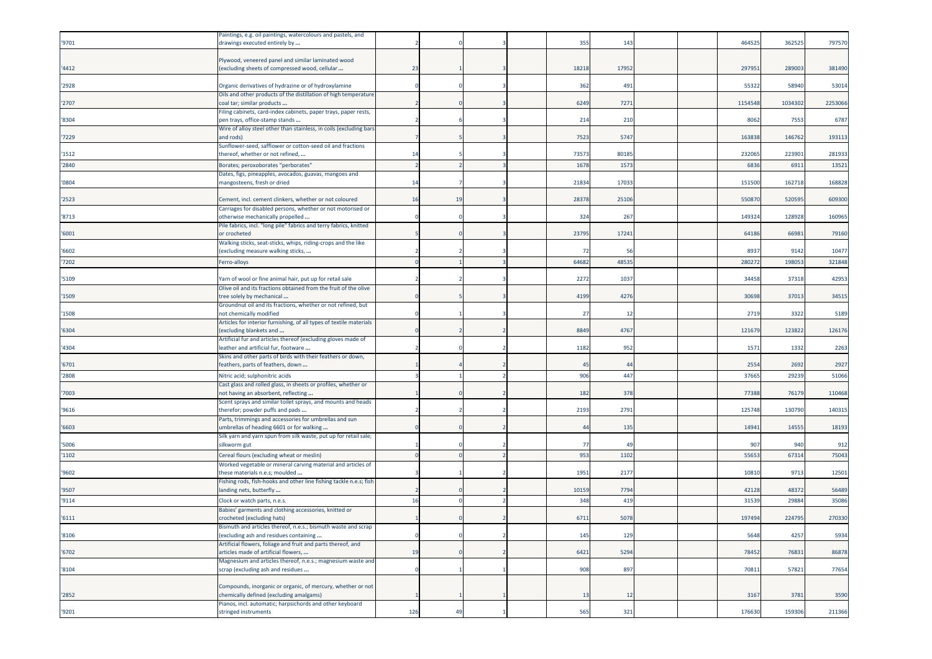|       | Paintings, e.g. oil paintings, watercolours and pastels, and                                                            |     |    |  |                |                |  |         |        |         |
|-------|-------------------------------------------------------------------------------------------------------------------------|-----|----|--|----------------|----------------|--|---------|--------|---------|
| '9701 | drawings executed entirely by                                                                                           |     |    |  | 355            | 143            |  | 464525  | 36252  | 797570  |
|       |                                                                                                                         |     |    |  |                |                |  |         |        |         |
|       | Plywood, veneered panel and similar laminated wood                                                                      |     |    |  |                |                |  |         |        |         |
| '4412 | excluding sheets of compressed wood, cellular                                                                           | 23  |    |  | 18218          | 17952          |  | 29795   | 28900  | 381490  |
|       |                                                                                                                         |     |    |  |                |                |  |         |        |         |
| '2928 | Organic derivatives of hydrazine or of hydroxylamine<br>Oils and other products of the distillation of high temperature |     |    |  | 362            | 491            |  | 5532    | 5894   | 53014   |
| '2707 | coal tar; similar products                                                                                              |     |    |  | 6249           | 7271           |  | 1154548 | 103430 | 2253066 |
|       | Filing cabinets, card-index cabinets, paper trays, paper rests,                                                         |     |    |  |                |                |  |         |        |         |
| '8304 | pen trays, office-stamp stands                                                                                          |     |    |  | 214            | 210            |  | 8062    | 7553   | 6787    |
|       | Wire of alloy steel other than stainless, in coils (excluding bars                                                      |     |    |  |                |                |  |         |        |         |
| '7229 | and rods)                                                                                                               |     |    |  | 7523           | 5747           |  | 163838  | 14676  | 193113  |
|       | Sunflower-seed, safflower or cotton-seed oil and fractions                                                              |     |    |  |                |                |  |         |        |         |
| '1512 | thereof, whether or not refined,                                                                                        | 14  |    |  | 73573          | 80185          |  | 232065  | 22390  | 281933  |
| '2840 | Borates; peroxoborates "perborates"                                                                                     |     |    |  | 1678           | 1573           |  | 6836    | 691    | 13521   |
|       | Dates, figs, pineapples, avocados, guavas, mangoes and                                                                  |     |    |  |                |                |  |         |        |         |
| '0804 | mangosteens, fresh or dried                                                                                             | 14  |    |  | 21834          | 17033          |  | 151500  | 16271  | 168828  |
| '2523 | Cement, incl. cement clinkers, whether or not coloured                                                                  | 16  | 19 |  | 28378          | 25106          |  | 55087   | 52059  | 609300  |
|       | Carriages for disabled persons, whether or not motorised or                                                             |     |    |  |                |                |  |         |        |         |
| '8713 | otherwise mechanically propelled                                                                                        |     |    |  | 324            | 267            |  | 14932   | 12892  | 160965  |
|       | Pile fabrics, incl. "long pile" fabrics and terry fabrics, knitted                                                      |     |    |  |                |                |  |         |        |         |
| '6001 | or crocheted                                                                                                            |     |    |  | 23795          | 17241          |  | 64186   | 6698   | 79160   |
|       | Walking sticks, seat-sticks, whips, riding-crops and the like                                                           |     |    |  |                |                |  |         |        |         |
| '6602 | excluding measure walking sticks,                                                                                       |     |    |  | 72             | -56            |  | 8937    | 9142   | 10477   |
| '7202 | Ferro-alloys                                                                                                            |     |    |  | 64682          | 48535          |  | 28027   | 19805  | 321848  |
|       |                                                                                                                         |     |    |  |                |                |  |         |        |         |
| '5109 | Yarn of wool or fine animal hair, put up for retail sale                                                                |     |    |  | 2272           | 1037           |  | 34458   | 3731   | 42953   |
| '1509 | Olive oil and its fractions obtained from the fruit of the olive<br>tree solely by mechanical                           |     |    |  | 4199           | 4276           |  | 30698   | 3701   | 34515   |
|       | Groundnut oil and its fractions, whether or not refined, but                                                            |     |    |  |                |                |  |         |        |         |
| '1508 | not chemically modified                                                                                                 |     |    |  | 27             | 12             |  | 2719    | 3322   | 5189    |
|       | Articles for interior furnishing, of all types of textile materials                                                     |     |    |  |                |                |  |         |        |         |
| '6304 | (excluding blankets and                                                                                                 |     |    |  | 8849           | 4767           |  | 12167   | 12382  | 126176  |
|       | Artificial fur and articles thereof (excluding gloves made of                                                           |     |    |  |                |                |  |         |        |         |
| '4304 | eather and artificial fur, footware                                                                                     |     |    |  | 1182           | 952            |  | 1571    | 133    | 2263    |
| '6701 | Skins and other parts of birds with their feathers or down,<br>feathers, parts of feathers, down                        |     |    |  | $\overline{4}$ | 44             |  | 2554    | 2692   | 2927    |
|       |                                                                                                                         |     |    |  |                |                |  |         |        |         |
| '2808 | Nitric acid; sulphonitric acids                                                                                         |     |    |  | 906            | 447            |  | 37665   | 2923   | 51066   |
| '7003 | Cast glass and rolled glass, in sheets or profiles, whether or<br>not having an absorbent, reflecting                   |     |    |  | 182            | 378            |  | 77388   | 7617   | 110468  |
|       | Scent sprays and similar toilet sprays, and mounts and heads                                                            |     |    |  |                |                |  |         |        |         |
| '9616 | therefor; powder puffs and pads                                                                                         |     |    |  | 2193           | 2791           |  | 125748  | 13079  | 140315  |
|       | Parts, trimmings and accessories for umbrellas and sun                                                                  |     |    |  |                |                |  |         |        |         |
| '6603 | imbrellas of heading 6601 or for walking                                                                                |     |    |  | 44             | 135            |  | 1494    | 1455   | 18193   |
|       | Silk yarn and yarn spun from silk waste, put up for retail sale;                                                        |     |    |  |                |                |  |         |        |         |
| '5006 | silkworm gut                                                                                                            |     |    |  | -77            | 4 <sup>c</sup> |  | 907     | 94     | 912     |
| '1102 | Cereal flours (excluding wheat or meslin)                                                                               |     |    |  | 953            | 1102           |  | 55653   | 6731   | 75043   |
| '9602 | Worked vegetable or mineral carving material and articles of<br>these materials n.e.s; moulded                          |     |    |  | 1951           | 2177           |  | 10810   | 9713   | 12501   |
|       | Fishing rods, fish-hooks and other line fishing tackle n.e.s; fish                                                      |     |    |  |                |                |  |         |        |         |
| '9507 | landing nets, butterfly                                                                                                 |     |    |  | 10159          | 7794           |  | 42128   | 4837   | 56489   |
| '9114 | Clock or watch parts, n.e.s.                                                                                            | 16  |    |  | 348            | 419            |  | 31539   | 2988   | 35086   |
|       | Babies' garments and clothing accessories, knitted or                                                                   |     |    |  |                |                |  |         |        |         |
| '6111 | crocheted (excluding hats)                                                                                              |     |    |  | 6711           | 5078           |  | 197494  | 22479  | 270330  |
|       | imuth and articles thereor, n.e.s.; bismuth waste and scrap                                                             |     |    |  |                |                |  |         |        |         |
| '8106 | (excluding ash and residues containing                                                                                  |     |    |  | 145            | 129            |  | 5648    | 4257   | 5934    |
|       | Artificial flowers, foliage and fruit and parts thereof, and                                                            |     |    |  |                |                |  |         |        |         |
| '6702 | articles made of artificial flowers,                                                                                    | 19  |    |  | 6421           | 5294           |  | 78452   | 76831  | 86878   |
| '8104 | Magnesium and articles thereof, n.e.s.; magnesium waste and<br>scrap (excluding ash and residues                        |     |    |  | 908            | 897            |  | 70811   | 57821  | 77654   |
|       |                                                                                                                         |     |    |  |                |                |  |         |        |         |
|       | Compounds, inorganic or organic, of mercury, whether or not                                                             |     |    |  |                |                |  |         |        |         |
| '2852 | chemically defined (excluding amalgams)                                                                                 |     |    |  | 13             | 12             |  | 3167    | 3781   | 3590    |
|       | Pianos, incl. automatic; harpsichords and other keyboard                                                                |     |    |  |                |                |  |         |        |         |
| '9201 | stringed instruments                                                                                                    | 126 | 49 |  | 565            | 321            |  | 176630  | 159306 | 211366  |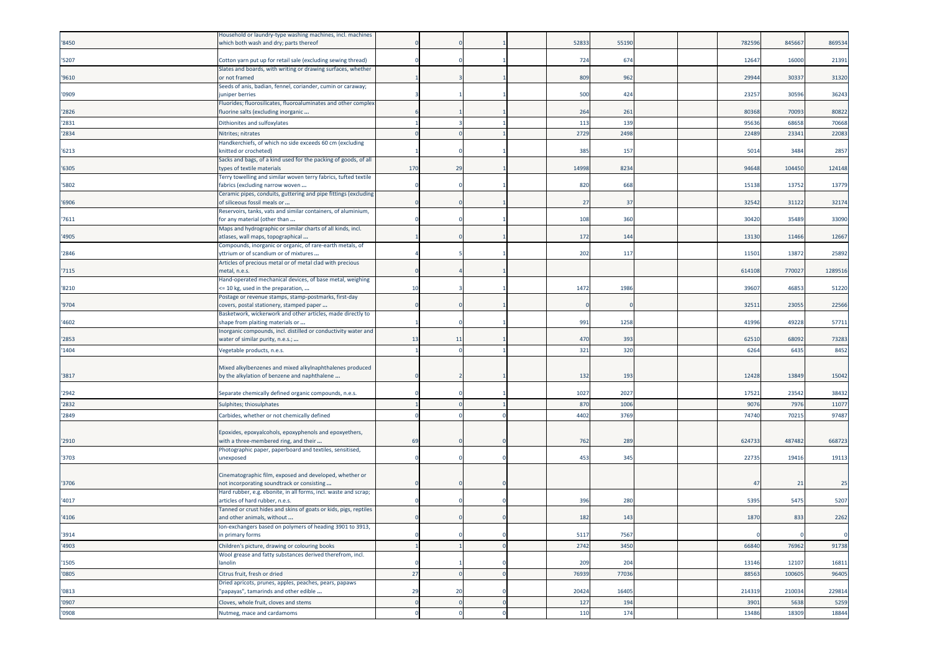|       | Household or laundry-type washing machines, incl. machines                                    |          |          |  |       |       |  |        |        |             |
|-------|-----------------------------------------------------------------------------------------------|----------|----------|--|-------|-------|--|--------|--------|-------------|
| '8450 | which both wash and dry; parts thereof                                                        |          |          |  | 52833 | 55190 |  | 782596 | 845667 | 869534      |
|       |                                                                                               |          |          |  |       |       |  |        |        |             |
| '5207 | Cotton yarn put up for retail sale (excluding sewing thread)                                  |          |          |  | 724   | 674   |  | 1264   | 16000  | 21391       |
|       | Slates and boards, with writing or drawing surfaces, whether                                  |          |          |  |       |       |  |        |        |             |
| '9610 | or not framed                                                                                 |          |          |  | 809   | 962   |  | 2994   | 30337  | 31320       |
| '0909 | Seeds of anis, badian, fennel, coriander, cumin or caraway;<br>uniper berries                 |          |          |  | 500   | 424   |  | 23257  | 30596  | 36243       |
|       | Fluorides; fluorosilicates, fluoroaluminates and other complex                                |          |          |  |       |       |  |        |        |             |
| '2826 | fluorine salts (excluding inorganic                                                           |          |          |  | 264   | 261   |  | 80368  | 70093  | 80822       |
|       |                                                                                               |          |          |  |       | 139   |  |        |        |             |
| '2831 | Dithionites and sulfoxylates                                                                  |          |          |  | 113   |       |  | 9563   | 6865   | 70668       |
| '2834 | Nitrites; nitrates                                                                            |          |          |  | 2729  | 2498  |  | 22489  | 23341  | 22083       |
|       | Handkerchiefs, of which no side exceeds 60 cm (excluding                                      |          |          |  |       |       |  |        |        |             |
| '6213 | knitted or crocheted)                                                                         |          |          |  | 385   | 157   |  | 5014   | 3484   | 2857        |
| '6305 | Sacks and bags, of a kind used for the packing of goods, of all<br>types of textile materials | 170      | 29       |  | 14998 | 8234  |  | 94648  | 104450 | 124148      |
|       | Terry towelling and similar woven terry fabrics, tufted textile                               |          |          |  |       |       |  |        |        |             |
| '5802 | fabrics (excluding narrow woven                                                               |          |          |  | 820   | 668   |  | 15138  | 13752  | 13779       |
|       | Ceramic pipes, conduits, guttering and pipe fittings (excluding                               |          |          |  |       |       |  |        |        |             |
| '6906 | of siliceous fossil meals or                                                                  |          |          |  | 27    | 37    |  | 32542  | 31122  | 32174       |
|       | Reservoirs, tanks, vats and similar containers, of aluminium,                                 |          |          |  |       |       |  |        |        |             |
| '7611 | for any material (other than                                                                  |          |          |  | 108   | 360   |  | 3042   | 35489  | 33090       |
|       | Maps and hydrographic or similar charts of all kinds, incl.                                   |          |          |  |       |       |  |        |        |             |
| '4905 | atlases, wall maps, topographical                                                             |          |          |  | 172   | 144   |  | 13130  | 11466  | 12667       |
|       | Compounds, inorganic or organic, of rare-earth metals, of                                     |          |          |  |       |       |  |        |        |             |
| '2846 | yttrium or of scandium or of mixtures                                                         |          |          |  | 202   | 117   |  | 1150   | 13872  | 25892       |
|       | Articles of precious metal or of metal clad with precious                                     |          |          |  |       |       |  |        |        |             |
| '7115 | metal, n.e.s.                                                                                 |          |          |  |       |       |  | 614108 | 770027 | 1289516     |
|       | Hand-operated mechanical devices, of base metal, weighing                                     |          |          |  | 1472  |       |  |        |        |             |
| '8210 | <= 10 kg, used in the preparation,<br>Postage or revenue stamps, stamp-postmarks, first-day   | 10       |          |  |       | 1986  |  | 3960   | 46853  | 51220       |
| '9704 | covers, postal stationery, stamped paper                                                      |          |          |  |       |       |  | 3251   | 23055  | 22566       |
|       | Basketwork, wickerwork and other articles, made directly to                                   |          |          |  |       |       |  |        |        |             |
| '4602 | shape from plaiting materials or                                                              |          |          |  | 991   | 1258  |  | 41996  | 49228  | 57711       |
|       | Inorganic compounds, incl. distilled or conductivity water and                                |          |          |  |       |       |  |        |        |             |
| '2853 | water of similar purity, n.e.s.;                                                              | 13       | 11       |  | 470   | 393   |  | 62510  | 68092  | 73283       |
| '1404 | Vegetable products, n.e.s.                                                                    |          |          |  | 321   | 320   |  | 6264   | 6435   | 8452        |
|       |                                                                                               |          |          |  |       |       |  |        |        |             |
|       | Mixed alkylbenzenes and mixed alkylnaphthalenes produced                                      |          |          |  |       |       |  |        |        |             |
| '3817 | by the alkylation of benzene and naphthalene                                                  |          |          |  | 132   | 193   |  | 12428  | 13849  | 15042       |
|       |                                                                                               |          |          |  |       |       |  |        |        |             |
| '2942 | Separate chemically defined organic compounds, n.e.s.                                         |          |          |  | 1027  | 2027  |  | 17521  | 23542  | 38432       |
| '2832 | Sulphites; thiosulphates                                                                      |          |          |  | 870   | 1006  |  | 907    | 797    | 11077       |
| '2849 | Carbides, whether or not chemically defined                                                   |          |          |  | 4402  | 3769  |  | 7474   | 7021   | 97487       |
|       |                                                                                               |          |          |  |       |       |  |        |        |             |
|       | Epoxides, epoxyalcohols, epoxyphenols and epoxyethers,                                        |          |          |  |       |       |  |        |        |             |
| '2910 | with a three-membered ring, and their                                                         | 69       |          |  | 762   | 289   |  | 62473  | 487482 | 668723      |
|       | Photographic paper, paperboard and textiles, sensitised,                                      |          |          |  |       |       |  |        |        |             |
| '3703 | unexposed                                                                                     |          |          |  | 453   | 345   |  | 2273   | 19416  | 19113       |
|       | Cinematographic film, exposed and developed, whether or                                       |          |          |  |       |       |  |        |        |             |
| '3706 | not incorporating soundtrack or consisting                                                    |          |          |  |       |       |  | 47     | 21     | 25          |
|       | Hard rubber, e.g. ebonite, in all forms, incl. waste and scrap;                               |          |          |  |       |       |  |        |        |             |
| '4017 | articles of hard rubber, n.e.s.                                                               |          |          |  | 396   | 280   |  | 539    | 5475   | 5207        |
|       | Tanned or crust hides and skins of goats or kids, pigs, reptiles                              |          |          |  |       |       |  |        |        |             |
| '4106 | and other animals, without                                                                    |          |          |  | 182   | 143   |  | 1870   | 833    | 2262        |
|       | on-exchangers based on polymers of heading 3901 to 3913,                                      |          |          |  |       |       |  |        |        |             |
| '3914 | in primary forms                                                                              |          |          |  | 5117  | 7567  |  |        |        | $\mathbf 0$ |
| '4903 | Children's picture, drawing or colouring books                                                |          |          |  | 2742  | 3450  |  | 66840  | 76962  | 91738       |
|       | Wool grease and fatty substances derived therefrom, incl.                                     |          |          |  |       |       |  |        |        |             |
| '1505 | lanolin                                                                                       |          |          |  | 209   | 204   |  | 13146  | 12107  | 16811       |
| '0805 | Citrus fruit, fresh or dried                                                                  | 27       |          |  | 76939 | 77036 |  | 88563  | 100605 | 96405       |
|       | Dried apricots, prunes, apples, peaches, pears, papaws                                        |          |          |  |       |       |  |        |        |             |
| '0813 | "papayas", tamarinds and other edible                                                         | 29       | 20       |  | 20424 | 16405 |  | 214319 | 210034 | 229814      |
| '0907 | Cloves, whole fruit, cloves and stems                                                         | $\Omega$ | $\Omega$ |  | 127   | 194   |  | 3901   | 5638   | 5259        |
| '0908 | Nutmeg, mace and cardamoms                                                                    |          |          |  | 110   | 174   |  | 13486  | 18309  | 18844       |
|       |                                                                                               |          |          |  |       |       |  |        |        |             |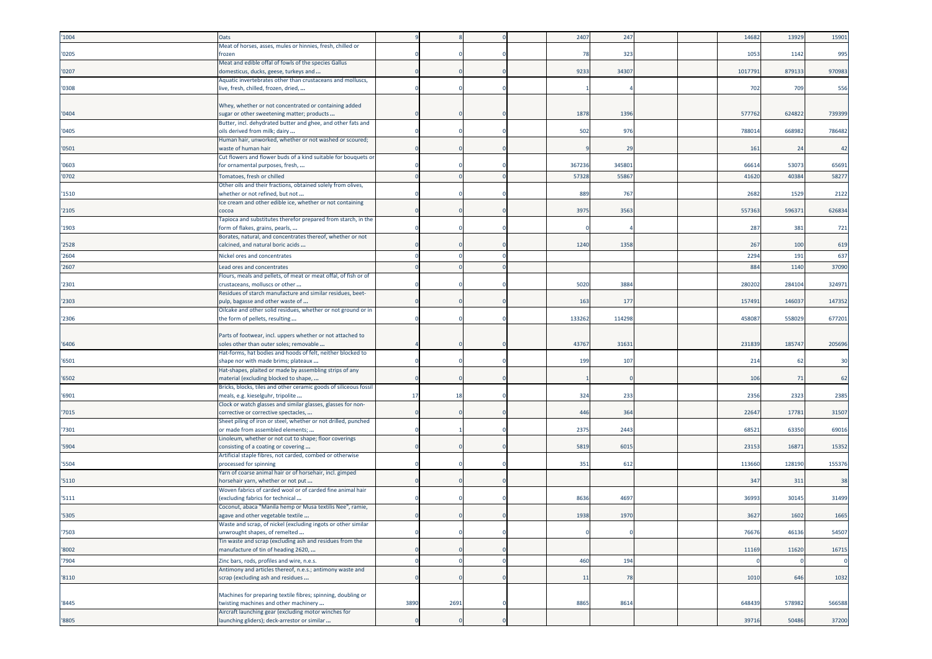| '1004 | Oats                                                              |      |      |  | 2407   | 247    |  | 14682           | 13929  | 15901  |
|-------|-------------------------------------------------------------------|------|------|--|--------|--------|--|-----------------|--------|--------|
|       | Meat of horses, asses, mules or hinnies, fresh, chilled or        |      |      |  |        |        |  |                 |        |        |
| '0205 | frozen                                                            |      |      |  | 78     | 323    |  | 1053            | 1142   | 995    |
|       | Meat and edible offal of fowls of the species Gallus              |      |      |  |        |        |  |                 |        |        |
| '0207 | domesticus, ducks, geese, turkeys and                             |      |      |  | 9233   | 34307  |  | 1017791         | 879133 | 970983 |
|       |                                                                   |      |      |  |        |        |  |                 |        |        |
|       | Aquatic invertebrates other than crustaceans and molluscs,        |      |      |  |        |        |  |                 |        |        |
| '0308 | live, fresh, chilled, frozen, dried,                              |      |      |  |        |        |  | 702             | 709    | 556    |
|       |                                                                   |      |      |  |        |        |  |                 |        |        |
|       | Whey, whether or not concentrated or containing added             |      |      |  |        |        |  |                 |        |        |
| '0404 | sugar or other sweetening matter; products                        |      |      |  | 1878   | 1396   |  | 577762          | 624822 | 739399 |
|       | Butter, incl. dehydrated butter and ghee, and other fats and      |      |      |  |        |        |  |                 |        |        |
| '0405 | oils derived from milk; dairy                                     |      |      |  | 502    | 976    |  | 788014          | 668982 | 786482 |
|       | Human hair, unworked, whether or not washed or scoured;           |      |      |  |        |        |  |                 |        |        |
| '0501 | waste of human hair                                               |      |      |  |        | 29     |  | 161             | 24     | 42     |
|       | Cut flowers and flower buds of a kind suitable for bouquets or    |      |      |  |        |        |  |                 |        |        |
| '0603 | for ornamental purposes, fresh,                                   |      |      |  | 367236 | 345801 |  | 6661            | 53073  | 65691  |
| '0702 | Tomatoes, fresh or chilled                                        |      |      |  | 57328  | 55867  |  | 41620           | 40384  | 58277  |
|       | Other oils and their fractions, obtained solely from olives,      |      |      |  |        |        |  |                 |        |        |
|       |                                                                   |      |      |  | 889    |        |  | 2682            | 1529   | 2122   |
| '1510 | whether or not refined, but not                                   |      |      |  |        | 767    |  |                 |        |        |
|       | Ice cream and other edible ice, whether or not containing         |      |      |  |        |        |  |                 |        |        |
| '2105 | cocoa                                                             |      |      |  | 3975   | 3563   |  | 557363          | 596371 | 626834 |
|       | Tapioca and substitutes therefor prepared from starch, in the     |      |      |  |        |        |  |                 |        |        |
| '1903 | form of flakes, grains, pearls,                                   |      |      |  |        |        |  | 287             | 381    | 721    |
|       | Borates, natural, and concentrates thereof, whether or not        |      |      |  |        |        |  |                 |        |        |
| '2528 | calcined, and natural boric acids                                 |      |      |  | 1240   | 1358   |  | 267             | 100    | 619    |
| '2604 | Nickel ores and concentrates                                      |      |      |  |        |        |  | 2294            | 191    | 637    |
|       |                                                                   |      |      |  |        |        |  |                 |        |        |
| '2607 | Lead ores and concentrates                                        |      |      |  |        |        |  | 884             | 1140   | 37090  |
|       | Flours, meals and pellets, of meat or meat offal, of fish or of   |      |      |  |        |        |  |                 |        |        |
| '2301 | crustaceans, molluscs or other                                    |      |      |  | 5020   | 3884   |  | 28020           | 28410  | 324971 |
|       | Residues of starch manufacture and similar residues, beet-        |      |      |  |        |        |  |                 |        |        |
| '2303 | pulp, bagasse and other waste of                                  |      |      |  | 163    | 177    |  | 15749           | 14603  | 147352 |
|       | Oilcake and other solid residues, whether or not ground or in     |      |      |  |        |        |  |                 |        |        |
| '2306 | the form of pellets, resulting                                    |      |      |  | 133262 | 114298 |  | 45808           | 558029 | 677201 |
|       |                                                                   |      |      |  |        |        |  |                 |        |        |
|       | Parts of footwear, incl. uppers whether or not attached to        |      |      |  |        |        |  |                 |        |        |
| '6406 | soles other than outer soles; removable                           |      |      |  | 43767  | 3163   |  | 231839          | 185747 | 205696 |
|       | Hat-forms, hat bodies and hoods of felt, neither blocked to       |      |      |  |        |        |  |                 |        |        |
| '6501 | shape nor with made brims; plateaux                               |      |      |  | 199    | 107    |  | 21 <sub>4</sub> | 62     | 30     |
|       | Hat-shapes, plaited or made by assembling strips of any           |      |      |  |        |        |  |                 |        |        |
| '6502 | material (excluding blocked to shape,                             |      |      |  |        |        |  | 106             | 71     | 62     |
|       | Bricks, blocks, tiles and other ceramic goods of siliceous fossil |      |      |  |        |        |  |                 |        |        |
| '6901 | meals, e.g. kieselguhr, tripolite                                 | 17   | 18   |  | 324    | 233    |  | 2356            | 2323   | 2385   |
|       |                                                                   |      |      |  |        |        |  |                 |        |        |
|       | Clock or watch glasses and similar glasses, glasses for non-      |      |      |  | 446    | 364    |  | 22647           | 17781  | 31507  |
| '7015 | corrective or corrective spectacles,                              |      |      |  |        |        |  |                 |        |        |
|       | Sheet piling of iron or steel, whether or not drilled, punched    |      |      |  |        |        |  |                 |        |        |
| '7301 | or made from assembled elements;                                  |      |      |  | 2375   | 2443   |  | 6852            | 63350  | 69016  |
|       | Linoleum, whether or not cut to shape; floor coverings            |      |      |  |        |        |  |                 |        |        |
| '5904 | consisting of a coating or covering                               |      |      |  | 5819   | 6015   |  | 23153           | 16871  | 15352  |
|       | Artificial staple fibres, not carded, combed or otherwise         |      |      |  |        |        |  |                 |        |        |
| '5504 | processed for spinning                                            |      |      |  | 351    | 612    |  | 113660          | 128190 | 155376 |
|       | Yarn of coarse animal hair or of horsehair, incl. gimped          |      |      |  |        |        |  |                 |        |        |
| '5110 | norsehair yarn, whether or not put                                |      |      |  |        |        |  | 347             | 311    | 38     |
|       | Woven fabrics of carded wool or of carded fine animal hair        |      |      |  |        |        |  |                 |        |        |
| '5111 | (excluding fabrics for technical                                  |      |      |  | 8636   | 4697   |  | 3699            | 30145  | 31499  |
|       | Coconut, abaca "Manila hemp or Musa textilis Nee", ramie,         |      |      |  |        |        |  |                 |        |        |
| '5305 | agave and other vegetable textile                                 |      |      |  | 1938   | 1970   |  | 3627            | 1602   | 1665   |
|       | Waste and scrap, of nickel (excluding ingots or other similar     |      |      |  |        |        |  |                 |        |        |
| '7503 | unwrought shapes, of remelted                                     |      |      |  |        |        |  | 76676           | 46136  | 54507  |
|       | Tin waste and scrap (excluding ash and residues from the          |      |      |  |        |        |  |                 |        |        |
| '8002 | manufacture of tin of heading 2620,                               |      |      |  |        |        |  | 11169           | 11620  | 16715  |
|       |                                                                   |      |      |  |        |        |  |                 |        |        |
| '7904 | Zinc bars, rods, profiles and wire, n.e.s.                        |      |      |  | 460    | 194    |  |                 |        |        |
|       | Antimony and articles thereof, n.e.s.; antimony waste and         |      |      |  |        |        |  |                 |        |        |
| '8110 | scrap (excluding ash and residues                                 |      |      |  | 11     | 78     |  | 1010            | 646    | 1032   |
|       |                                                                   |      |      |  |        |        |  |                 |        |        |
|       | Machines for preparing textile fibres; spinning, doubling or      |      |      |  |        |        |  |                 |        |        |
|       |                                                                   |      |      |  |        |        |  |                 |        |        |
| '8445 | twisting machines and other machinery                             | 3890 | 2691 |  | 8865   | 8614   |  | 648439          | 578982 | 566588 |
|       | Aircraft launching gear (excluding motor winches for              |      |      |  |        |        |  |                 |        |        |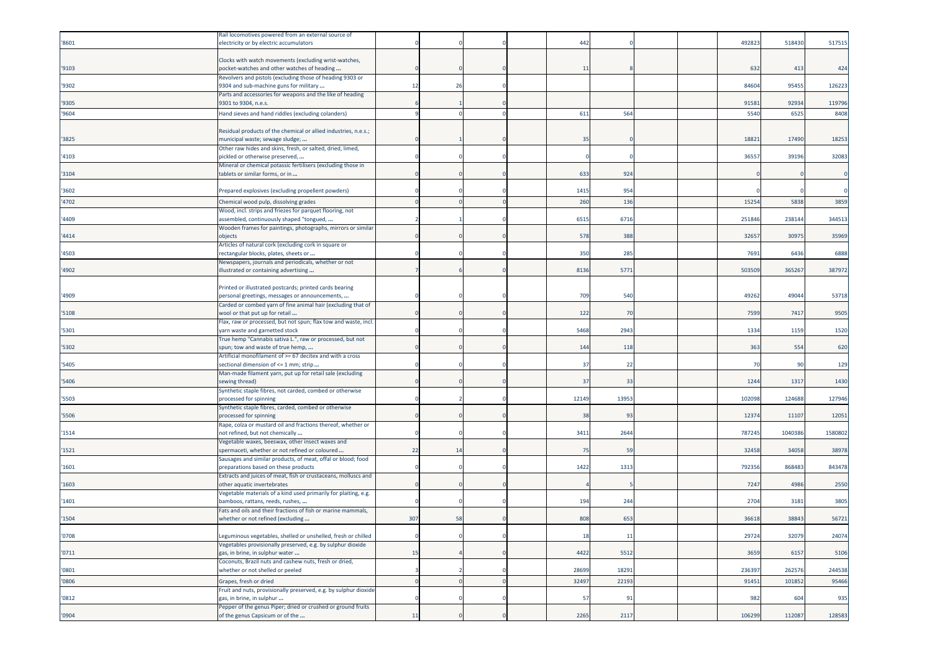|       | Rail locomotives powered from an external source of              |     |    |  |       |       |  |        |         |         |
|-------|------------------------------------------------------------------|-----|----|--|-------|-------|--|--------|---------|---------|
| '8601 | electricity or by electric accumulators                          |     |    |  | 442   |       |  | 49282  | 518430  | 517515  |
|       |                                                                  |     |    |  |       |       |  |        |         |         |
|       | Clocks with watch movements (excluding wrist-watches,            |     |    |  |       |       |  |        |         |         |
| '9103 | pocket-watches and other watches of heading                      |     |    |  | 11    |       |  | 632    | 413     | 424     |
|       | Revolvers and pistols (excluding those of heading 9303 or        |     |    |  |       |       |  |        |         |         |
| '9302 | 9304 and sub-machine guns for military                           | 12  | 26 |  |       |       |  | 8460   | 95455   | 126223  |
|       | Parts and accessories for weapons and the like of heading        |     |    |  |       |       |  |        |         |         |
| '9305 | 9301 to 9304, n.e.s.                                             |     |    |  |       |       |  | 91581  | 92934   | 119796  |
|       |                                                                  |     |    |  |       |       |  |        |         |         |
| '9604 | Hand sieves and hand riddles (excluding colanders)               |     |    |  | 611   | 564   |  | 5540   | 6525    | 8408    |
|       |                                                                  |     |    |  |       |       |  |        |         |         |
|       | Residual products of the chemical or allied industries, n.e.s.;  |     |    |  |       |       |  |        |         |         |
| '3825 | municipal waste; sewage sludge;                                  |     |    |  | 35    |       |  | 1882   | 17490   | 18253   |
|       | Other raw hides and skins, fresh, or salted, dried, limed,       |     |    |  |       |       |  |        |         |         |
| '4103 | pickled or otherwise preserved,                                  |     |    |  |       |       |  | 3655   | 39196   | 32083   |
|       | Mineral or chemical potassic fertilisers (excluding those in     |     |    |  |       |       |  |        |         |         |
| '3104 | tablets or similar forms, or in                                  |     |    |  | 633   | 924   |  |        |         |         |
|       |                                                                  |     |    |  |       |       |  |        |         |         |
| '3602 | Prepared explosives (excluding propellent powders)               |     |    |  | 1415  | 954   |  |        |         |         |
| '4702 | Chemical wood pulp, dissolving grades                            |     |    |  | 260   | 136   |  | 1525   | 5838    | 3859    |
|       | Wood, incl. strips and friezes for parquet flooring, not         |     |    |  |       |       |  |        |         |         |
| '4409 | assembled, continuously shaped "tongued,                         |     |    |  | 6515  | 6716  |  | 251846 | 238144  | 344513  |
|       |                                                                  |     |    |  |       |       |  |        |         |         |
|       | Wooden frames for paintings, photographs, mirrors or similar     |     |    |  |       |       |  |        |         |         |
| '4414 | objects                                                          |     |    |  | 578   | 388   |  | 3265   | 30975   | 35969   |
|       | Articles of natural cork (excluding cork in square or            |     |    |  |       |       |  |        |         |         |
| '4503 | rectangular blocks, plates, sheets or                            |     |    |  | 350   | 285   |  | 7691   | 6436    | 6888    |
|       | Newspapers, journals and periodicals, whether or not             |     |    |  |       |       |  |        |         |         |
| '4902 | illustrated or containing advertising                            |     |    |  | 8136  | 5771  |  | 503509 | 365267  | 387972  |
|       |                                                                  |     |    |  |       |       |  |        |         |         |
|       | Printed or illustrated postcards; printed cards bearing          |     |    |  |       |       |  |        |         |         |
| '4909 | personal greetings, messages or announcements,                   |     |    |  | 709   | 540   |  | 49262  | 49044   | 53718   |
|       | Carded or combed yarn of fine animal hair (excluding that of     |     |    |  |       |       |  |        |         |         |
| '5108 | wool or that put up for retail                                   |     |    |  | 122   | 70    |  | 7599   | 7417    | 9505    |
|       | Flax, raw or processed, but not spun; flax tow and waste, incl.  |     |    |  |       |       |  |        |         |         |
| '5301 | yarn waste and garnetted stock                                   |     |    |  | 5468  | 2943  |  | 1334   | 1159    | 1520    |
|       | True hemp "Cannabis sativa L.", raw or processed, but not        |     |    |  |       |       |  |        |         |         |
| '5302 | spun; tow and waste of true hemp,                                |     |    |  | 144   | 118   |  | 363    | 554     | 620     |
|       | Artificial monofilament of >= 67 decitex and with a cross        |     |    |  |       |       |  |        |         |         |
| '5405 | sectional dimension of <= 1 mm; strip                            |     |    |  | 37    | 22    |  | 70     | 90      | 129     |
|       | Man-made filament yarn, put up for retail sale (excluding        |     |    |  |       |       |  |        |         |         |
| '5406 | sewing thread)                                                   |     |    |  | 37    | 33    |  | 1244   | 1317    | 1430    |
|       | Synthetic staple fibres, not carded, combed or otherwise         |     |    |  |       |       |  |        |         |         |
| '5503 | processed for spinning                                           |     |    |  | 12149 | 13953 |  | 10209  | 124688  | 127946  |
|       | Synthetic staple fibres, carded, combed or otherwise             |     |    |  |       |       |  |        |         |         |
| '5506 | processed for spinning                                           |     |    |  | 38    | 93    |  | 1237   | 11107   | 12051   |
|       |                                                                  |     |    |  |       |       |  |        |         |         |
| '1514 | Rape, colza or mustard oil and fractions thereof, whether or     |     |    |  | 3411  | 2644  |  | 787245 | 1040386 | 1580802 |
|       | not refined, but not chemically                                  |     |    |  |       |       |  |        |         |         |
|       | Vegetable waxes, beeswax, other insect waxes and                 |     |    |  |       |       |  |        |         |         |
| '1521 | spermaceti, whether or not refined or coloured                   | 22  | 14 |  | 75    | 59    |  | 32458  | 34058   | 38978   |
|       | Sausages and similar products, of meat, offal or blood; food     |     |    |  |       |       |  |        |         |         |
| 1601  | preparations based on these products                             |     |    |  | 1422  | 1313  |  | 79235  | 86848   | 843478  |
|       | Extracts and juices of meat, fish or crustaceans, molluscs and   |     |    |  |       |       |  |        |         |         |
| '1603 | other aquatic invertebrates                                      |     |    |  |       |       |  | 7247   | 4986    | 2550    |
|       | Jegetable materials of a kind used primarily for plaiting, e.g.  |     |    |  |       |       |  |        |         |         |
| '1401 | oamboos, rattans, reeds, rushes,                                 |     |    |  | 194   | 244   |  | 270    | 3181    | 3805    |
|       | Fats and oils and their fractions of fish or marine mammals,     |     |    |  |       |       |  |        |         |         |
| '1504 | whether or not refined (excluding                                | 307 | 58 |  | 808   | 653   |  | 36618  | 38843   | 56721   |
|       |                                                                  |     |    |  |       |       |  |        |         |         |
| '0708 | Leguminous vegetables, shelled or unshelled, fresh or chilled    |     |    |  | 18    | 11    |  | 29724  | 32079   | 24074   |
|       | /egetables provisionally preserved, e.g. by sulphur dioxide      |     |    |  |       |       |  |        |         |         |
| '0711 | gas, in brine, in sulphur water                                  | 15  |    |  | 4422  | 5512  |  | 3659   | 6157    | 5106    |
|       | Coconuts, Brazil nuts and cashew nuts, fresh or dried,           |     |    |  |       |       |  |        |         |         |
| '0801 | whether or not shelled or peeled                                 |     |    |  | 28699 | 18291 |  | 236397 | 262576  | 244538  |
| '0806 | Grapes, fresh or dried                                           |     |    |  | 32497 | 22193 |  | 91451  | 101852  | 95466   |
|       |                                                                  |     |    |  |       |       |  |        |         |         |
|       | Fruit and nuts, provisionally preserved, e.g. by sulphur dioxide |     |    |  |       | 91    |  | 982    |         |         |
| '0812 | gas, in brine, in sulphur                                        |     |    |  | 57    |       |  |        | 604     | 935     |
|       | Pepper of the genus Piper; dried or crushed or ground fruits     |     |    |  |       |       |  |        |         |         |
| '0904 | of the genus Capsicum or of the                                  | 11  |    |  | 2265  | 2117  |  | 106299 | 112087  | 128583  |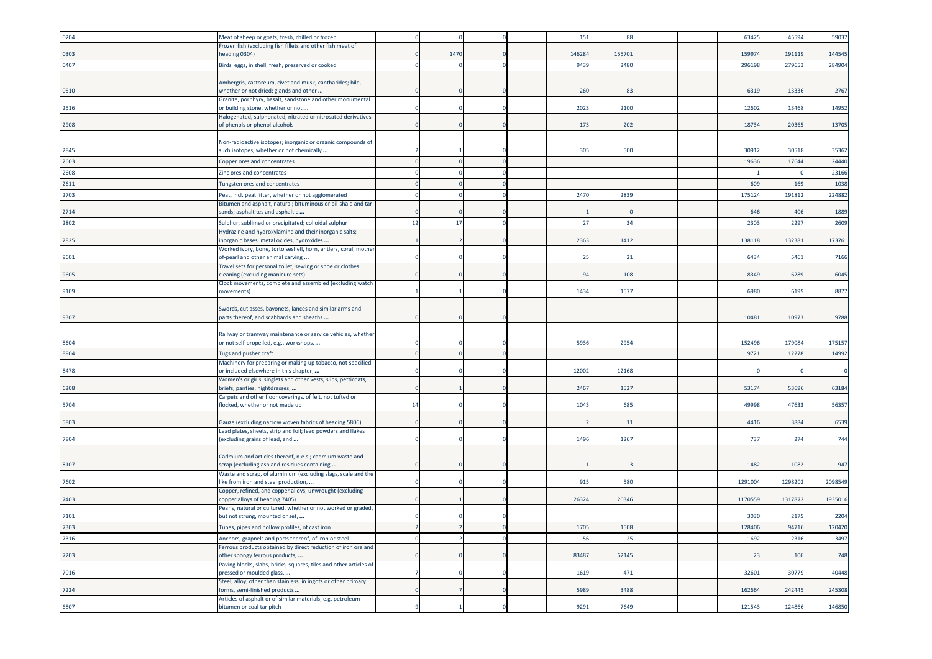| '0204 | Meat of sheep or goats, fresh, chilled or frozen                                                        |          |      |          | 151    | 88     |  | 63425   | 45594   | 59037   |
|-------|---------------------------------------------------------------------------------------------------------|----------|------|----------|--------|--------|--|---------|---------|---------|
| '0303 | Frozen fish (excluding fish fillets and other fish meat of<br>eading 0304)                              |          | 1470 |          | 146284 | 155701 |  | 159974  | 191119  | 144545  |
| '0407 | Birds' eggs, in shell, fresh, preserved or cooked                                                       |          |      |          | 9439   | 2480   |  | 296198  | 27965   | 284904  |
|       |                                                                                                         |          |      |          |        |        |  |         |         |         |
| '0510 | Ambergris, castoreum, civet and musk; cantharides; bile,<br>whether or not dried; glands and other      |          |      |          | 260    | 83     |  | 6319    | 13336   | 2767    |
|       | Granite, porphyry, basalt, sandstone and other monumental                                               |          |      |          |        |        |  |         |         |         |
| '2516 | or building stone, whether or not<br>Halogenated, sulphonated, nitrated or nitrosated derivatives       |          |      |          | 2023   | 2100   |  | 12602   | 13468   | 14952   |
| '2908 | of phenols or phenol-alcohols                                                                           |          |      |          | 173    | 202    |  | 18734   | 20365   | 13705   |
|       | Non-radioactive isotopes; inorganic or organic compounds of                                             |          |      |          |        |        |  |         |         |         |
| '2845 | such isotopes, whether or not chemically                                                                |          |      |          | 305    | 500    |  | 30912   | 30518   | 35362   |
| '2603 | Copper ores and concentrates                                                                            |          |      |          |        |        |  | 19636   | 17644   | 24440   |
| '2608 | Zinc ores and concentrates                                                                              |          |      |          |        |        |  |         |         | 23166   |
| '2611 | Tungsten ores and concentrates                                                                          |          |      |          |        |        |  | 609     | 169     | 1038    |
| '2703 | Peat, incl. peat litter, whether or not agglomerated                                                    |          |      |          | 2470   | 2839   |  | 175124  | 191812  | 224882  |
|       | Bitumen and asphalt, natural; bituminous or oil-shale and tar                                           |          |      |          |        |        |  |         |         |         |
| '2714 | sands; asphaltites and asphaltic                                                                        |          |      |          |        |        |  | 646     | 406     | 1889    |
| '2802 | Sulphur, sublimed or precipitated; colloidal sulphur                                                    | 12       | 17   |          | 27     | 34     |  | 2303    | 2297    | 2609    |
|       | Hydrazine and hydroxylamine and their inorganic salts;                                                  |          |      |          |        |        |  |         |         |         |
| '2825 | norganic bases, metal oxides, hydroxides                                                                |          |      |          | 2363   | 1412   |  | 138118  | 132381  | 173761  |
| '9601 | Worked ivory, bone, tortoiseshell, horn, antlers, coral, mother<br>of-pearl and other animal carving    |          |      |          | 25     | 21     |  | 6434    | 5461    | 7166    |
|       | Travel sets for personal toilet, sewing or shoe or clothes                                              |          |      |          |        |        |  |         |         |         |
| '9605 | cleaning (excluding manicure sets)                                                                      |          |      |          | 94     | 108    |  | 8349    | 6289    | 6045    |
|       | Clock movements, complete and assembled (excluding watch                                                |          |      |          |        |        |  |         |         |         |
| '9109 | movements)                                                                                              |          |      |          | 1434   | 157    |  | 6980    | 6199    | 8877    |
|       | Swords, cutlasses, bayonets, lances and similar arms and                                                |          |      |          |        |        |  |         |         |         |
| '9307 | parts thereof, and scabbards and sheaths                                                                |          |      |          |        |        |  | 10481   | 1097    | 9788    |
|       |                                                                                                         |          |      |          |        |        |  |         |         |         |
|       | Railway or tramway maintenance or service vehicles, whether                                             |          |      |          |        |        |  |         |         |         |
| '8604 | or not self-propelled, e.g., workshops,                                                                 |          |      |          | 5936   | 295    |  | 152496  | 179084  | 175157  |
| '8904 | Tugs and pusher craft                                                                                   | $\Omega$ |      | $\Omega$ |        |        |  | 9721    | 12278   | 14992   |
| '8478 | Machinery for preparing or making up tobacco, not specified<br>or included elsewhere in this chapter;   |          |      |          | 12002  | 12168  |  |         |         |         |
|       | Women's or girls' singlets and other vests, slips, petticoats,                                          |          |      |          |        |        |  |         |         |         |
| '6208 | briefs, panties, nightdresses,                                                                          |          |      |          | 2467   | 1527   |  | 53174   | 53696   | 63184   |
|       | Carpets and other floor coverings, of felt, not tufted or                                               |          |      |          |        |        |  |         |         |         |
| '5704 | flocked, whether or not made up                                                                         | 14       |      |          | 1043   | 685    |  | 49998   | 47633   | 56357   |
| '5803 | Gauze (excluding narrow woven fabrics of heading 5806)                                                  |          |      |          |        | 11     |  | 4416    | 3884    | 6539    |
|       | Lead plates, sheets, strip and foil; lead powders and flakes                                            |          |      |          |        |        |  |         |         |         |
| '7804 | (excluding grains of lead, and                                                                          |          |      |          | 1496   | 1267   |  | 737     | 274     | 744     |
|       |                                                                                                         |          |      |          |        |        |  |         |         |         |
| '8107 | Cadmium and articles thereof, n.e.s.; cadmium waste and<br>scrap (excluding ash and residues containing |          |      |          |        |        |  | 1482    | 1082    | 947     |
|       | Waste and scrap, of aluminium (excluding slags, scale and the                                           |          |      |          |        |        |  |         |         |         |
| '7602 | like from iron and steel production,                                                                    |          |      |          | 915    | 580    |  | 1291004 | 1298202 | 2098549 |
|       | Copper, refined, and copper alloys, unwrought (excluding                                                |          |      |          |        |        |  |         |         |         |
| '7403 | copper alloys of heading 7405)<br>Pearls, natural or cultured, whether or not worked or graded,         |          |      |          | 26324  | 2034   |  | 1170559 | 1317872 | 1935016 |
| '7101 | but not strung, mounted or set,                                                                         |          |      |          |        |        |  | 3030    | 2175    | 2204    |
| '7303 | Tubes, pipes and hollow profiles, of cast iron                                                          |          |      |          | 1705   | 1508   |  | 128406  | 94716   | 120420  |
| '7316 | Anchors, grapnels and parts thereof, of iron or steel                                                   |          |      |          | 56     | 25     |  | 1692    | 2316    | 3497    |
|       | Ferrous products obtained by direct reduction of iron ore and                                           |          |      |          |        |        |  |         |         |         |
| '7203 | other spongy ferrous products,                                                                          |          |      |          | 83487  | 62145  |  | 23      | 106     | 748     |
|       | Paving blocks, slabs, bricks, squares, tiles and other articles of                                      |          |      |          |        |        |  |         |         |         |
| '7016 | pressed or moulded glass,                                                                               |          |      |          | 1619   | 471    |  | 32601   | 30779   | 40448   |
| '7224 | Steel, alloy, other than stainless, in ingots or other primary<br>forms, semi-finished products         |          |      |          | 5989   | 3488   |  | 162664  | 242445  | 245308  |
|       | Articles of asphalt or of similar materials, e.g. petroleum                                             |          |      |          |        |        |  |         |         |         |
| '6807 | bitumen or coal tar pitch                                                                               |          |      |          | 9291   | 7649   |  | 121543  | 124866  | 146850  |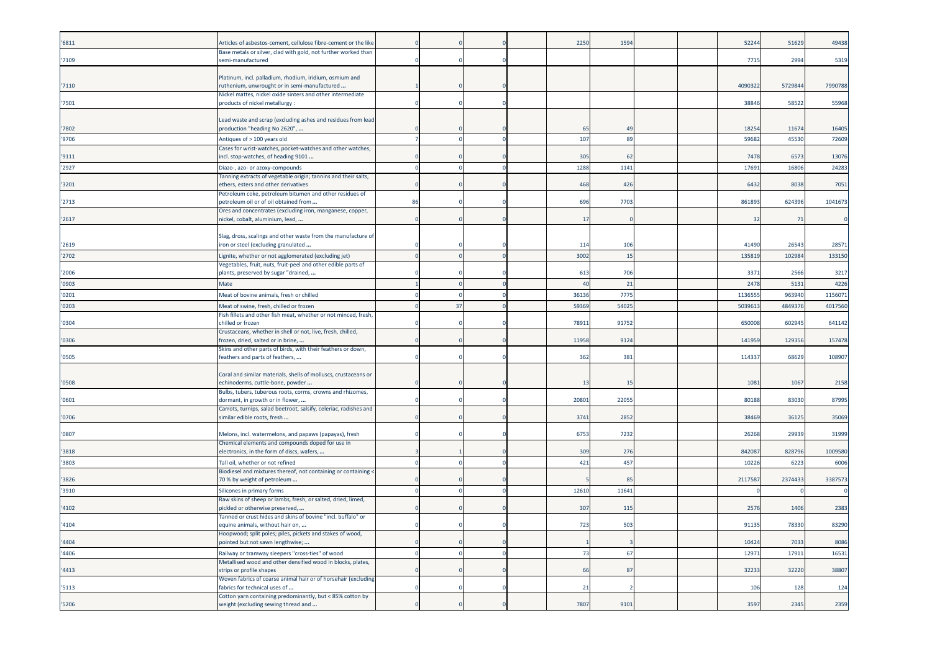| '6811 | Articles of asbestos-cement, cellulose fibre-cement or the like                                            |    |    |          | 2250  | 1594           |  | 52244  | 51629   | 49438   |
|-------|------------------------------------------------------------------------------------------------------------|----|----|----------|-------|----------------|--|--------|---------|---------|
| '7109 | Base metals or silver, clad with gold, not further worked than<br>semi-manufactured                        |    |    |          |       |                |  | 771    | 2994    | 5319    |
|       |                                                                                                            |    |    |          |       |                |  |        |         |         |
| '7110 | Platinum, incl. palladium, rhodium, iridium, osmium and<br>uthenium, unwrought or in semi-manufactured     |    |    |          |       |                |  | 409032 | 572984  | 7990788 |
|       | Nickel mattes, nickel oxide sinters and other intermediate                                                 |    |    |          |       |                |  |        |         |         |
| '7501 | products of nickel metallurgy:                                                                             |    |    |          |       |                |  | 3884   | 58522   | 55968   |
|       | Lead waste and scrap (excluding ashes and residues from lead                                               |    |    |          |       |                |  |        |         |         |
| '7802 | production "heading No 2620",                                                                              |    |    |          | 65    | 4 <sup>c</sup> |  | 1825   | 11674   | 16405   |
| '9706 | Antiques of > 100 years old                                                                                |    |    |          | 107   | 89             |  | 5968   | 4553    | 72609   |
| '9111 | Cases for wrist-watches, pocket-watches and other watches,<br>incl. stop-watches, of heading 9101          |    |    |          | 305   | 62             |  | 7478   | 6573    | 13076   |
| '2927 | Diazo-, azo- or azoxy-compounds                                                                            |    |    |          | 1288  | 1141           |  | 17691  | 16806   | 24283   |
|       | Tanning extracts of vegetable origin; tannins and their salts,                                             |    |    |          |       |                |  |        |         |         |
| '3201 | ethers, esters and other derivatives                                                                       |    |    |          | 468   | 426            |  | 6432   | 8038    | 7051    |
| '2713 | etroleum coke, petroleum bitumen and other residues of<br>betroleum oil or of oil obtained from            | 86 |    |          | 696   | 7703           |  | 861893 | 624396  | 1041673 |
|       | Ores and concentrates (excluding iron, manganese, copper,                                                  |    |    |          |       |                |  |        |         |         |
| '2617 | nickel, cobalt, aluminium, lead,                                                                           |    |    |          | 17    |                |  | 32     | 71      |         |
|       | Slag, dross, scalings and other waste from the manufacture of                                              |    |    |          |       |                |  |        |         |         |
| '2619 | iron or steel (excluding granulated                                                                        |    |    |          | 114   | 106            |  | 41490  | 26543   | 28571   |
| '2702 | ignite, whether or not agglomerated (excluding jet).                                                       |    |    |          | 3002  | 15             |  | 135819 | 102984  | 133150  |
|       | Vegetables, fruit, nuts, fruit-peel and other edible parts of                                              |    |    |          |       |                |  |        |         |         |
| '2006 | plants, preserved by sugar "drained,                                                                       |    |    |          | 613   | 706            |  | 337    | 2566    | 3217    |
| '0903 | Mate                                                                                                       |    |    | $\Omega$ | 40    | 21             |  | 247    | 5131    | 4226    |
| '0201 | Meat of bovine animals, fresh or chilled                                                                   |    |    |          | 36136 | 7775           |  | 113655 | 963940  | 1156071 |
| '0203 | Meat of swine, fresh, chilled or frozen<br>Fish fillets and other fish meat, whether or not minced, fresh, |    | 37 |          | 59369 | 54025          |  | 503961 | 484937  | 4017560 |
| '0304 | chilled or frozen                                                                                          |    |    |          | 78911 | 91752          |  | 650008 | 602945  | 641142  |
| '0306 | Crustaceans, whether in shell or not, live, fresh, chilled,<br>rozen, dried, salted or in brine,           |    |    |          | 11958 | 9124           |  | 141959 | 129356  | 157478  |
|       | Skins and other parts of birds, with their feathers or down,                                               |    |    |          |       |                |  |        |         |         |
| '0505 | eathers and parts of feathers,                                                                             |    |    |          | 362   | 381            |  | 11433  | 68629   | 108907  |
|       | Coral and similar materials, shells of molluscs, crustaceans or                                            |    |    |          |       |                |  |        |         |         |
| '0508 | echinoderms, cuttle-bone, powder                                                                           |    |    |          | 13    | 1!             |  | 1081   | 1067    | 2158    |
|       | Bulbs, tubers, tuberous roots, corms, crowns and rhizomes,                                                 |    |    |          |       |                |  |        |         |         |
| '0601 | dormant, in growth or in flower,<br>Carrots, turnips, salad beetroot, salsify, celeriac, radishes and      |    |    |          | 20801 | 2205           |  | 80188  | 83030   | 87995   |
| '0706 | imilar edible roots, fresh                                                                                 |    |    |          | 3741  | 2852           |  | 38469  | 36125   | 35069   |
|       |                                                                                                            |    |    |          |       |                |  |        |         |         |
| '0807 | Melons, incl. watermelons, and papaws (papayas), fresh<br>Chemical elements and compounds doped for use in |    |    |          | 6753  | 7232           |  | 2626   | 29939   | 31999   |
| '3818 | electronics, in the form of discs, wafers,                                                                 |    |    |          | 309   | 276            |  | 84208  | 828796  | 1009580 |
| '3803 | Tall oil, whether or not refined                                                                           |    |    |          | 421   | 457            |  | 1022   | 6223    | 6006    |
| '3826 | Biodiesel and mixtures thereof, not containing or containing<br>70 % by weight of petroleum                |    |    |          |       | 85             |  | 211758 | 2374433 | 3387573 |
| '3910 | Silicones in primary forms                                                                                 |    |    |          | 12610 | 1164           |  |        |         |         |
|       | Raw skins of sheep or lambs, fresh, or salted, dried, limed,                                               |    |    |          |       |                |  |        |         |         |
| '4102 | bickled or otherwise preserved,                                                                            |    |    |          | 307   | 115            |  | 2576   | 1406    | 2383    |
| '4104 | Tanned or crust hides and skins of bovine "incl. buffalo" or<br>equine animals, without hair on,           |    |    |          | 723   | 503            |  | 9113   | 78330   | 83290   |
|       | loopwood; split poles; piles, pickets and stakes of wood,                                                  |    |    |          |       |                |  |        |         |         |
| '4404 | pointed but not sawn lengthwise;                                                                           |    |    |          |       |                |  | 1042   | 7033    | 8086    |
| '4406 | Railway or tramway sleepers "cross-ties" of wood                                                           |    |    |          | 73    | 67             |  | 1297   | 17911   | 16531   |
| '4413 | Metallised wood and other densified wood in blocks, plates,<br>strips or profile shapes                    |    |    |          | 66    | 87             |  | 32233  | 32220   | 38807   |
|       | Woven fabrics of coarse animal hair or of horsehair (excluding                                             |    |    |          |       |                |  |        |         |         |
| '5113 | abrics for technical uses of                                                                               |    |    |          | 21    |                |  | 106    | 128     | 124     |
| '5206 | Cotton yarn containing predominantly, but < 85% cotton by<br>weight (excluding sewing thread and           |    |    |          | 7807  | 9101           |  | 3597   | 2345    | 2359    |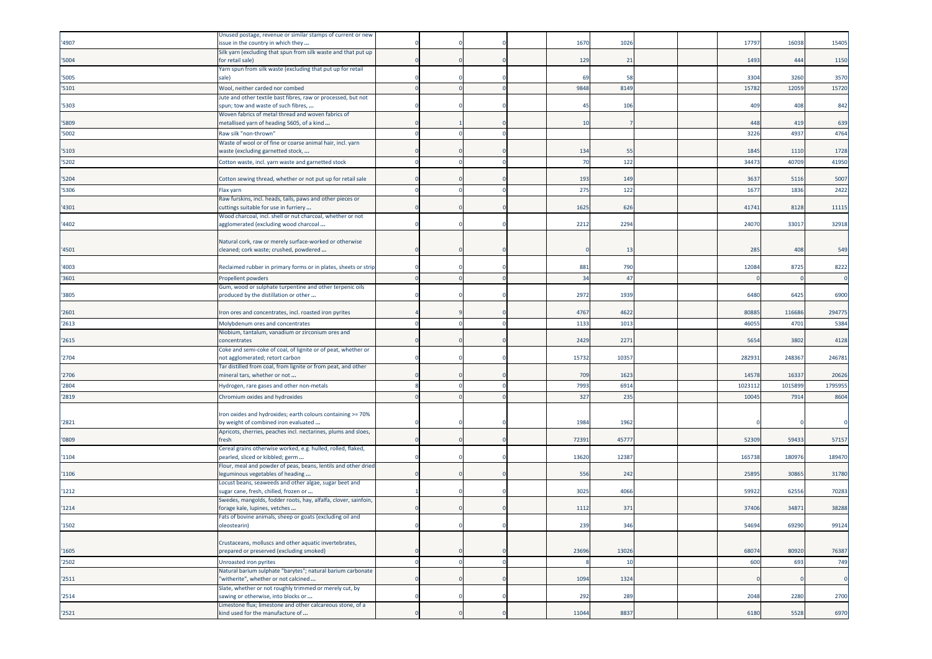| '4907 | Unused postage, revenue or similar stamps of current or new<br>issue in the country in which they    |  |  | 1670  | 1026  |  | 1779   | 16038  | 15405        |
|-------|------------------------------------------------------------------------------------------------------|--|--|-------|-------|--|--------|--------|--------------|
| '5004 | Silk yarn (excluding that spun from silk waste and that put up<br>for retail sale)                   |  |  | 129   | 21    |  | 1493   | 444    | 1150         |
| '5005 | Yarn spun from silk waste (excluding that put up for retail<br>sale)                                 |  |  | 69    | 58    |  | 3304   | 3260   | 3570         |
| '5101 | Wool, neither carded nor combed                                                                      |  |  | 9848  | 8149  |  | 1578   | 12059  | 15720        |
| '5303 | Jute and other textile bast fibres, raw or processed, but not<br>spun; tow and waste of such fibres, |  |  | 45    | 106   |  | 409    | 408    | 842          |
| '5809 | Woven fabrics of metal thread and woven fabrics of<br>metallised yarn of heading 5605, of a kind     |  |  | 10    |       |  | 448    | 419    | 639          |
| '5002 | Raw silk "non-thrown"                                                                                |  |  |       |       |  | 3226   | 4937   | 4764         |
| '5103 | Waste of wool or of fine or coarse animal hair, incl. yarn<br>waste (excluding garnetted stock,      |  |  | 134   | 55    |  | 1845   | 1110   | 1728         |
| '5202 | Cotton waste, incl. yarn waste and garnetted stock                                                   |  |  | 70    | 122   |  | 3447   | 40709  | 41950        |
| '5204 | Cotton sewing thread, whether or not put up for retail sale                                          |  |  | 193   | 149   |  | 3637   | 5116   | 5007         |
| '5306 | Flax yarn                                                                                            |  |  | 275   | 122   |  | 167    | 1836   | 2422         |
|       | Raw furskins, incl. heads, tails, paws and other pieces or                                           |  |  |       |       |  |        |        |              |
| '4301 | cuttings suitable for use in furriery                                                                |  |  | 1625  | 626   |  | 41741  | 8128   | 11115        |
| '4402 | Wood charcoal, incl. shell or nut charcoal, whether or not<br>agglomerated (excluding wood charcoal  |  |  | 2212  | 2294  |  | 24070  | 33017  | 32918        |
|       |                                                                                                      |  |  |       |       |  |        |        |              |
| '4501 | Natural cork, raw or merely surface-worked or otherwise<br>cleaned; cork waste; crushed, powdered    |  |  |       | 13    |  | 285    | 408    | 549          |
| '4003 | Reclaimed rubber in primary forms or in plates, sheets or strip                                      |  |  | 881   | 790   |  | 12084  | 8725   | 8222         |
| '3601 | Propellent powders                                                                                   |  |  | 34    | 47    |  |        |        | $\sqrt{ }$   |
| '3805 | Gum, wood or sulphate turpentine and other terpenic oils<br>produced by the distillation or other    |  |  | 2972  | 1939  |  | 6480   | 6425   | 6900         |
| '2601 | Iron ores and concentrates, incl. roasted iron pyrites                                               |  |  | 4767  | 4622  |  | 8088   | 116686 | 294775       |
| '2613 | Molybdenum ores and concentrates                                                                     |  |  | 1133  | 1013  |  | 4605   | 4701   | 5384         |
| '2615 | Niobium, tantalum, vanadium or zirconium ores and<br>concentrates                                    |  |  | 2429  | 2271  |  | 5654   | 3802   | 4128         |
| '2704 | Coke and semi-coke of coal, of lignite or of peat, whether or<br>not agglomerated; retort carbon     |  |  | 15732 | 10357 |  | 28293  | 248367 | 246781       |
| '2706 | Tar distilled from coal, from lignite or from peat, and other<br>mineral tars, whether or not        |  |  | 709   | 1623  |  | 1457   | 1633   | 20626        |
| '2804 | Hydrogen, rare gases and other non-metals                                                            |  |  | 7993  | 6914  |  | 102311 | 101589 | 1795955      |
| '2819 | Chromium oxides and hydroxides                                                                       |  |  | 327   | 235   |  | 10045  | 7914   | 8604         |
| '2821 | Iron oxides and hydroxides; earth colours containing >= 70%<br>by weight of combined iron evaluated  |  |  | 1984  | 1962  |  |        |        |              |
| '0809 | Apricots, cherries, peaches incl. nectarines, plums and sloes,<br>fresh                              |  |  | 72391 | 4577  |  | 52309  | 59433  | 57157        |
| '1104 | Cereal grains otherwise worked, e.g. hulled, rolled, flaked,<br>pearled, sliced or kibbled; germ     |  |  | 13620 | 12387 |  | 165738 | 180976 | 189470       |
| '1106 | Flour, meal and powder of peas, beans, lentils and other dried<br>leguminous vegetables of heading   |  |  | 556   | 242   |  | 25895  | 30865  | 31780        |
| '1212 | Locust beans, seaweeds and other algae, sugar beet and<br>sugar cane, fresh, chilled, frozen or      |  |  | 3025  | 4066  |  | 5992   | 6255   | 70283        |
| '1214 | Swedes, mangolds, fodder roots, hay, alfalfa, clover, sainfoin,                                      |  |  | 1112  | 371   |  | 37406  | 34871  | 38288        |
|       | orage kale, lupines, vetches<br>Fats of bovine animals, sheep or goats (excluding oil and            |  |  |       |       |  |        |        |              |
| '1502 | oleostearin)                                                                                         |  |  | 239   | 346   |  | 54694  | 69290  | 99124        |
|       | Crustaceans, molluscs and other aquatic invertebrates,                                               |  |  |       |       |  |        |        |              |
| '1605 | prepared or preserved (excluding smoked)                                                             |  |  | 23696 | 13026 |  | 68074  | 80920  | 76387        |
| '2502 | Unroasted iron pyrites                                                                               |  |  |       | 10    |  | 600    | 693    | 749          |
| '2511 | Natural barium sulphate "barytes"; natural barium carbonate<br>"witherite", whether or not calcined  |  |  | 1094  | 1324  |  |        |        | $\mathsf{C}$ |
| '2514 | Slate, whether or not roughly trimmed or merely cut, by<br>sawing or otherwise, into blocks or       |  |  | 292   | 289   |  | 2048   | 2280   | 2700         |
| '2521 | Limestone flux; limestone and other calcareous stone, of a<br>kind used for the manufacture of       |  |  | 11044 | 8837  |  | 6180   | 5528   | 6970         |
|       |                                                                                                      |  |  |       |       |  |        |        |              |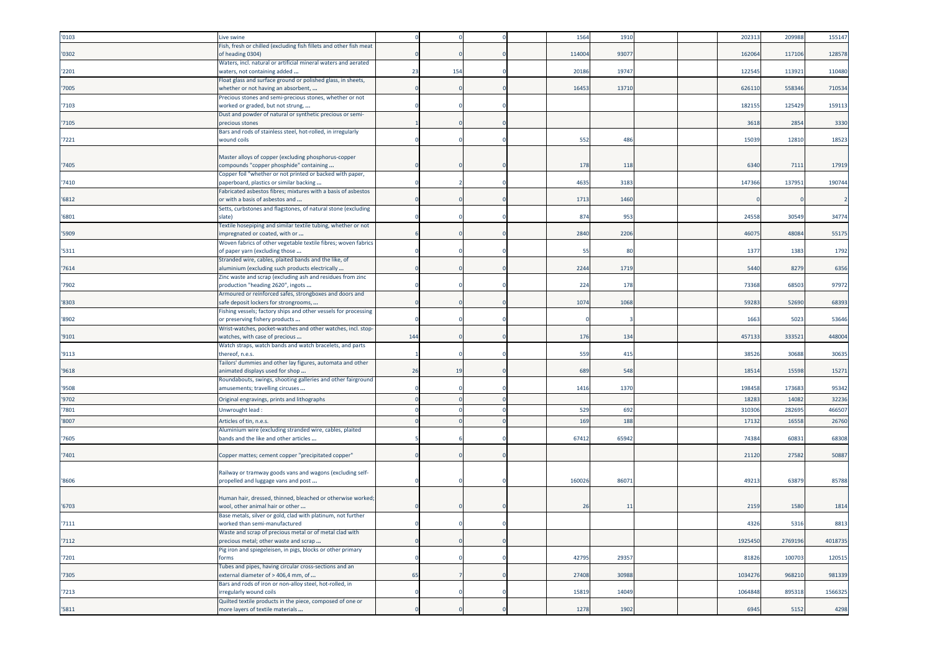| '0103 | Live swine                                                                                               |     |     |  | 1564   | 1910  |  | 20231   | 209988  | 155147  |
|-------|----------------------------------------------------------------------------------------------------------|-----|-----|--|--------|-------|--|---------|---------|---------|
| '0302 | Fish, fresh or chilled (excluding fish fillets and other fish meat<br>of heading 0304)                   |     |     |  | 114004 | 9307  |  | 162064  | 117106  | 128578  |
| '2201 | Waters, incl. natural or artificial mineral waters and aerated<br>waters, not containing added           | 23  | 154 |  | 20186  | 19747 |  | 122545  | 113921  | 110480  |
| '7005 | Float glass and surface ground or polished glass, in sheets,<br>whether or not having an absorbent,      |     |     |  | 16453  | 13710 |  | 626110  | 558346  | 710534  |
| '7103 | Precious stones and semi-precious stones, whether or not<br>worked or graded, but not strung,            |     |     |  |        |       |  | 182155  | 125429  | 159113  |
| '7105 | Dust and powder of natural or synthetic precious or semi-<br>precious stones                             |     |     |  |        |       |  | 3618    | 2854    | 3330    |
| '7221 | Bars and rods of stainless steel, hot-rolled, in irregularly<br>wound coils                              |     |     |  | 552    | 486   |  | 1503    | 12810   | 18523   |
| '7405 | Master alloys of copper (excluding phosphorus-copper<br>compounds "copper phosphide" containing          |     |     |  | 178    | 118   |  | 6340    | 711     | 17919   |
| '7410 | Copper foil "whether or not printed or backed with paper,<br>paperboard, plastics or similar backing     |     |     |  | 4635   | 3183  |  | 14736   | 13795   | 190744  |
| '6812 | Fabricated asbestos fibres; mixtures with a basis of asbestos<br>or with a basis of asbestos and         |     |     |  | 1713   | 1460  |  |         |         |         |
| '6801 | Setts, curbstones and flagstones, of natural stone (excluding<br>slate)                                  |     |     |  | 874    | 953   |  | 2455    | 30549   | 34774   |
| '5909 | Textile hosepiping and similar textile tubing, whether or not<br>mpregnated or coated, with or           |     |     |  | 2840   | 2206  |  | 46075   | 48084   | 55175   |
| '5311 | Woven fabrics of other vegetable textile fibres; woven fabrics<br>of paper yarn (excluding those         |     |     |  | 55     | 80    |  | 1377    | 1383    | 1792    |
| '7614 | Stranded wire, cables, plaited bands and the like, of<br>aluminium (excluding such products electrically |     |     |  | 2244   | 1719  |  | 5440    | 8279    | 6356    |
| '7902 | Zinc waste and scrap (excluding ash and residues from zinc<br>production "heading 2620", ingots          |     |     |  | 224    | 178   |  | 7336    | 6850    | 97972   |
| '8303 | Armoured or reinforced safes, strongboxes and doors and<br>safe deposit lockers for strongrooms,         |     |     |  | 1074   | 1068  |  | 59283   | 52690   | 68393   |
| '8902 | Fishing vessels; factory ships and other vessels for processing<br>or preserving fishery products        |     |     |  |        |       |  | 1663    | 5023    | 53646   |
| '9101 | Wrist-watches, pocket-watches and other watches, incl. stop-<br>watches, with case of precious           | 144 |     |  | 176    | 134   |  | 457133  | 333521  | 448004  |
| '9113 | Watch straps, watch bands and watch bracelets, and parts<br>thereof, n.e.s.                              |     |     |  | 559    | 415   |  | 38526   | 30688   | 30635   |
| '9618 | Failors' dummies and other lay figures, automata and other<br>animated displays used for shop            | 26  | 19  |  | 689    | 548   |  | 1851    | 15598   | 15271   |
| '9508 | Roundabouts, swings, shooting galleries and other fairground<br>amusements; travelling circuses          |     |     |  | 1416   | 1370  |  | 198458  | 17368   | 95342   |
| '9702 | Original engravings, prints and lithographs                                                              |     |     |  |        |       |  | 1828    | 1408    | 32236   |
| '7801 | Unwrought lead:                                                                                          |     |     |  | 529    | 692   |  | 31030   | 282695  | 466507  |
| '8007 | Articles of tin, n.e.s.                                                                                  |     |     |  | 169    | 188   |  | 1713    | 1655    | 26760   |
| 7605  | Aluminium wire (excluding stranded wire, cables, plaited<br>bands and the like and other articles        |     |     |  | 67412  | 65942 |  | 74384   | 60831   | 68308   |
| '7401 | Copper mattes; cement copper "precipitated copper"                                                       |     |     |  |        |       |  | 21120   | 27582   | 50887   |
| '8606 | Railway or tramway goods vans and wagons (excluding self-<br>propelled and luggage vans and post         |     |     |  | 160026 | 86071 |  | 4921    | 63879   | 85788   |
| '6703 | Human hair, dressed, thinned, bleached or otherwise worked;<br>wool, other animal hair or other          |     |     |  | 26     | 11    |  | 2159    | 1580    | 1814    |
| '7111 | Base metals, silver or gold, clad with platinum, not further<br>worked than semi-manufactured            |     |     |  |        |       |  | 4326    | 5316    | 8813    |
| '7112 | Waste and scrap of precious metal or of metal clad with<br>precious metal; other waste and scrap         |     |     |  |        |       |  | 1925450 | 2769196 | 4018735 |
| '7201 | Pig iron and spiegeleisen, in pigs, blocks or other primary<br>forms                                     |     |     |  | 42795  | 29357 |  | 81826   | 100703  | 120515  |
| '7305 | Tubes and pipes, having circular cross-sections and an<br>external diameter of > 406,4 mm, of            | 65  |     |  | 27408  | 30988 |  | 1034276 | 968210  | 981339  |
| '7213 | Bars and rods of iron or non-alloy steel, hot-rolled, in<br>irregularly wound coils                      |     |     |  | 15819  | 14049 |  | 1064848 | 895318  | 1566325 |
| '5811 | Quilted textile products in the piece, composed of one or<br>more layers of textile materials            |     |     |  | 1278   | 1902  |  | 6945    | 5152    | 4298    |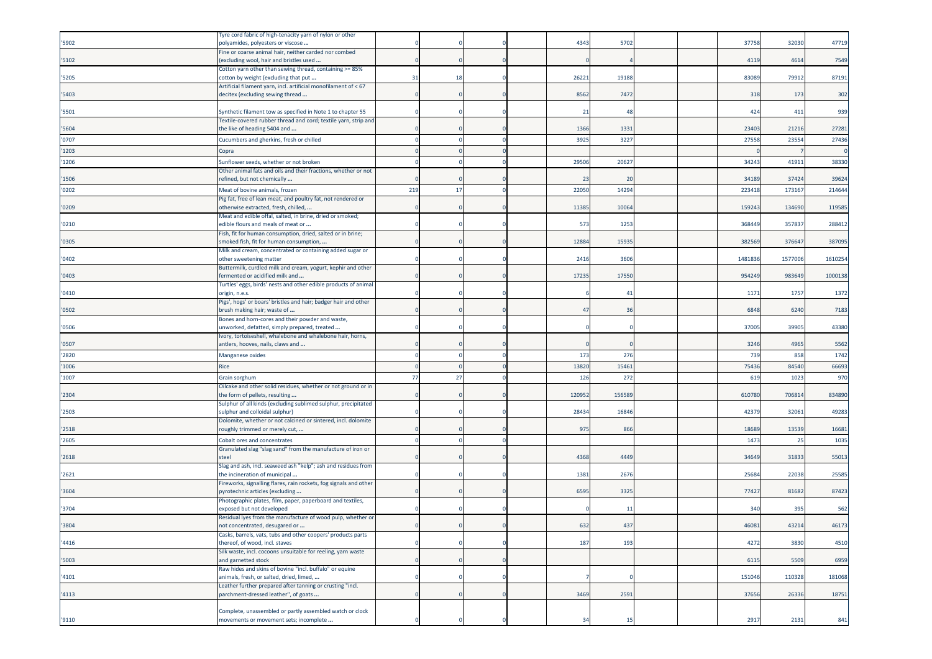| '5902 | Tyre cord fabric of high-tenacity yarn of nylon or other<br>polyamides, polyesters or viscose          |     |    |  | 4343   | 5702                  |  | 37758  | 32030  | 47719   |
|-------|--------------------------------------------------------------------------------------------------------|-----|----|--|--------|-----------------------|--|--------|--------|---------|
|       | Fine or coarse animal hair, neither carded nor combed                                                  |     |    |  |        |                       |  |        |        |         |
| '5102 | excluding wool, hair and bristles used                                                                 |     |    |  |        |                       |  | 4119   | 461    | 7549    |
| '5205 | Cotton yarn other than sewing thread, containing >= 85%<br>cotton by weight (excluding that put        | 31  | 18 |  | 26221  | 19188                 |  | 83089  | 79912  | 87191   |
| '5403 | Artificial filament yarn, incl. artificial monofilament of < 67<br>decitex (excluding sewing thread    |     |    |  | 8562   | 7472                  |  | 318    | 173    | 302     |
| '5501 | Synthetic filament tow as specified in Note 1 to chapter 55                                            |     |    |  | 21     | $\Delta S$            |  | 424    | 411    | 939     |
| '5604 | Textile-covered rubber thread and cord; textile yarn, strip and<br>the like of heading 5404 and        |     |    |  | 1366   | 1331                  |  | 23403  | 21216  | 27281   |
| '0707 | Cucumbers and gherkins, fresh or chilled                                                               |     |    |  | 3925   | 322                   |  | 2755   | 2355   | 27436   |
| '1203 | Copra                                                                                                  |     |    |  |        |                       |  |        |        |         |
| '1206 | Sunflower seeds, whether or not broken                                                                 |     |    |  | 29506  | 2062                  |  | 34243  | 4191   | 38330   |
| '1506 | Other animal fats and oils and their fractions, whether or not<br>refined, but not chemically          |     |    |  | 23     | 20                    |  | 34189  | 37424  | 39624   |
| '0202 | Meat of bovine animals, frozen                                                                         | 219 | 17 |  | 22050  | 14294                 |  | 223418 | 173167 | 214644  |
|       | Pig fat, free of lean meat, and poultry fat, not rendered or                                           |     |    |  |        |                       |  |        |        |         |
| '0209 | otherwise extracted, fresh, chilled,                                                                   |     |    |  | 11385  | 10064                 |  | 159243 | 134690 | 119585  |
| '0210 | Meat and edible offal, salted, in brine, dried or smoked;<br>edible flours and meals of meat or        |     |    |  | 573    | 1253                  |  | 368449 | 357837 | 288412  |
| '0305 | Fish, fit for human consumption, dried, salted or in brine;<br>smoked fish, fit for human consumption, |     |    |  | 12884  | 15935                 |  | 382569 | 376647 | 387095  |
| '0402 | Milk and cream, concentrated or containing added sugar or                                              |     |    |  | 2416   | 3606                  |  | 148183 | 157700 | 1610254 |
|       | other sweetening matter<br>Buttermilk, curdled milk and cream, yogurt, kephir and other                |     |    |  |        |                       |  |        |        |         |
| '0403 | ermented or acidified milk and                                                                         |     |    |  | 17235  | 17550                 |  | 954249 | 983649 | 1000138 |
| '0410 | Turtles' eggs, birds' nests and other edible products of animal<br>origin, n.e.s.                      |     |    |  |        | $\mathbf{4}^{\prime}$ |  | 1171   | 1757   | 1372    |
| '0502 | Pigs', hogs' or boars' bristles and hair; badger hair and other<br>brush making hair; waste of         |     |    |  | 47     | 36                    |  | 6848   | 6240   | 7183    |
| '0506 | Bones and horn-cores and their powder and waste,<br>unworked, defatted, simply prepared, treated       |     |    |  |        |                       |  | 37005  | 39905  | 43380   |
|       | Ivory, tortoiseshell, whalebone and whalebone hair, horns,                                             |     |    |  |        |                       |  |        |        |         |
| '0507 | antlers, hooves, nails, claws and                                                                      |     |    |  |        |                       |  | 3246   | 4965   | 5562    |
| '2820 | Manganese oxides                                                                                       |     |    |  | 173    | 276                   |  | 739    | 858    | 1742    |
| '1006 | Rice                                                                                                   |     |    |  | 13820  | 1546                  |  | 7543   | 84540  | 66693   |
| '1007 | Grain sorghum                                                                                          | 77  | 27 |  | 126    | 272                   |  | 61     | 1023   | 970     |
| '2304 | Oilcake and other solid residues, whether or not ground or in<br>the form of pellets, resulting        |     |    |  | 120952 | 15658                 |  | 610780 | 70681  | 834890  |
| '2503 | Sulphur of all kinds (excluding sublimed sulphur, precipitated<br>ulphur and colloidal sulphur)        |     |    |  | 28434  | 16846                 |  | 42379  | 32061  | 49283   |
| '2518 | Dolomite, whether or not calcined or sintered, incl. dolomite<br>oughly trimmed or merely cut,         |     |    |  | 975    | 866                   |  | 18689  | 13539  | 16681   |
| '2605 | Cobalt ores and concentrates                                                                           |     |    |  |        |                       |  | 147    | 25     | 1035    |
|       | Granulated slag "slag sand" from the manufacture of iron or                                            |     |    |  |        |                       |  |        |        |         |
| '2618 | steel                                                                                                  |     |    |  | 4368   | 4449                  |  | 34649  | 31833  | 55013   |
| '2621 | Slag and ash, incl. seaweed ash "kelp"; ash and residues from<br>the incineration of municipal         |     |    |  | 1381   | 2676                  |  | 2568   | 22038  | 25585   |
| '3604 | Fireworks, signalling flares, rain rockets, fog signals and other<br>oyrotechnic articles (excluding   |     |    |  | 6595   | 3325                  |  | 7742   | 81682  | 87423   |
| '3704 | Photographic plates, film, paper, paperboard and textiles,<br>exposed but not developed                |     |    |  |        | $\overline{1}$        |  | 340    | 395    | 562     |
| '3804 | Residual lyes from the manufacture of wood pulp, whether or<br>not concentrated, desugared or          |     |    |  | 632    | 437                   |  | 46081  | 43214  | 46173   |
|       | Casks, barrels, vats, tubs and other coopers' products parts                                           |     |    |  |        |                       |  |        |        |         |
| '4416 | thereof, of wood, incl. staves<br>Silk waste, incl. cocoons unsuitable for reeling, yarn waste         |     |    |  | 187    | 193                   |  | 4272   | 3830   | 4510    |
| '5003 | and garnetted stock                                                                                    |     |    |  |        |                       |  | 6115   | 5509   | 6959    |
| '4101 | Raw hides and skins of bovine "incl. buffalo" or equine<br>animals, fresh, or salted, dried, limed,    |     |    |  |        |                       |  | 151046 | 110328 | 181068  |
| '4113 | Leather further prepared after tanning or crusting "incl.<br>parchment-dressed leather", of goats      |     |    |  | 3469   | 2591                  |  | 37656  | 26336  | 18751   |
|       | Complete, unassembled or partly assembled watch or clock                                               |     |    |  |        |                       |  |        |        |         |
| '9110 | movements or movement sets; incomplete                                                                 |     |    |  | 34     | 15                    |  | 2917   | 2131   | 841     |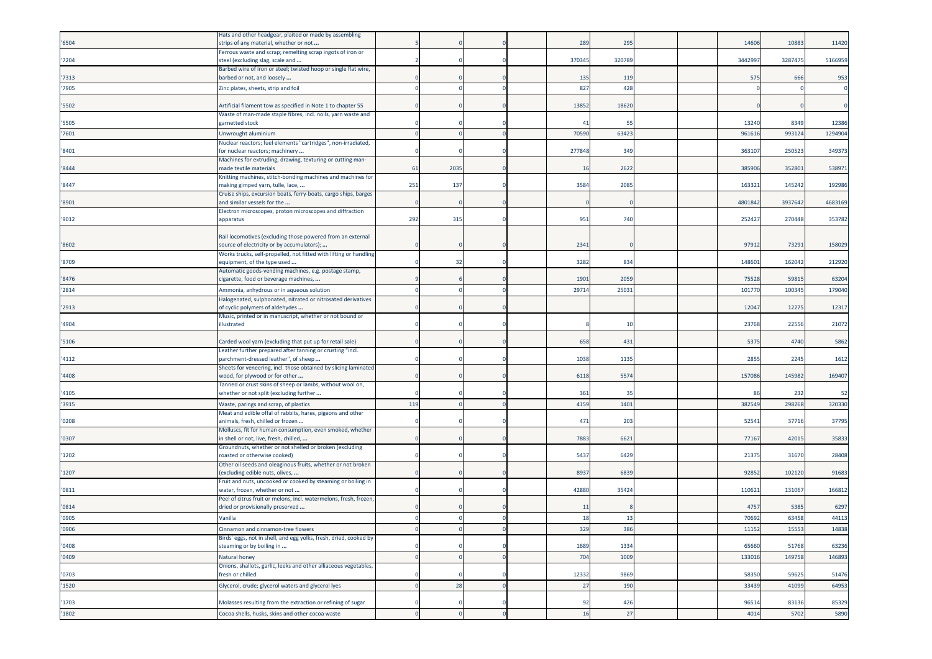|       | Hats and other headgear, plaited or made by assembling                                             |          |      |  |                |        |  |        |         |         |
|-------|----------------------------------------------------------------------------------------------------|----------|------|--|----------------|--------|--|--------|---------|---------|
| '6504 | strips of any material, whether or not                                                             |          |      |  | 289            | 295    |  | 14606  | 10883   | 11420   |
|       | Ferrous waste and scrap; remelting scrap ingots of iron or                                         |          |      |  |                |        |  |        |         |         |
| '7204 | steel (excluding slag, scale and                                                                   |          |      |  | 370345         | 320789 |  | 344299 | 3287475 | 5166959 |
|       | Barbed wire of iron or steel; twisted hoop or single flat wire,                                    |          |      |  |                |        |  |        |         |         |
| '7313 | barbed or not, and loosely                                                                         |          |      |  | 135            | 119    |  | 575    | 666     | 953     |
| '7905 | Zinc plates, sheets, strip and foil                                                                |          |      |  | 827            | 428    |  |        |         |         |
|       |                                                                                                    |          |      |  |                |        |  |        |         |         |
| '5502 | Artificial filament tow as specified in Note 1 to chapter 55                                       |          |      |  | 13852          | 18620  |  |        |         |         |
| '5505 | Waste of man-made staple fibres, incl. noils, yarn waste and<br>garnetted stock                    |          |      |  | $\overline{4}$ | 55     |  | 13240  | 8349    | 12386   |
|       |                                                                                                    |          |      |  | 70590          | 63423  |  |        |         |         |
| '7601 | Unwrought aluminium<br>Nuclear reactors; fuel elements "cartridges", non-irradiated,               |          |      |  |                |        |  | 96161  | 99312   | 1294904 |
| '8401 | for nuclear reactors; machinery                                                                    |          |      |  | 277848         | 349    |  | 36310  | 250523  | 349373  |
|       | Machines for extruding, drawing, texturing or cutting man-                                         |          |      |  |                |        |  |        |         |         |
| '8444 | made textile materials                                                                             | 61       | 2035 |  | 16             | 2622   |  | 38590  | 35280   | 538971  |
|       | Knitting machines, stitch-bonding machines and machines for                                        |          |      |  |                |        |  |        |         |         |
| '8447 | making gimped yarn, tulle, lace,                                                                   | 251      | 137  |  | 3584           | 2085   |  | 16332  | 145242  | 192986  |
|       | Cruise ships, excursion boats, ferry-boats, cargo ships, barges                                    |          |      |  |                |        |  |        |         |         |
| '8901 | and similar vessels for the                                                                        |          |      |  |                |        |  | 480184 | 3937642 | 4683169 |
|       | Electron microscopes, proton microscopes and diffraction                                           | 292      | 315  |  | 951            | 740    |  | 25242  | 270448  | 353782  |
| '9012 | apparatus                                                                                          |          |      |  |                |        |  |        |         |         |
|       | Rail locomotives (excluding those powered from an external                                         |          |      |  |                |        |  |        |         |         |
| '8602 | source of electricity or by accumulators);                                                         |          |      |  | 2341           |        |  | 9791   | 73291   | 158029  |
|       | Works trucks, self-propelled, not fitted with lifting or handling                                  |          |      |  |                |        |  |        |         |         |
| '8709 | equipment, of the type used                                                                        |          | 32   |  | 3282           | 834    |  | 14860  | 162042  | 212920  |
|       | Automatic goods-vending machines, e.g. postage stamp,                                              |          |      |  |                |        |  |        |         |         |
| '8476 | cigarette, food or beverage machines,                                                              |          |      |  | 1901           | 2059   |  | 75528  | 59815   | 63204   |
| '2814 | Ammonia, anhydrous or in aqueous solution                                                          |          |      |  | 29714          | 2503   |  | 10177  | 100345  | 179040  |
|       | Halogenated, sulphonated, nitrated or nitrosated derivatives                                       |          |      |  |                |        |  |        |         |         |
| '2913 | of cyclic polymers of aldehydes                                                                    |          |      |  |                |        |  | 12047  | 12275   | 12317   |
|       | Music, printed or in manuscript, whether or not bound or                                           |          |      |  |                |        |  |        |         |         |
| '4904 | illustrated                                                                                        |          |      |  |                | 10     |  | 2376   | 22556   | 21072   |
| '5106 | Carded wool yarn (excluding that put up for retail sale)                                           |          |      |  | 658            | 431    |  | 5375   | 4740    | 5862    |
|       | Leather further prepared after tanning or crusting "incl.                                          |          |      |  |                |        |  |        |         |         |
| '4112 | parchment-dressed leather", of sheep                                                               |          |      |  | 1038           | 1135   |  | 285    | 2245    | 1612    |
|       | Sheets for veneering, incl. those obtained by slicing laminated                                    |          |      |  |                |        |  |        |         |         |
| '4408 | wood, for plywood or for other                                                                     |          |      |  | 6118           | 5574   |  | 157086 | 145982  | 169407  |
|       | Tanned or crust skins of sheep or lambs, without wool on,                                          |          |      |  |                |        |  |        |         |         |
| '4105 | whether or not split (excluding further                                                            |          |      |  | 361            | 35     |  | 86     | 232     | 52      |
| '3915 | Waste, parings and scrap, of plastics                                                              | 119      |      |  | 4159           | 1401   |  | 382549 | 298268  | 320330  |
|       | Meat and edible offal of rabbits, hares, pigeons and other                                         |          |      |  |                |        |  |        |         |         |
| '0208 | animals, fresh, chilled or frozen                                                                  |          |      |  | 471            | 203    |  | 52541  | 37716   | 37795   |
| '0307 | Molluscs, fit for human consumption, even smoked, whether<br>n shell or not, live, fresh, chilled, |          |      |  | 7883           | 6621   |  | 77167  | 42015   | 35833   |
|       | Groundnuts, whether or not shelled or broken (excluding                                            |          |      |  |                |        |  |        |         |         |
| '1202 | roasted or otherwise cooked)                                                                       |          |      |  | 5437           | 6429   |  | 2137   | 31670   | 28408   |
|       | Other oil seeds and oleaginous fruits, whether or not broken                                       |          |      |  |                |        |  |        |         |         |
| '1207 | (excluding edible nuts, olives,                                                                    |          |      |  | 8937           | 6839   |  | 92852  | 102120  | 91683   |
|       | Fruit and nuts, uncooked or cooked by steaming or boiling in                                       |          |      |  |                |        |  |        |         |         |
| '0811 | water, frozen, whether or not                                                                      |          |      |  | 42880          | 35424  |  | 11062  | 131067  | 166812  |
|       | Peel of citrus fruit or melons, incl. watermelons, fresh, frozen                                   |          |      |  |                |        |  |        |         |         |
| '0814 | dried or provisionally preserved                                                                   |          |      |  | 11             |        |  | 4757   | 5385    | 6297    |
| '0905 | Vanilla                                                                                            |          |      |  | 18             | -13    |  | 70692  | 63458   | 44113   |
| '0906 | Cinnamon and cinnamon-tree flowers                                                                 | $\Omega$ |      |  | 329            | 386    |  | 11152  | 15553   | 14838   |
|       | Birds' eggs, not in shell, and egg yolks, fresh, dried, cooked by                                  |          |      |  |                |        |  |        |         |         |
| '0408 | steaming or by boiling in                                                                          |          |      |  | 1689           | 1334   |  | 65660  | 51768   | 63236   |
| '0409 | Natural honey                                                                                      |          |      |  | 704            | 1009   |  | 13301  | 149758  | 146893  |
|       | Onions, shallots, garlic, leeks and other alliaceous vegetables,                                   |          |      |  |                |        |  |        |         |         |
| '0703 | fresh or chilled                                                                                   |          |      |  | 12332          | 9869   |  | 58350  | 59625   | 51476   |
| 1520  | Glycerol, crude; glycerol waters and glycerol lyes                                                 |          | 28   |  | 27             | 190    |  | 33439  | 41099   | 64953   |
|       |                                                                                                    |          |      |  |                |        |  |        |         |         |
| '1703 | Molasses resulting from the extraction or refining of sugar                                        |          |      |  | 92             | 426    |  | 96514  | 83136   | 85329   |
| '1802 | Cocoa shells, husks, skins and other cocoa waste                                                   |          |      |  | 16             | 27     |  | 4014   | 5702    | 5890    |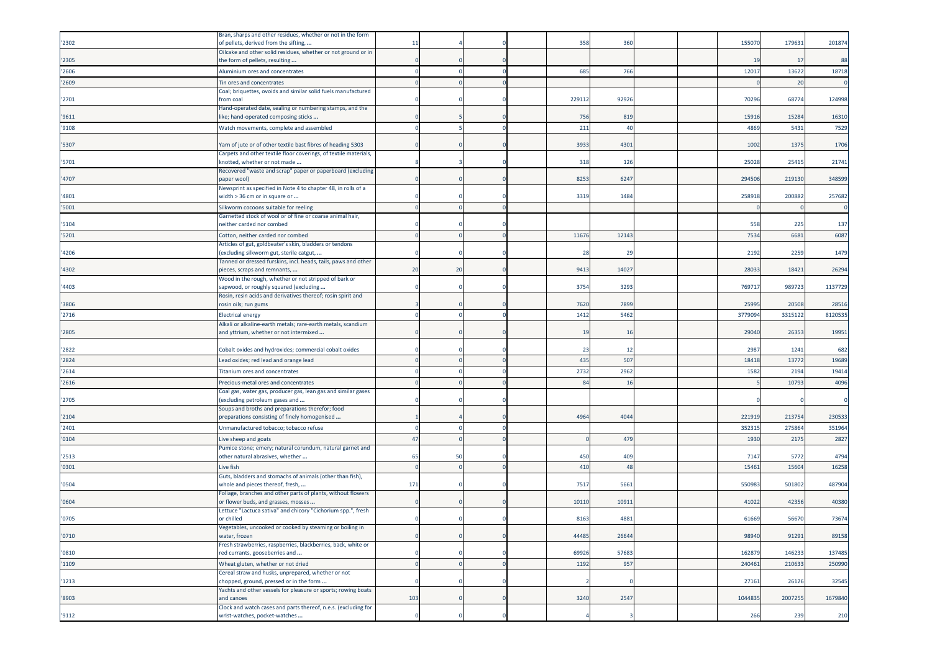|        | Bran, sharps and other residues, whether or not in the form                                              |     |    |  |        |       |  |         |         |         |
|--------|----------------------------------------------------------------------------------------------------------|-----|----|--|--------|-------|--|---------|---------|---------|
| '2302  | of pellets, derived from the sifting,                                                                    | 11  |    |  | 358    | 360   |  | 15507   | 179631  | 201874  |
| '2305  | Oilcake and other solid residues, whether or not ground or in<br>the form of pellets, resulting          |     |    |  |        |       |  | -19     | 17      | 88      |
| '2606  | Aluminium ores and concentrates                                                                          |     |    |  | 685    | 766   |  | 1201    | 13622   | 18718   |
| '2609  |                                                                                                          |     |    |  |        |       |  |         | 20      |         |
|        | Tin ores and concentrates<br>Coal; briquettes, ovoids and similar solid fuels manufactured               |     |    |  |        |       |  |         |         |         |
| '2701  | rom coal                                                                                                 |     |    |  | 229112 | 92926 |  | 7029    | 68774   | 124998  |
| '9611  | Hand-operated date, sealing or numbering stamps, and the<br>like; hand-operated composing sticks         |     |    |  | 756    | 819   |  | 1591    | 15284   | 16310   |
| '9108  | Watch movements, complete and assembled                                                                  |     |    |  | 211    | 40    |  | 4869    | 5431    | 7529    |
| '5307  | Yarn of jute or of other textile bast fibres of heading 5303                                             |     |    |  | 3933   | 430   |  | 1002    | 1375    | 1706    |
|        | Carpets and other textile floor coverings, of textile materials,                                         |     |    |  |        |       |  |         |         |         |
| '5701  | «notted, whether or not made<br>Recovered "waste and scrap" paper or paperboard (excluding               |     |    |  | 318    | 126   |  | 2502    | 2541    | 21741   |
| '4707  | paper wool)                                                                                              |     |    |  | 8253   | 6247  |  | 294506  | 219130  | 348599  |
| '4801  | Newsprint as specified in Note 4 to chapter 48, in rolls of a<br>width > 36 cm or in square or           |     |    |  | 3319   | 1484  |  | 25891   | 200882  | 257682  |
| '5001  | Silkworm cocoons suitable for reeling                                                                    |     |    |  |        |       |  |         |         |         |
|        | Garnetted stock of wool or of fine or coarse animal hair,                                                |     |    |  |        |       |  |         |         |         |
| '5104  | either carded nor combed                                                                                 |     |    |  |        |       |  | 558     | 225     | 137     |
| '5201  | Cotton, neither carded nor combed                                                                        |     |    |  | 11676  | 12143 |  | 7534    | 6681    | 6087    |
| '4206  | Articles of gut, goldbeater's skin, bladders or tendons<br>excluding silkworm gut, sterile catgut,       |     |    |  | 28     | - 29  |  | 2192    | 2259    | 1479    |
| '4302  | Tanned or dressed furskins, incl. heads, tails, paws and other<br>bieces, scraps and remnants,           | 20  | 20 |  | 9413   | 14027 |  | 2803    | 18421   | 26294   |
|        | Wood in the rough, whether or not stripped of bark or                                                    |     |    |  |        |       |  |         |         |         |
| '4403  | sapwood, or roughly squared (excluding<br>Rosin, resin acids and derivatives thereof; rosin spirit and   |     |    |  | 3754   | 3293  |  | 76971   | 989723  | 1137729 |
| '3806  | rosin oils; run gums                                                                                     |     |    |  | 7620   | 7899  |  | 25995   | 20508   | 28516   |
| '2716  | Electrical energy                                                                                        |     |    |  | 1412   | 5462  |  | 377909  | 331512  | 8120535 |
|        | Alkali or alkaline-earth metals; rare-earth metals, scandium                                             |     |    |  |        |       |  |         |         |         |
| '2805  | and yttrium, whether or not intermixed                                                                   |     |    |  | 19     | 16    |  | 29040   | 26353   | 19951   |
| '2822  | Cobalt oxides and hydroxides; commercial cobalt oxides                                                   |     |    |  | 23     | -12   |  | 2987    | 1241    | 682     |
| '2824  | Lead oxides; red lead and orange lead                                                                    |     |    |  | 435    | 507   |  | 1841    | 1377    | 19689   |
| '2614  | <b>Titanium ores and concentrates</b>                                                                    |     |    |  | 2732   | 2962  |  | 1582    | 2194    | 19414   |
| '2616  | Precious-metal ores and concentrates                                                                     |     |    |  | 84     | 16    |  |         | 10793   | 4096    |
|        | Coal gas, water gas, producer gas, lean gas and similar gases                                            |     |    |  |        |       |  |         |         |         |
| '2705  | excluding petroleum gases and                                                                            |     |    |  |        |       |  |         |         |         |
| '2104  | Soups and broths and preparations therefor; food<br>preparations consisting of finely homogenised        |     |    |  | 4964   | 4044  |  | 22191   | 21375   | 230533  |
| '2401  | Unmanufactured tobacco; tobacco refuse                                                                   |     |    |  |        |       |  | 35231   | 27586   | 351964  |
| '0104  | Live sheep and goats                                                                                     | 47  |    |  |        | 479   |  | 1930    | 2175    | 2827    |
|        | Pumice stone; emery; natural corundum, natural garnet and                                                |     |    |  |        |       |  |         |         |         |
| '2513  | other natural abrasives, whether                                                                         | 65  | 50 |  | 450    | 409   |  | 7147    | 5772    | 4794    |
| '0301  | Live fish<br>Guts, bladders and stomachs of animals (other than fish),                                   |     |    |  | 410    | 48    |  | 1546    | 1560    | 16258   |
| '0504  | whole and pieces thereof, fresh,                                                                         | 171 |    |  | 7517   | 5661  |  | 55098   | 501802  | 487904  |
| '0604  | Foliage, branches and other parts of plants, without flowers<br>or flower buds, and grasses, mosses      |     |    |  | 10110  | 1091  |  | 4102    | 42356   | 40380   |
|        | Lettuce "Lactuca sativa" and chicory "Cichorium spp.", fresh                                             |     |    |  |        |       |  |         |         |         |
| '0705  | or chilled<br>'egetables, uncooked or cooked by steaming or boiling in                                   |     |    |  | 8163   | 4881  |  | 61669   | 56670   | 73674   |
| '0710' | water, frozen                                                                                            |     |    |  | 44485  | 26644 |  | 98940   | 91291   | 89158   |
| '0810  | Fresh strawberries, raspberries, blackberries, back, white or<br>red currants, gooseberries and          |     |    |  | 69926  | 57683 |  | 162879  | 146233  | 137485  |
| '1109  | Wheat gluten, whether or not dried                                                                       |     |    |  | 1192   | 957   |  | 240461  | 210633  | 250990  |
|        | Cereal straw and husks, unprepared, whether or not                                                       |     |    |  |        |       |  | 27161   | 26126   | 32545   |
| '1213  | chopped, ground, pressed or in the form<br>Yachts and other vessels for pleasure or sports; rowing boats |     |    |  |        |       |  |         |         |         |
| '8903  | and canoes                                                                                               | 103 |    |  | 3240   | 2547  |  | 1044835 | 2007255 | 1679840 |
| '9112  | Clock and watch cases and parts thereof, n.e.s. (excluding for<br>wrist-watches, pocket-watches          |     |    |  |        |       |  | 266     | 239     | 210     |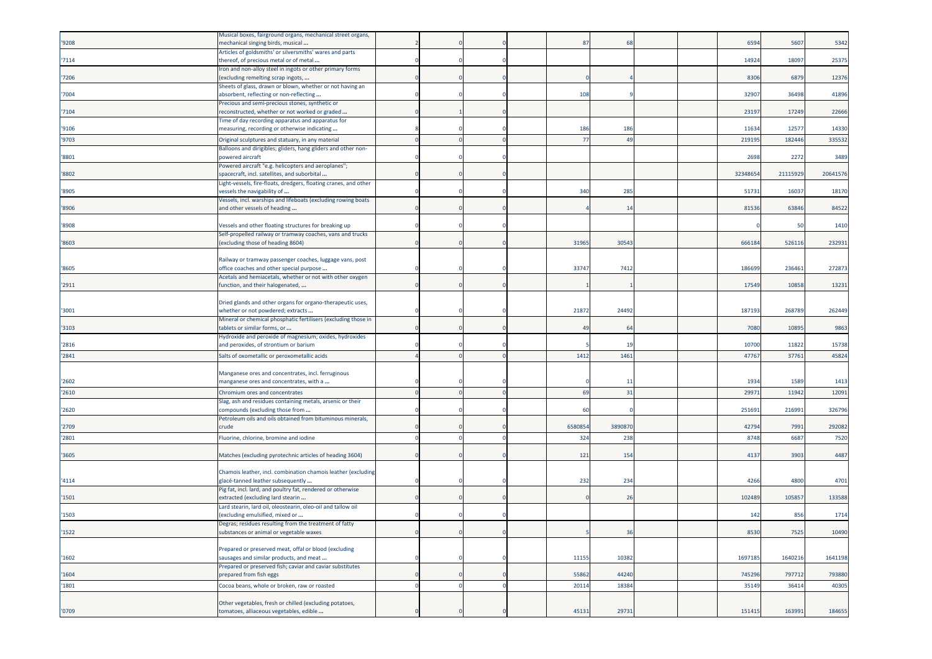| '9208 | Musical boxes, fairground organs, mechanical street organs,<br>mechanical singing birds, musical     |          |  | 87             | 68      |  | 6594    | 5607    | 5342     |
|-------|------------------------------------------------------------------------------------------------------|----------|--|----------------|---------|--|---------|---------|----------|
| '7114 | Articles of goldsmiths' or silversmiths' wares and parts<br>thereof, of precious metal or of metal   |          |  |                |         |  | 1492    | 18097   | 25375    |
| '7206 | Iron and non-alloy steel in ingots or other primary forms<br>excluding remelting scrap ingots,       |          |  |                |         |  | 8306    | 6879    | 12376    |
|       | Sheets of glass, drawn or blown, whether or not having an                                            |          |  |                |         |  |         |         |          |
| '7004 | absorbent, reflecting or non-reflecting<br>Precious and semi-precious stones, synthetic or           |          |  | 108            |         |  | 3290    | 36498   | 41896    |
| '7104 | reconstructed, whether or not worked or graded                                                       |          |  |                |         |  | 2319    | 17249   | 22666    |
| '9106 | Time of day recording apparatus and apparatus for<br>measuring, recording or otherwise indicating    |          |  | 186            | 186     |  | 11634   | 12577   | 14330    |
| '9703 | Original sculptures and statuary, in any material                                                    |          |  | $\overline{7}$ | 49      |  | 21919   | 18244   | 335532   |
| '8801 | Balloons and dirigibles; gliders, hang gliders and other non-<br>powered aircraft                    |          |  |                |         |  | 2698    | 2272    | 3489     |
| '8802 | Powered aircraft "e.g. helicopters and aeroplanes";<br>spacecraft, incl. satellites, and suborbital  |          |  |                |         |  | 3234865 | 2111592 | 20641576 |
|       | Light-vessels, fire-floats, dredgers, floating cranes, and other                                     |          |  |                |         |  |         |         |          |
| '8905 | vessels the navigability of<br>Vessels, incl. warships and lifeboats (excluding rowing boats         |          |  | 340            | 285     |  | 51733   | 16037   | 18170    |
| '8906 | and other vessels of heading                                                                         |          |  |                | 14      |  | 81536   | 63846   | 84522    |
| '8908 | Vessels and other floating structures for breaking up                                                |          |  |                |         |  |         | 50      | 1410     |
| '8603 | Self-propelled railway or tramway coaches, vans and trucks<br>(excluding those of heading 8604)      |          |  | 31965          | 30543   |  | 666184  | 52611   | 232931   |
|       |                                                                                                      |          |  |                |         |  |         |         |          |
| '8605 | Railway or tramway passenger coaches, luggage vans, post<br>office coaches and other special purpose |          |  | 33747          | 7412    |  | 186699  | 236461  | 272873   |
|       | Acetals and hemiacetals, whether or not with other oxygen                                            |          |  |                |         |  |         |         |          |
| '2911 | function, and their halogenated,                                                                     |          |  |                |         |  | 17549   | 10858   | 13231    |
| '3001 | Dried glands and other organs for organo-therapeutic uses,<br>whether or not powdered; extracts      |          |  | 21872          | 24492   |  | 18719   | 26878   | 262449   |
|       | Mineral or chemical phosphatic fertilisers (excluding those in                                       |          |  |                |         |  |         |         |          |
| '3103 | tablets or similar forms, or<br>Hydroxide and peroxide of magnesium; oxides, hydroxides              |          |  | 49             | 64      |  | 7080    | 10895   | 9863     |
| '2816 | and peroxides, of strontium or barium                                                                |          |  |                | 19      |  | 10700   | 11822   | 15738    |
| '2841 | Salts of oxometallic or peroxometallic acids                                                         |          |  | 1412           | 1461    |  | 4776    | 37761   | 45824    |
|       | Manganese ores and concentrates, incl. ferruginous                                                   |          |  |                |         |  |         |         |          |
| '2602 | manganese ores and concentrates, with a                                                              |          |  |                | 11      |  | 1934    | 1589    | 1413     |
| '2610 | Chromium ores and concentrates<br>Slag, ash and residues containing metals, arsenic or their         |          |  | 69             | 31      |  | 2997    | 1194    | 12091    |
| '2620 | compounds (excluding those from                                                                      |          |  | 60             |         |  | 251691  | 216991  | 326796   |
| '2709 | Petroleum oils and oils obtained from bituminous minerals,<br>crude                                  |          |  | 6580854        | 3890870 |  | 4279    | 7991    | 292082   |
| '2801 | Fluorine, chlorine, bromine and iodine                                                               |          |  | 324            | 238     |  | 8748    | 6687    | 7520     |
| '3605 | Matches (excluding pyrotechnic articles of heading 3604)                                             |          |  | 121            | 154     |  | 4137    | 3903    | 4487     |
|       |                                                                                                      |          |  |                |         |  |         |         |          |
| '4114 | Chamois leather, incl. combination chamois leather (excluding<br>glacé-tanned leather subsequently   |          |  | 232            | 234     |  | 4266    | 4800    | 4701     |
| '1501 | Pig fat, incl. lard, and poultry fat, rendered or otherwise<br>extracted (excluding lard stearin     |          |  |                | 26      |  | 102489  | 10585   | 133588   |
|       | Lard stearin, lard oil, oleostearin, oleo-oil and tallow oil                                         |          |  |                |         |  |         |         |          |
| '1503 | excluding emulsified, mixed or<br>Degras; residues resulting from the treatment of fatty             |          |  |                |         |  | 142     | 856     | 1714     |
| 1522  | substances or animal or vegetable waxes                                                              | $\Omega$ |  |                | 36      |  | 8530    | 7525    | 10490    |
|       | Prepared or preserved meat, offal or blood (excluding                                                |          |  |                |         |  |         |         |          |
| '1602 | sausages and similar products, and meat<br>Prepared or preserved fish; caviar and caviar substitutes |          |  | 11155          | 10382   |  | 1697185 | 1640216 | 1641198  |
| '1604 | prepared from fish eggs                                                                              |          |  | 55862          | 44240   |  | 745296  | 797712  | 793880   |
| '1801 | Cocoa beans, whole or broken, raw or roasted                                                         |          |  | 20114          | 18384   |  | 35149   | 36414   | 40305    |
|       | Other vegetables, fresh or chilled (excluding potatoes,                                              |          |  |                |         |  |         |         |          |
| '0709 | tomatoes, alliaceous vegetables, edible                                                              |          |  | 45131          | 29731   |  | 151415  | 163991  | 184655   |